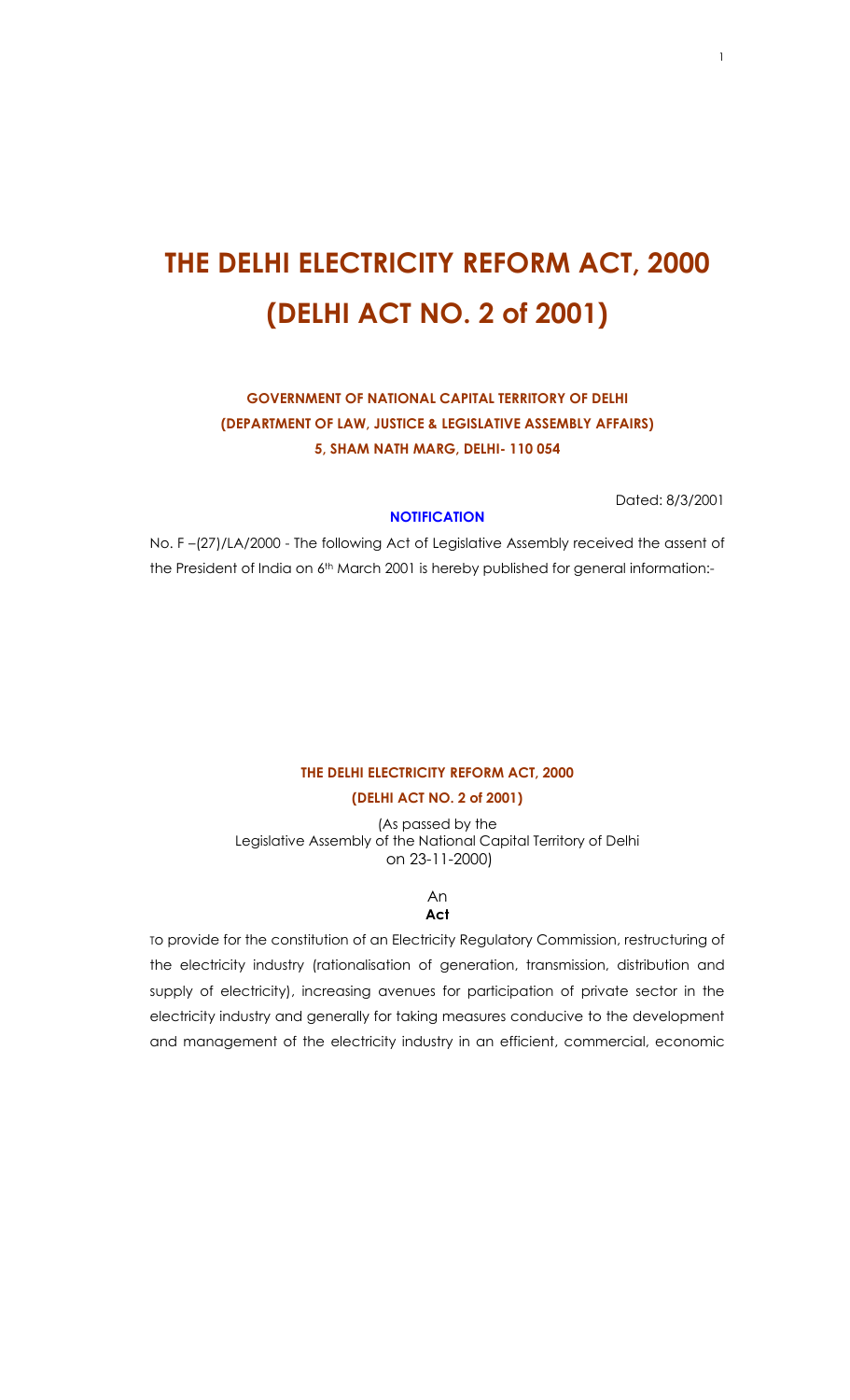# **THE DELHI ELECTRICITY REFORM ACT, 2000 (DELHI ACT NO. 2 of 2001)**

# **GOVERNMENT OF NATIONAL CAPITAL TERRITORY OF DELHI (DEPARTMENT OF LAW, JUSTICE & LEGISLATIVE ASSEMBLY AFFAIRS) 5, SHAM NATH MARG, DELHI- 110 054**

Dated: 8/3/2001

## **NOTIFICATION**

No. F –(27)/LA/2000 - The following Act of Legislative Assembly received the assent of the President of India on 6<sup>th</sup> March 2001 is hereby published for general information:-

## **THE DELHI ELECTRICITY REFORM ACT, 2000 (DELHI ACT NO. 2 of 2001)**

(As passed by the Legislative Assembly of the National Capital Territory of Delhi on 23-11-2000)

> An **Act**

To provide for the constitution of an Electricity Regulatory Commission, restructuring of the electricity industry (rationalisation of generation, transmission, distribution and supply of electricity), increasing avenues for participation of private sector in the electricity industry and generally for taking measures conducive to the development and management of the electricity industry in an efficient, commercial, economic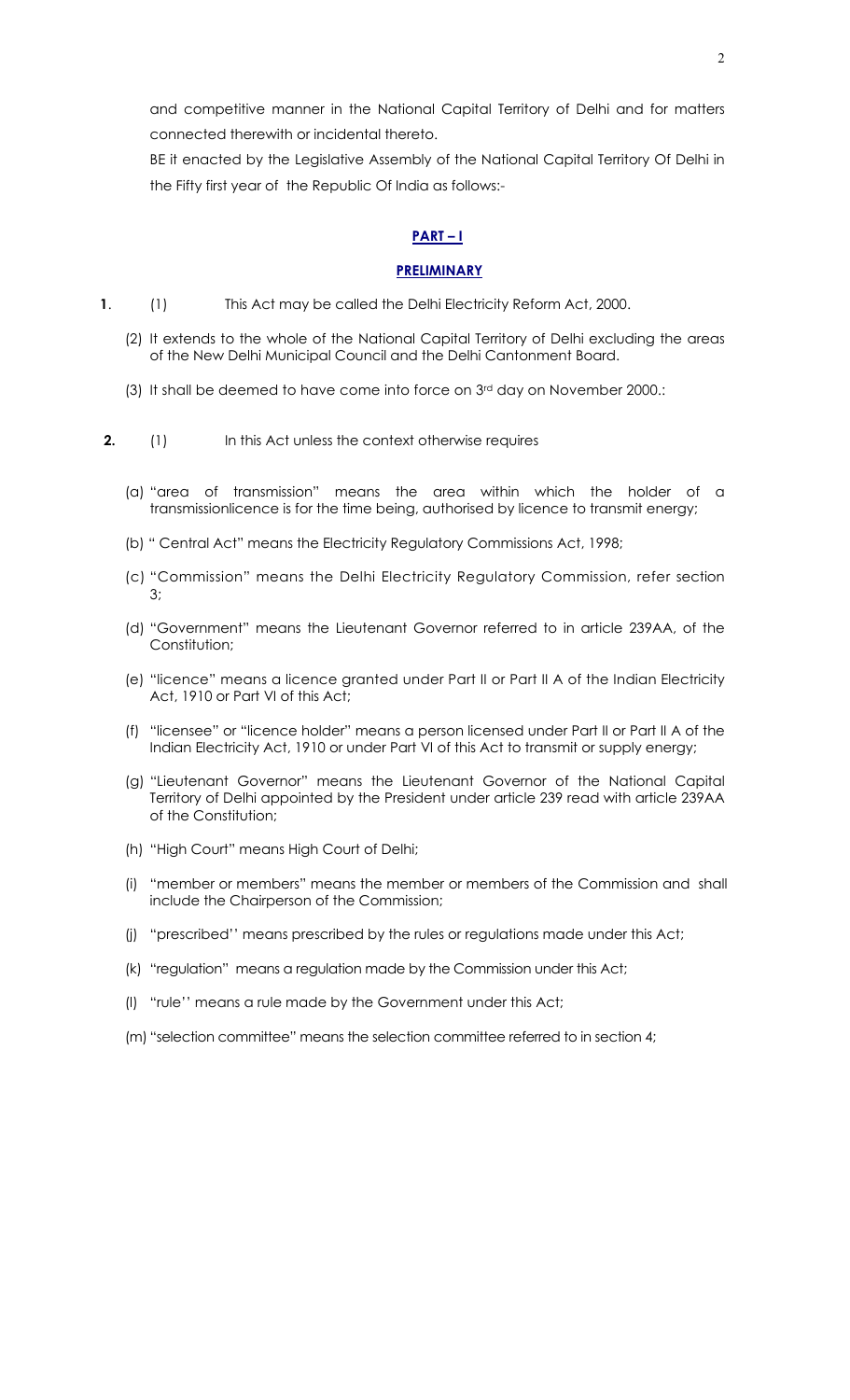and competitive manner in the National Capital Territory of Delhi and for matters connected therewith or incidental thereto.

BE it enacted by the Legislative Assembly of the National Capital Territory Of Delhi in the Fifty first year of the Republic Of India as follows:-

## **PART – I**

## **PRELIMINARY**

- **1**. (1) This Act may be called the Delhi Electricity Reform Act, 2000.
	- (2) It extends to the whole of the National Capital Territory of Delhi excluding the areas of the New Delhi Municipal Council and the Delhi Cantonment Board.
	- (3) It shall be deemed to have come into force on 3rd day on November 2000.:
- **2.** (1) In this Act unless the context otherwise requires
	- (a) "area of transmission" means the area within which the holder of a transmissionlicence is for the time being, authorised by licence to transmit energy;
	- (b) " Central Act" means the Electricity Regulatory Commissions Act, 1998;
	- (c) "Commission" means the Delhi Electricity Regulatory Commission, refer section 3;
	- (d) "Government" means the Lieutenant Governor referred to in article 239AA, of the Constitution;
	- (e) "licence" means a licence granted under Part II or Part II A of the Indian Electricity Act, 1910 or Part VI of this Act;
	- (f) "licensee" or "licence holder" means a person licensed under Part II or Part II A of the Indian Electricity Act, 1910 or under Part VI of this Act to transmit or supply energy;
	- (g) "Lieutenant Governor" means the Lieutenant Governor of the National Capital Territory of Delhi appointed by the President under article 239 read with article 239AA of the Constitution;
	- (h) "High Court" means High Court of Delhi;
	- (i) "member or members" means the member or members of the Commission and shall include the Chairperson of the Commission;
	- (j) "prescribed'' means prescribed by the rules or regulations made under this Act;
	- (k) "regulation" means a regulation made by the Commission under this Act;
	- (l) "rule'' means a rule made by the Government under this Act;
	- (m) "selection committee" means the selection committee referred to in section 4;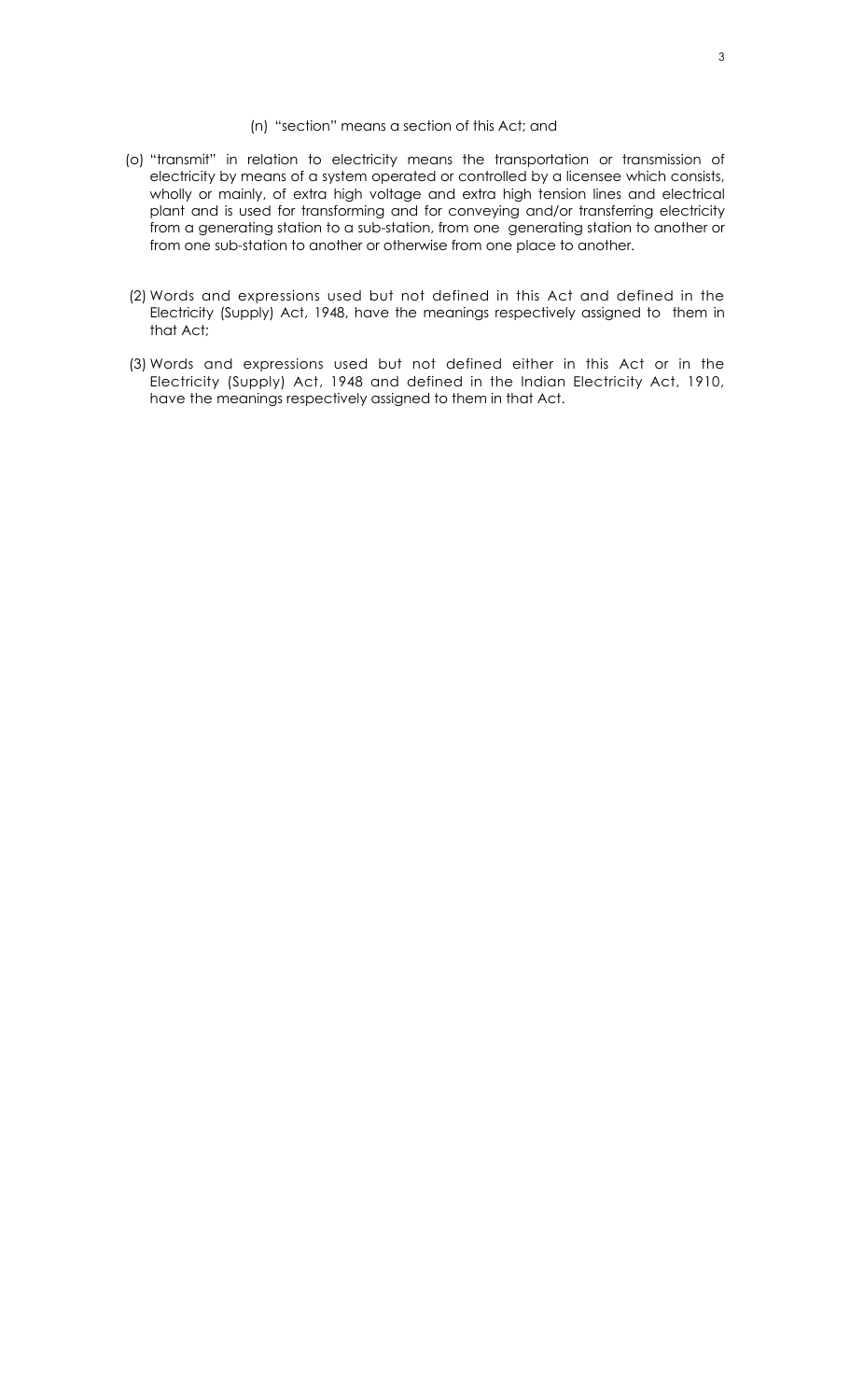#### (n) "section" means a section of this Act; and

- (o) "transmit" in relation to electricity means the transportation or transmission of electricity by means of a system operated or controlled by a licensee which consists, wholly or mainly, of extra high voltage and extra high tension lines and electrical plant and is used for transforming and for conveying and/or transferring electricity from a generating station to a sub-station, from one generating station to another or from one sub-station to another or otherwise from one place to another.
- (2) Words and expressions used but not defined in this Act and defined in the Electricity (Supply) Act, 1948, have the meanings respectively assigned to them in that Act;
- (3) Words and expressions used but not defined either in this Act or in the Electricity (Supply) Act, 1948 and defined in the Indian Electricity Act, 1910, have the meanings respectively assigned to them in that Act.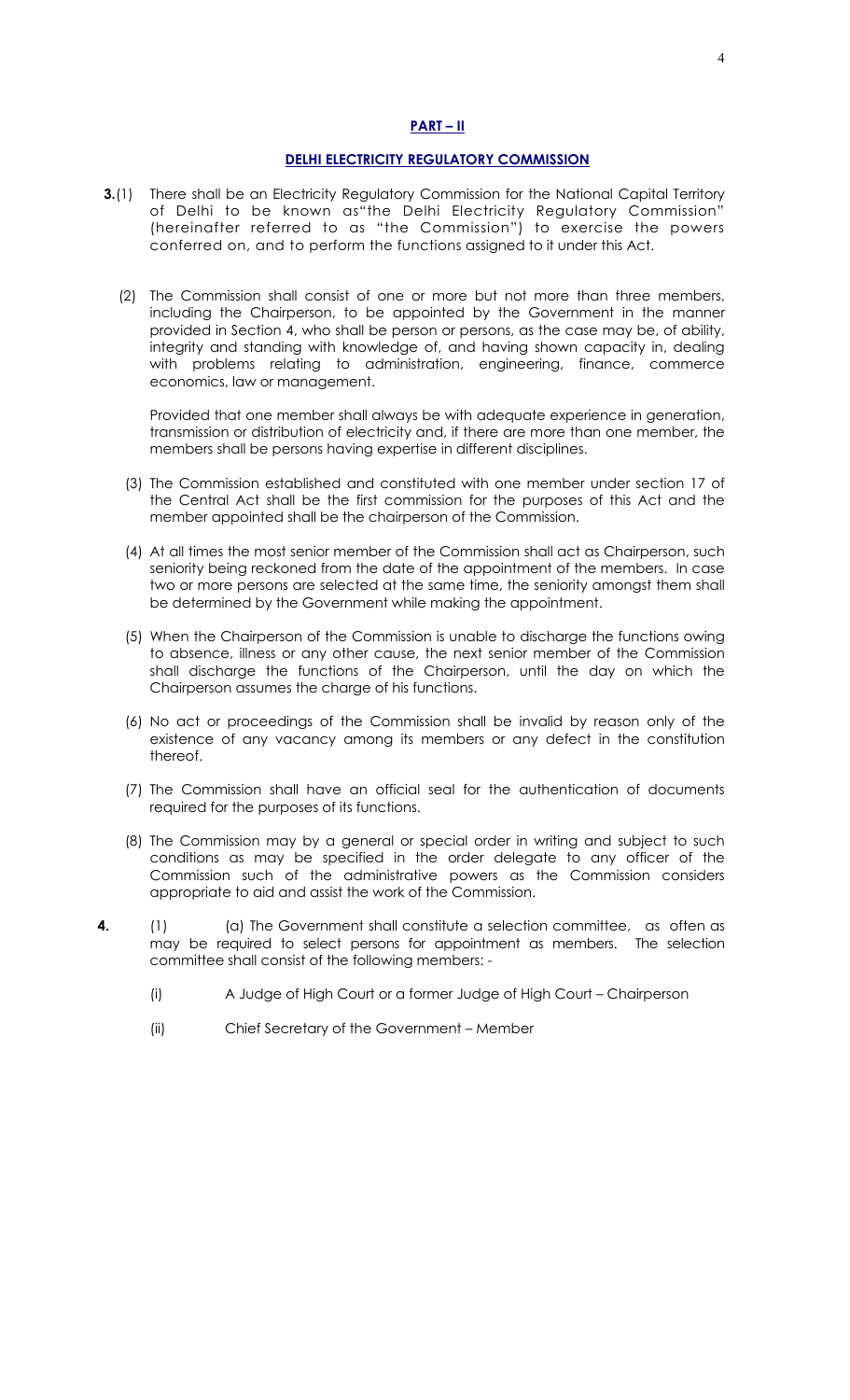## **PART – II**

## **DELHI ELECTRICITY REGULATORY COMMISSION**

- **3.**(1) There shall be an Electricity Regulatory Commission for the National Capital Territory of Delhi to be known as"the Delhi Electricity Regulatory Commission" (hereinafter referred to as "the Commission") to exercise the powers conferred on, and to perform the functions assigned to it under this Act.
	- (2) The Commission shall consist of one or more but not more than three members, including the Chairperson, to be appointed by the Government in the manner provided in Section 4, who shall be person or persons, as the case may be, of ability, integrity and standing with knowledge of, and having shown capacity in, dealing with problems relating to administration, engineering, finance, commerce economics, law or management.

Provided that one member shall always be with adequate experience in generation, transmission or distribution of electricity and, if there are more than one member, the members shall be persons having expertise in different disciplines.

- (3) The Commission established and constituted with one member under section 17 of the Central Act shall be the first commission for the purposes of this Act and the member appointed shall be the chairperson of the Commission.
- (4) At all times the most senior member of the Commission shall act as Chairperson, such seniority being reckoned from the date of the appointment of the members. In case two or more persons are selected at the same time, the seniority amongst them shall be determined by the Government while making the appointment.
- (5) When the Chairperson of the Commission is unable to discharge the functions owing to absence, illness or any other cause, the next senior member of the Commission shall discharge the functions of the Chairperson, until the day on which the Chairperson assumes the charge of his functions.
- (6) No act or proceedings of the Commission shall be invalid by reason only of the existence of any vacancy among its members or any defect in the constitution thereof.
- (7) The Commission shall have an official seal for the authentication of documents required for the purposes of its functions.
- (8) The Commission may by a general or special order in writing and subject to such conditions as may be specified in the order delegate to any officer of the Commission such of the administrative powers as the Commission considers appropriate to aid and assist the work of the Commission.
- **4.** (1) (a) The Government shall constitute a selection committee, as often as may be required to select persons for appointment as members. The selection committee shall consist of the following members: -
	- (i) A Judge of High Court or a former Judge of High Court Chairperson
	- (ii) Chief Secretary of the Government Member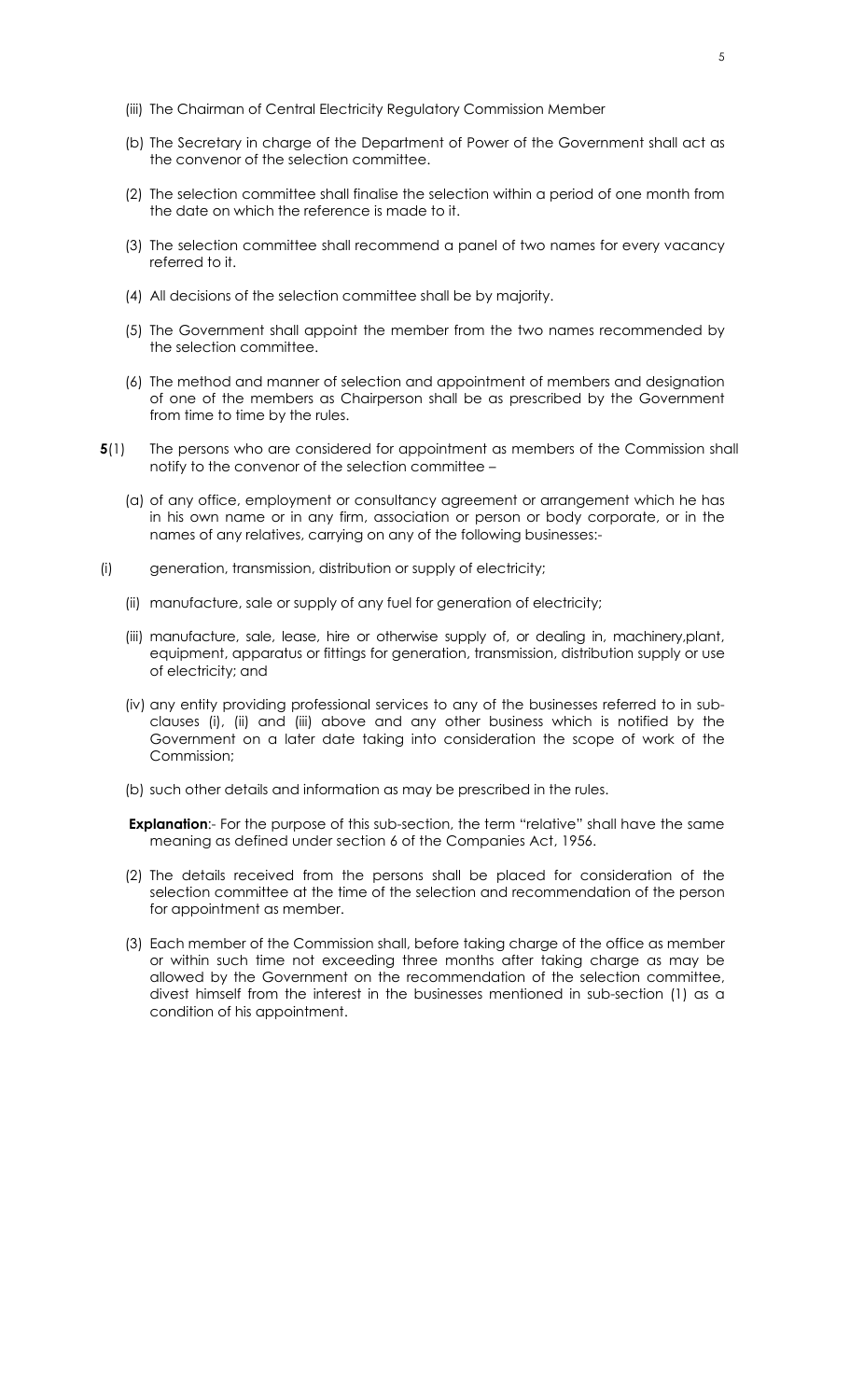- (iii) The Chairman of Central Electricity Regulatory Commission Member
- (b) The Secretary in charge of the Department of Power of the Government shall act as the convenor of the selection committee.
- (2) The selection committee shall finalise the selection within a period of one month from the date on which the reference is made to it.
- (3) The selection committee shall recommend a panel of two names for every vacancy referred to it.
- (4) All decisions of the selection committee shall be by majority.
- (5) The Government shall appoint the member from the two names recommended by the selection committee.
- (6) The method and manner of selection and appointment of members and designation of one of the members as Chairperson shall be as prescribed by the Government from time to time by the rules.
- **5**(1) The persons who are considered for appointment as members of the Commission shall notify to the convenor of the selection committee –
	- (a) of any office, employment or consultancy agreement or arrangement which he has in his own name or in any firm, association or person or body corporate, or in the names of any relatives, carrying on any of the following businesses:-
- (i) generation, transmission, distribution or supply of electricity;
	- (ii) manufacture, sale or supply of any fuel for generation of electricity;
	- (iii) manufacture, sale, lease, hire or otherwise supply of, or dealing in, machinery,plant, equipment, apparatus or fittings for generation, transmission, distribution supply or use of electricity; and
	- (iv) any entity providing professional services to any of the businesses referred to in subclauses (i), (ii) and (iii) above and any other business which is notified by the Government on a later date taking into consideration the scope of work of the Commission;
	- (b) such other details and information as may be prescribed in the rules.

**Explanation:**- For the purpose of this sub-section, the term "relative" shall have the same meaning as defined under section 6 of the Companies Act, 1956.

- (2) The details received from the persons shall be placed for consideration of the selection committee at the time of the selection and recommendation of the person for appointment as member.
- (3) Each member of the Commission shall, before taking charge of the office as member or within such time not exceeding three months after taking charge as may be allowed by the Government on the recommendation of the selection committee, divest himself from the interest in the businesses mentioned in sub-section (1) as a condition of his appointment.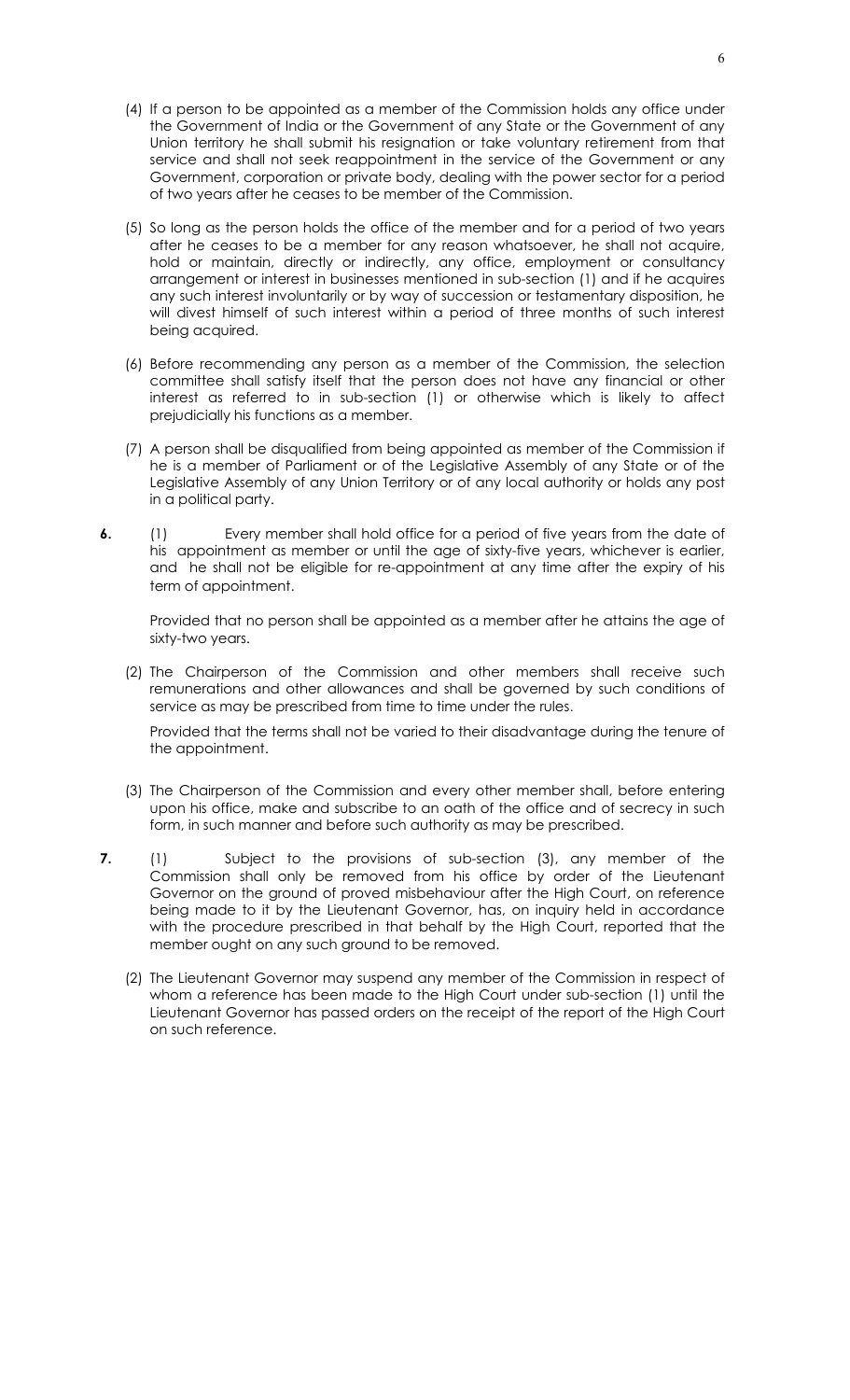- (4) If a person to be appointed as a member of the Commission holds any office under the Government of India or the Government of any State or the Government of any Union territory he shall submit his resignation or take voluntary retirement from that service and shall not seek reappointment in the service of the Government or any Government, corporation or private body, dealing with the power sector for a period of two years after he ceases to be member of the Commission.
- (5) So long as the person holds the office of the member and for a period of two years after he ceases to be a member for any reason whatsoever, he shall not acquire, hold or maintain, directly or indirectly, any office, employment or consultancy arrangement or interest in businesses mentioned in sub-section (1) and if he acquires any such interest involuntarily or by way of succession or testamentary disposition, he will divest himself of such interest within a period of three months of such interest being acquired.
- (6) Before recommending any person as a member of the Commission, the selection committee shall satisfy itself that the person does not have any financial or other interest as referred to in sub-section (1) or otherwise which is likely to affect prejudicially his functions as a member.
- (7) A person shall be disqualified from being appointed as member of the Commission if he is a member of Parliament or of the Legislative Assembly of any State or of the Legislative Assembly of any Union Territory or of any local authority or holds any post in a political party.
- **6.** (1) Every member shall hold office for a period of five years from the date of his appointment as member or until the age of sixty-five years, whichever is earlier, and he shall not be eligible for re-appointment at any time after the expiry of his term of appointment.

Provided that no person shall be appointed as a member after he attains the age of sixty-two years.

(2) The Chairperson of the Commission and other members shall receive such remunerations and other allowances and shall be governed by such conditions of service as may be prescribed from time to time under the rules.

Provided that the terms shall not be varied to their disadvantage during the tenure of the appointment.

- (3) The Chairperson of the Commission and every other member shall, before entering upon his office, make and subscribe to an oath of the office and of secrecy in such form, in such manner and before such authority as may be prescribed.
- **7.** (1) Subject to the provisions of sub-section (3), any member of the Commission shall only be removed from his office by order of the Lieutenant Governor on the ground of proved misbehaviour after the High Court, on reference being made to it by the Lieutenant Governor, has, on inquiry held in accordance with the procedure prescribed in that behalf by the High Court, reported that the member ought on any such ground to be removed.
	- (2) The Lieutenant Governor may suspend any member of the Commission in respect of whom a reference has been made to the High Court under sub-section (1) until the Lieutenant Governor has passed orders on the receipt of the report of the High Court on such reference.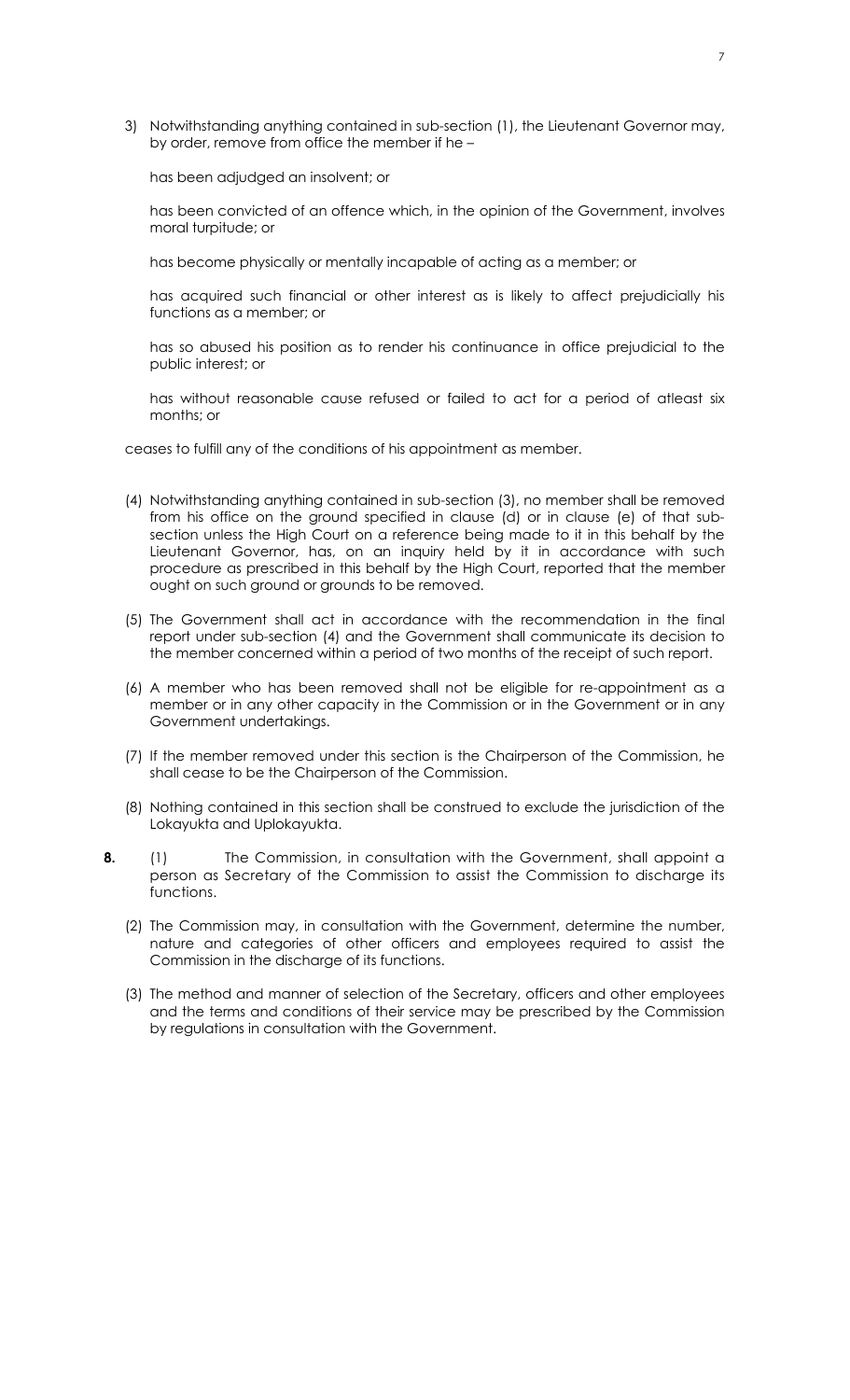3) Notwithstanding anything contained in sub-section (1), the Lieutenant Governor may, by order, remove from office the member if he –

has been adjudged an insolvent; or

has been convicted of an offence which, in the opinion of the Government, involves moral turpitude; or

has become physically or mentally incapable of acting as a member; or

has acquired such financial or other interest as is likely to affect prejudicially his functions as a member; or

has so abused his position as to render his continuance in office prejudicial to the public interest; or

has without reasonable cause refused or failed to act for a period of atleast six months; or

ceases to fulfill any of the conditions of his appointment as member.

- (4) Notwithstanding anything contained in sub-section (3), no member shall be removed from his office on the ground specified in clause (d) or in clause (e) of that subsection unless the High Court on a reference being made to it in this behalf by the Lieutenant Governor, has, on an inquiry held by it in accordance with such procedure as prescribed in this behalf by the High Court, reported that the member ought on such ground or grounds to be removed.
- (5) The Government shall act in accordance with the recommendation in the final report under sub-section (4) and the Government shall communicate its decision to the member concerned within a period of two months of the receipt of such report.
- (6) A member who has been removed shall not be eligible for re-appointment as a member or in any other capacity in the Commission or in the Government or in any Government undertakings.
- (7) If the member removed under this section is the Chairperson of the Commission, he shall cease to be the Chairperson of the Commission.
- (8) Nothing contained in this section shall be construed to exclude the jurisdiction of the Lokayukta and Uplokayukta.
- **8.** (1) The Commission, in consultation with the Government, shall appoint a person as Secretary of the Commission to assist the Commission to discharge its functions.
	- (2) The Commission may, in consultation with the Government, determine the number, nature and categories of other officers and employees required to assist the Commission in the discharge of its functions.
	- (3) The method and manner of selection of the Secretary, officers and other employees and the terms and conditions of their service may be prescribed by the Commission by regulations in consultation with the Government.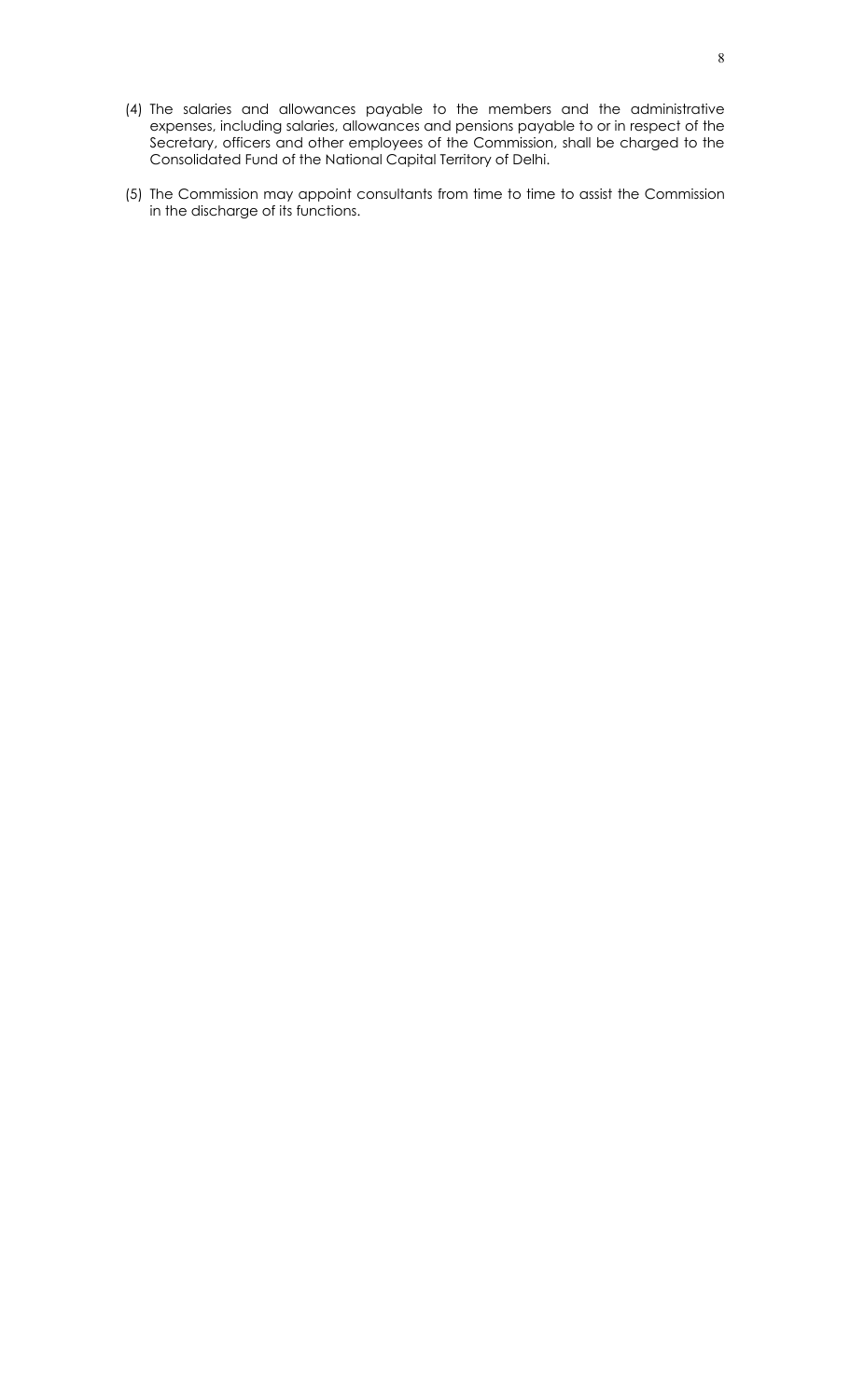- (4) The salaries and allowances payable to the members and the administrative expenses, including salaries, allowances and pensions payable to or in respect of the Secretary, officers and other employees of the Commission, shall be charged to the Consolidated Fund of the National Capital Territory of Delhi.
- (5) The Commission may appoint consultants from time to time to assist the Commission in the discharge of its functions.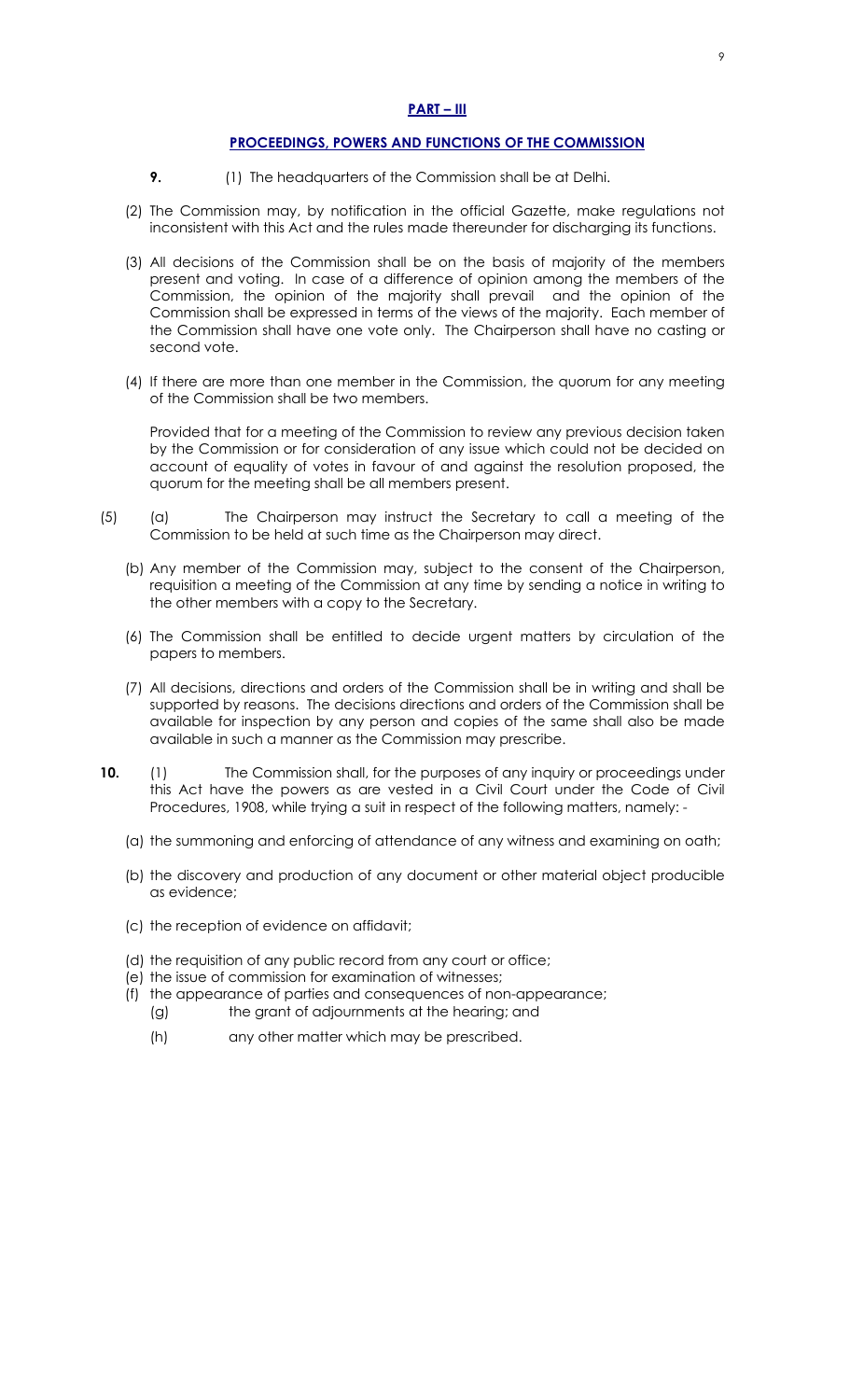#### **PART – III**

#### **PROCEEDINGS, POWERS AND FUNCTIONS OF THE COMMISSION**

- **9. (1)** The headquarters of the Commission shall be at Delhi.
- (2) The Commission may, by notification in the official Gazette, make regulations not inconsistent with this Act and the rules made thereunder for discharging its functions.
- (3) All decisions of the Commission shall be on the basis of majority of the members present and voting. In case of a difference of opinion among the members of the Commission, the opinion of the majority shall prevail and the opinion of the Commission shall be expressed in terms of the views of the majority. Each member of the Commission shall have one vote only. The Chairperson shall have no casting or second vote.
- (4) If there are more than one member in the Commission, the quorum for any meeting of the Commission shall be two members.

Provided that for a meeting of the Commission to review any previous decision taken by the Commission or for consideration of any issue which could not be decided on account of equality of votes in favour of and against the resolution proposed, the quorum for the meeting shall be all members present.

- (5) (a) The Chairperson may instruct the Secretary to call a meeting of the Commission to be held at such time as the Chairperson may direct.
	- (b) Any member of the Commission may, subject to the consent of the Chairperson, requisition a meeting of the Commission at any time by sending a notice in writing to the other members with a copy to the Secretary.
	- (6) The Commission shall be entitled to decide urgent matters by circulation of the papers to members.
	- (7) All decisions, directions and orders of the Commission shall be in writing and shall be supported by reasons. The decisions directions and orders of the Commission shall be available for inspection by any person and copies of the same shall also be made available in such a manner as the Commission may prescribe.
- **10.** (1) The Commission shall, for the purposes of any inquiry or proceedings under this Act have the powers as are vested in a Civil Court under the Code of Civil Procedures, 1908, while trying a suit in respect of the following matters, namely: -
	- (a) the summoning and enforcing of attendance of any witness and examining on oath;
	- (b) the discovery and production of any document or other material object producible as evidence;
	- (c) the reception of evidence on affidavit;
	- (d) the requisition of any public record from any court or office;
	- (e) the issue of commission for examination of witnesses;
	- (f) the appearance of parties and consequences of non-appearance; (g) the grant of adjournments at the hearing; and
		- (h) any other matter which may be prescribed.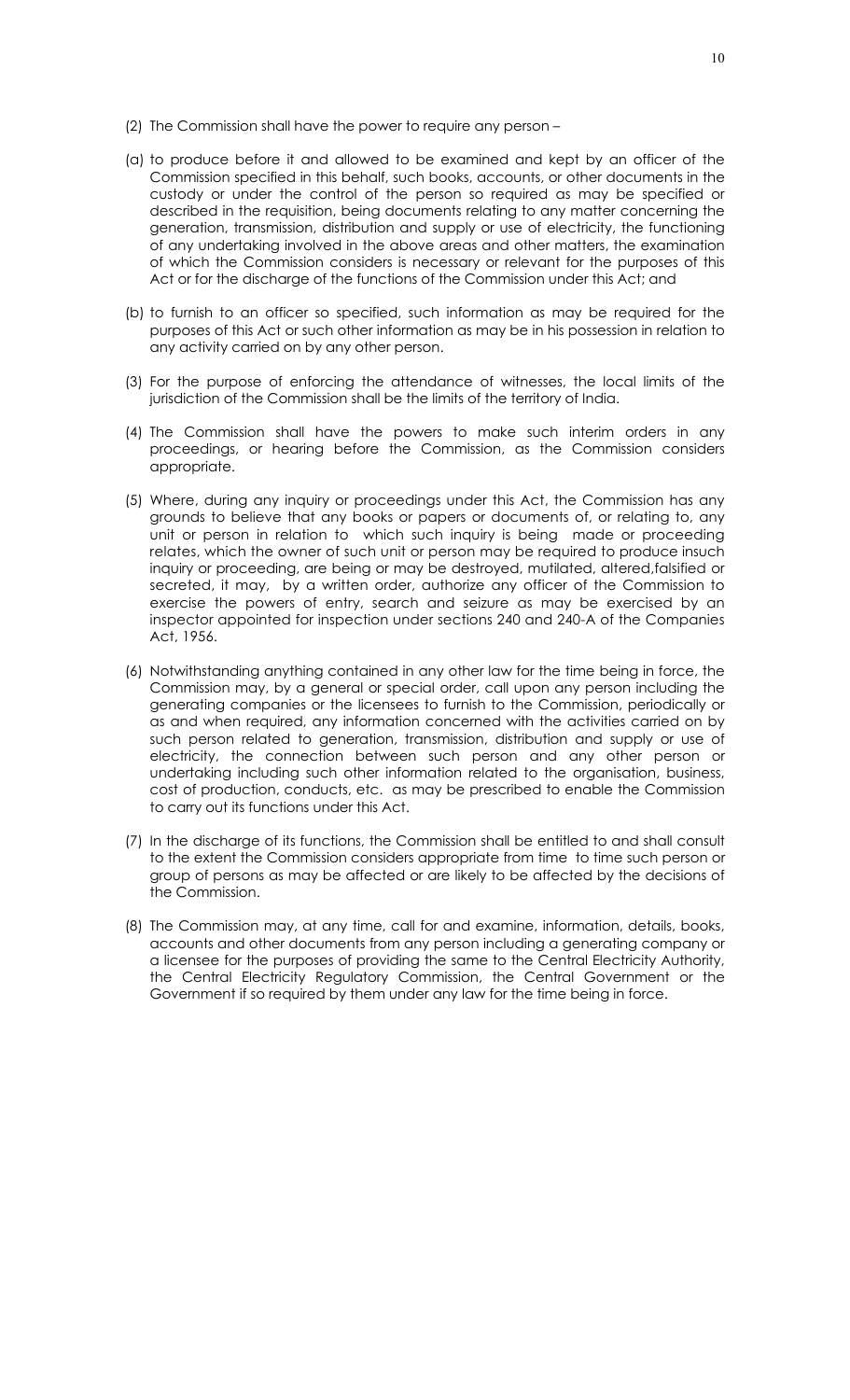- (2) The Commission shall have the power to require any person –
- (a) to produce before it and allowed to be examined and kept by an officer of the Commission specified in this behalf, such books, accounts, or other documents in the custody or under the control of the person so required as may be specified or described in the requisition, being documents relating to any matter concerning the generation, transmission, distribution and supply or use of electricity, the functioning of any undertaking involved in the above areas and other matters, the examination of which the Commission considers is necessary or relevant for the purposes of this Act or for the discharge of the functions of the Commission under this Act; and
- (b) to furnish to an officer so specified, such information as may be required for the purposes of this Act or such other information as may be in his possession in relation to any activity carried on by any other person.
- (3) For the purpose of enforcing the attendance of witnesses, the local limits of the jurisdiction of the Commission shall be the limits of the territory of India.
- (4) The Commission shall have the powers to make such interim orders in any proceedings, or hearing before the Commission, as the Commission considers appropriate.
- (5) Where, during any inquiry or proceedings under this Act, the Commission has any grounds to believe that any books or papers or documents of, or relating to, any unit or person in relation to which such inquiry is being made or proceeding relates, which the owner of such unit or person may be required to produce insuch inquiry or proceeding, are being or may be destroyed, mutilated, altered,falsified or secreted, it may, by a written order, authorize any officer of the Commission to exercise the powers of entry, search and seizure as may be exercised by an inspector appointed for inspection under sections 240 and 240-A of the Companies Act, 1956.
- (6) Notwithstanding anything contained in any other law for the time being in force, the Commission may, by a general or special order, call upon any person including the generating companies or the licensees to furnish to the Commission, periodically or as and when required, any information concerned with the activities carried on by such person related to generation, transmission, distribution and supply or use of electricity, the connection between such person and any other person or undertaking including such other information related to the organisation, business, cost of production, conducts, etc. as may be prescribed to enable the Commission to carry out its functions under this Act.
- (7) In the discharge of its functions, the Commission shall be entitled to and shall consult to the extent the Commission considers appropriate from time to time such person or group of persons as may be affected or are likely to be affected by the decisions of the Commission.
- (8) The Commission may, at any time, call for and examine, information, details, books, accounts and other documents from any person including a generating company or a licensee for the purposes of providing the same to the Central Electricity Authority, the Central Electricity Regulatory Commission, the Central Government or the Government if so required by them under any law for the time being in force.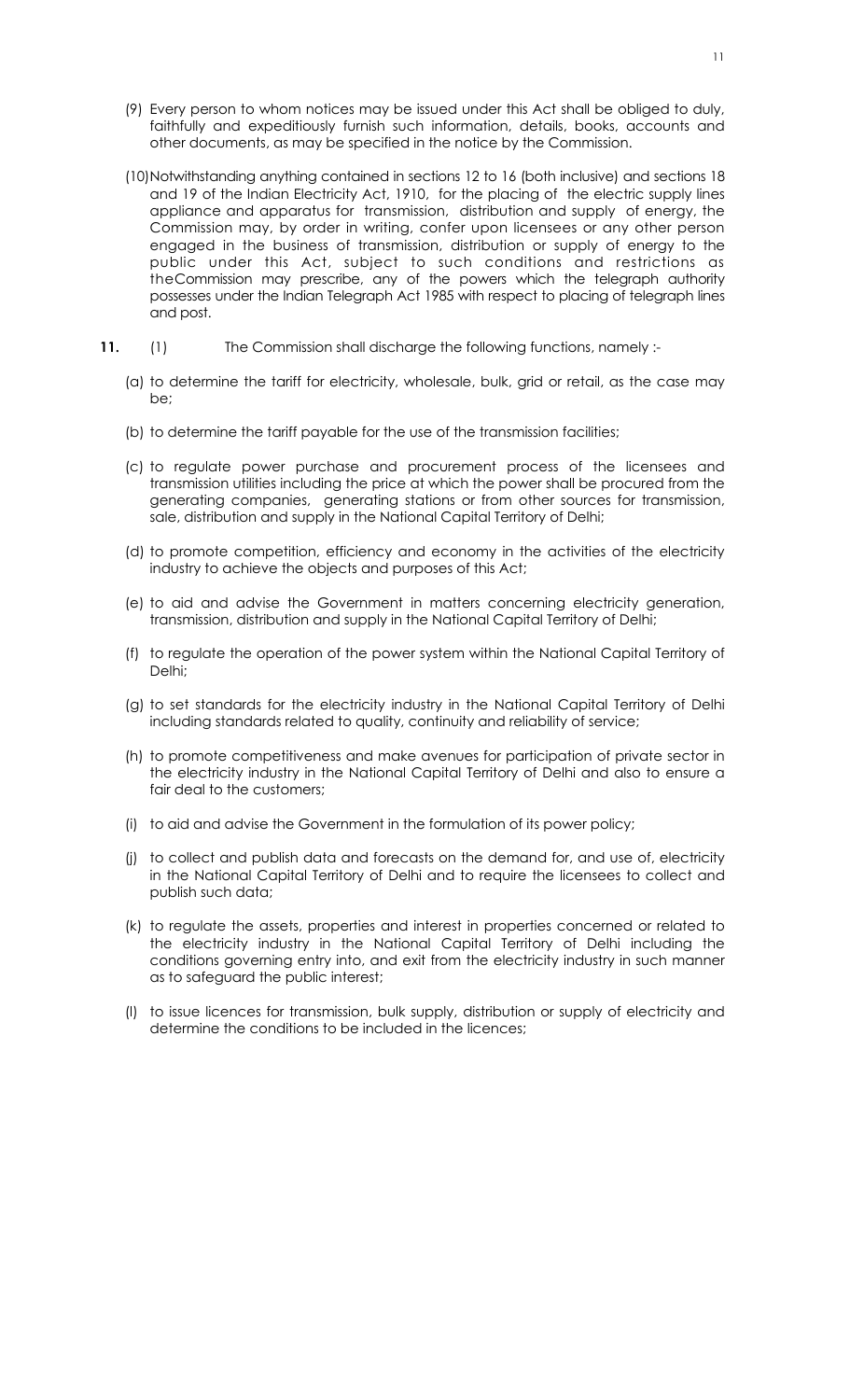- (9) Every person to whom notices may be issued under this Act shall be obliged to duly, faithfully and expeditiously furnish such information, details, books, accounts and other documents, as may be specified in the notice by the Commission.
- (10) Notwithstanding anything contained in sections 12 to 16 (both inclusive) and sections 18 and 19 of the Indian Electricity Act, 1910, for the placing of the electric supply lines appliance and apparatus for transmission, distribution and supply of energy, the Commission may, by order in writing, confer upon licensees or any other person engaged in the business of transmission, distribution or supply of energy to the public under this Act, subject to such conditions and restrictions as theCommission may prescribe, any of the powers which the telegraph authority possesses under the Indian Telegraph Act 1985 with respect to placing of telegraph lines and post.
- 11. (1) The Commission shall discharge the following functions, namely :-
	- (a) to determine the tariff for electricity, wholesale, bulk, grid or retail, as the case may be;
	- (b) to determine the tariff payable for the use of the transmission facilities;
	- (c) to regulate power purchase and procurement process of the licensees and transmission utilities including the price at which the power shall be procured from the generating companies, generating stations or from other sources for transmission, sale, distribution and supply in the National Capital Territory of Delhi;
	- (d) to promote competition, efficiency and economy in the activities of the electricity industry to achieve the objects and purposes of this Act;
	- (e) to aid and advise the Government in matters concerning electricity generation, transmission, distribution and supply in the National Capital Territory of Delhi;
	- (f) to regulate the operation of the power system within the National Capital Territory of Delhi;
	- (g) to set standards for the electricity industry in the National Capital Territory of Delhi including standards related to quality, continuity and reliability of service;
	- (h) to promote competitiveness and make avenues for participation of private sector in the electricity industry in the National Capital Territory of Delhi and also to ensure a fair deal to the customers;
	- (i) to aid and advise the Government in the formulation of its power policy;
	- (j) to collect and publish data and forecasts on the demand for, and use of, electricity in the National Capital Territory of Delhi and to require the licensees to collect and publish such data;
	- (k) to regulate the assets, properties and interest in properties concerned or related to the electricity industry in the National Capital Territory of Delhi including the conditions governing entry into, and exit from the electricity industry in such manner as to safeguard the public interest;
	- (l) to issue licences for transmission, bulk supply, distribution or supply of electricity and determine the conditions to be included in the licences;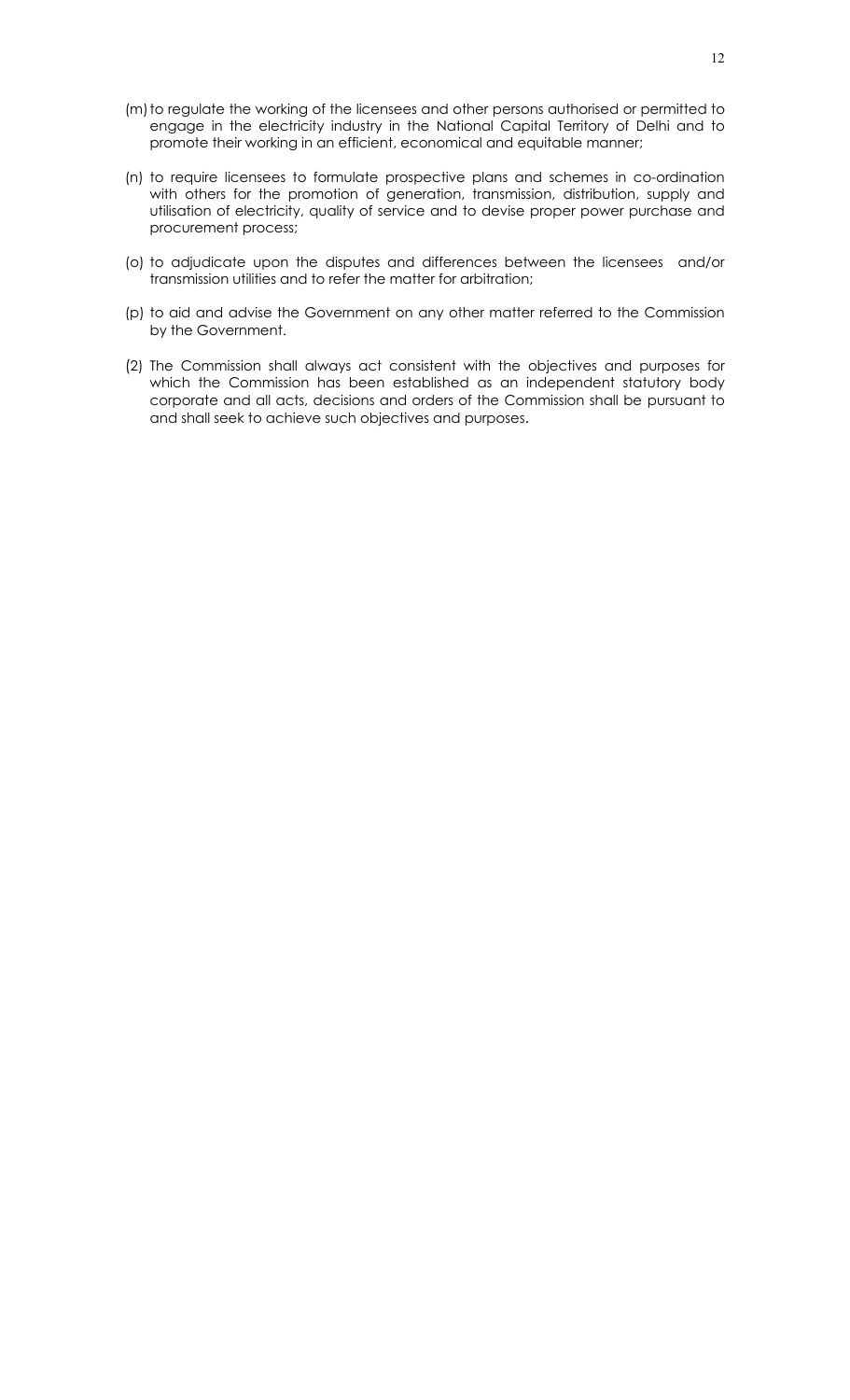- (m) to regulate the working of the licensees and other persons authorised or permitted to engage in the electricity industry in the National Capital Territory of Delhi and to promote their working in an efficient, economical and equitable manner;
- (n) to require licensees to formulate prospective plans and schemes in co-ordination with others for the promotion of generation, transmission, distribution, supply and utilisation of electricity, quality of service and to devise proper power purchase and procurement process;
- (o) to adjudicate upon the disputes and differences between the licensees and/or transmission utilities and to refer the matter for arbitration;
- (p) to aid and advise the Government on any other matter referred to the Commission by the Government.
- (2) The Commission shall always act consistent with the objectives and purposes for which the Commission has been established as an independent statutory body corporate and all acts, decisions and orders of the Commission shall be pursuant to and shall seek to achieve such objectives and purposes.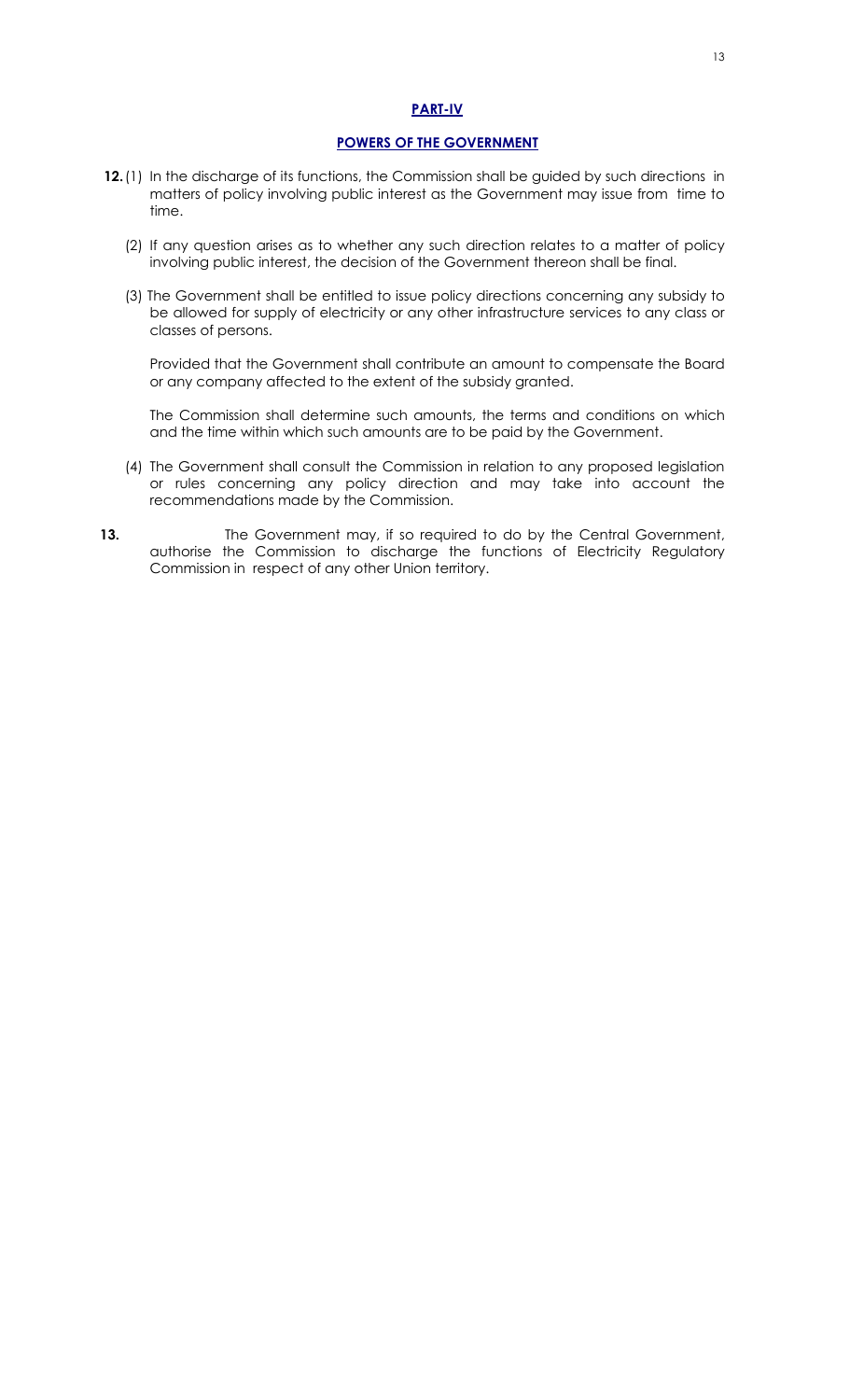## **PART-IV**

## **POWERS OF THE GOVERNMENT**

- **12.** (1) In the discharge of its functions, the Commission shall be guided by such directions in matters of policy involving public interest as the Government may issue from time to time.
	- (2) If any question arises as to whether any such direction relates to a matter of policy involving public interest, the decision of the Government thereon shall be final.
	- (3) The Government shall be entitled to issue policy directions concerning any subsidy to be allowed for supply of electricity or any other infrastructure services to any class or classes of persons.

Provided that the Government shall contribute an amount to compensate the Board or any company affected to the extent of the subsidy granted.

The Commission shall determine such amounts, the terms and conditions on which and the time within which such amounts are to be paid by the Government.

- (4) The Government shall consult the Commission in relation to any proposed legislation or rules concerning any policy direction and may take into account the recommendations made by the Commission.
- **13.** The Government may, if so required to do by the Central Government, authorise the Commission to discharge the functions of Electricity Regulatory Commission in respect of any other Union territory.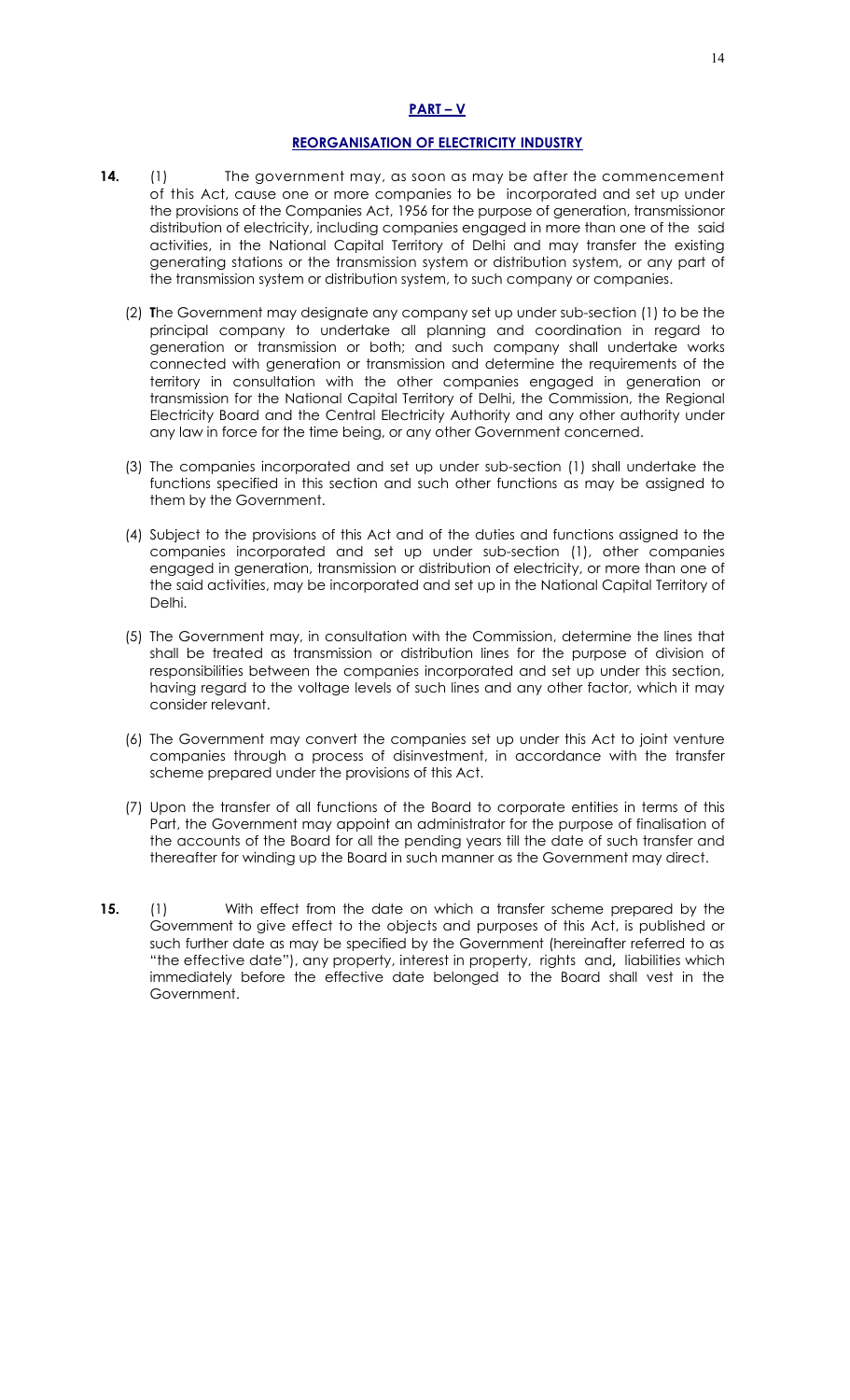## **PART – V**

## **REORGANISATION OF ELECTRICITY INDUSTRY**

- **14.** (1) The government may, as soon as may be after the commencement of this Act, cause one or more companies to be incorporated and set up under the provisions of the Companies Act, 1956 for the purpose of generation, transmissionor distribution of electricity, including companies engaged in more than one of the said activities, in the National Capital Territory of Delhi and may transfer the existing generating stations or the transmission system or distribution system, or any part of the transmission system or distribution system, to such company or companies.
	- (2) **T**he Government may designate any company set up under sub-section (1) to be the principal company to undertake all planning and coordination in regard to generation or transmission or both; and such company shall undertake works connected with generation or transmission and determine the requirements of the territory in consultation with the other companies engaged in generation or transmission for the National Capital Territory of Delhi, the Commission, the Regional Electricity Board and the Central Electricity Authority and any other authority under any law in force for the time being, or any other Government concerned.
	- (3) The companies incorporated and set up under sub-section (1) shall undertake the functions specified in this section and such other functions as may be assigned to them by the Government.
	- (4) Subject to the provisions of this Act and of the duties and functions assigned to the companies incorporated and set up under sub-section (1), other companies engaged in generation, transmission or distribution of electricity, or more than one of the said activities, may be incorporated and set up in the National Capital Territory of Delhi.
	- (5) The Government may, in consultation with the Commission, determine the lines that shall be treated as transmission or distribution lines for the purpose of division of responsibilities between the companies incorporated and set up under this section, having regard to the voltage levels of such lines and any other factor, which it may consider relevant.
	- (6) The Government may convert the companies set up under this Act to joint venture companies through a process of disinvestment, in accordance with the transfer scheme prepared under the provisions of this Act.
	- (7) Upon the transfer of all functions of the Board to corporate entities in terms of this Part, the Government may appoint an administrator for the purpose of finalisation of the accounts of the Board for all the pending years till the date of such transfer and thereafter for winding up the Board in such manner as the Government may direct.
- **15.** (1) With effect from the date on which a transfer scheme prepared by the Government to give effect to the objects and purposes of this Act, is published or such further date as may be specified by the Government (hereinafter referred to as "the effective date"), any property, interest in property, rights and**,** liabilities which immediately before the effective date belonged to the Board shall vest in the Government.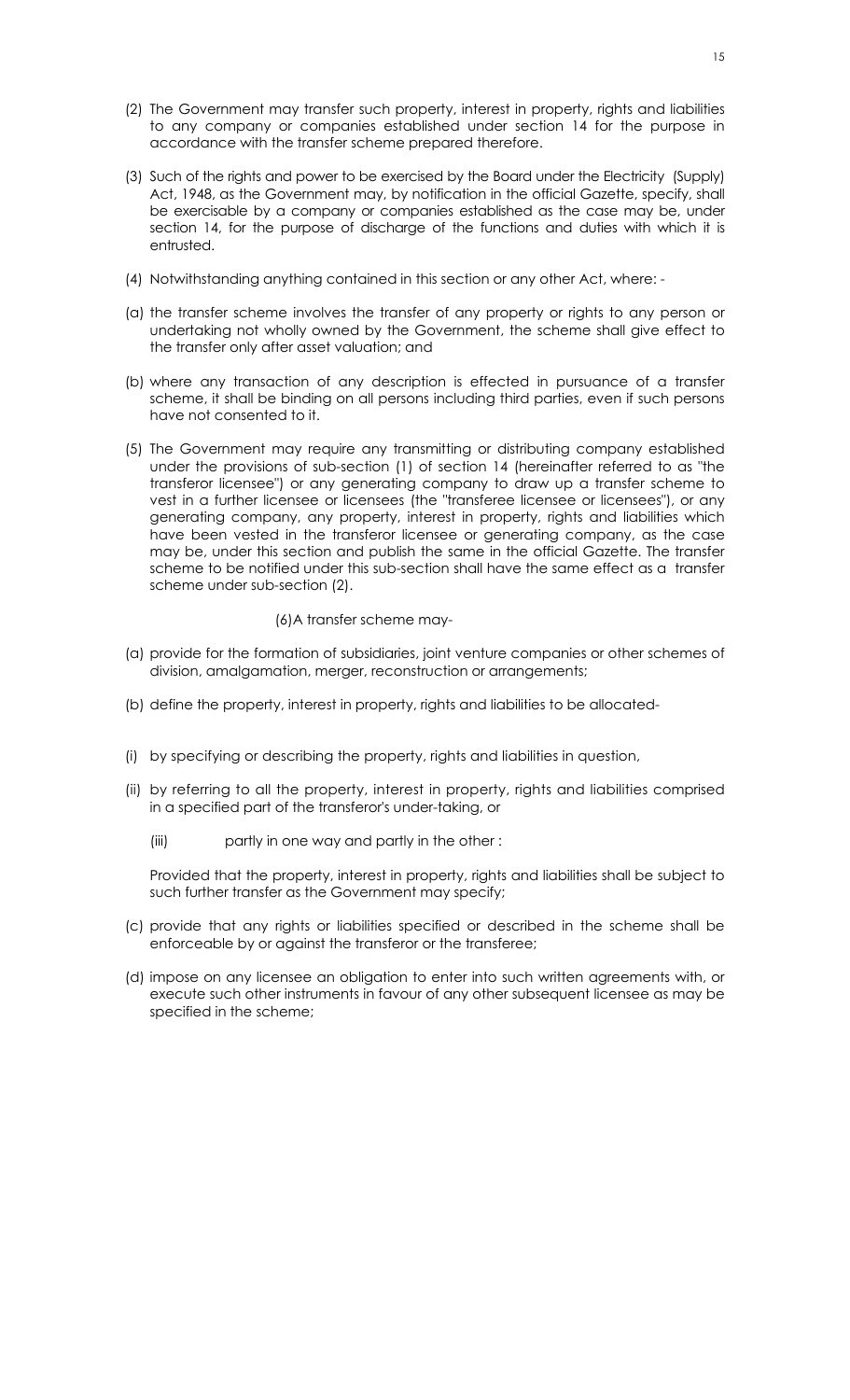- (2) The Government may transfer such property, interest in property, rights and liabilities to any company or companies established under section 14 for the purpose in accordance with the transfer scheme prepared therefore.
- (3) Such of the rights and power to be exercised by the Board under the Electricity (Supply) Act, 1948, as the Government may, by notification in the official Gazette, specify, shall be exercisable by a company or companies established as the case may be, under section 14, for the purpose of discharge of the functions and duties with which it is entrusted.
- (4) Notwithstanding anything contained in this section or any other Act, where: -
- (a) the transfer scheme involves the transfer of any property or rights to any person or undertaking not wholly owned by the Government, the scheme shall give effect to the transfer only after asset valuation; and
- (b) where any transaction of any description is effected in pursuance of a transfer scheme, it shall be binding on all persons including third parties, even if such persons have not consented to it.
- (5) The Government may require any transmitting or distributing company established under the provisions of sub-section (1) of section 14 (hereinafter referred to as "the transferor licensee") or any generating company to draw up a transfer scheme to vest in a further licensee or licensees (the "transferee licensee or licensees"), or any generating company, any property, interest in property, rights and liabilities which have been vested in the transferor licensee or generating company, as the case may be, under this section and publish the same in the official Gazette. The transfer scheme to be notified under this sub-section shall have the same effect as a transfer scheme under sub-section (2).

#### (6)A transfer scheme may-

- (a) provide for the formation of subsidiaries, joint venture companies or other schemes of division, amalgamation, merger, reconstruction or arrangements;
- (b) define the property, interest in property, rights and liabilities to be allocated-
- (i) by specifying or describing the property, rights and liabilities in question,
- (ii) by referring to all the property, interest in property, rights and liabilities comprised in a specified part of the transferor's under-taking, or
	- (iii) partly in one way and partly in the other :

Provided that the property, interest in property, rights and liabilities shall be subject to such further transfer as the Government may specify;

- (c) provide that any rights or liabilities specified or described in the scheme shall be enforceable by or against the transferor or the transferee;
- (d) impose on any licensee an obligation to enter into such written agreements with, or execute such other instruments in favour of any other subsequent licensee as may be specified in the scheme;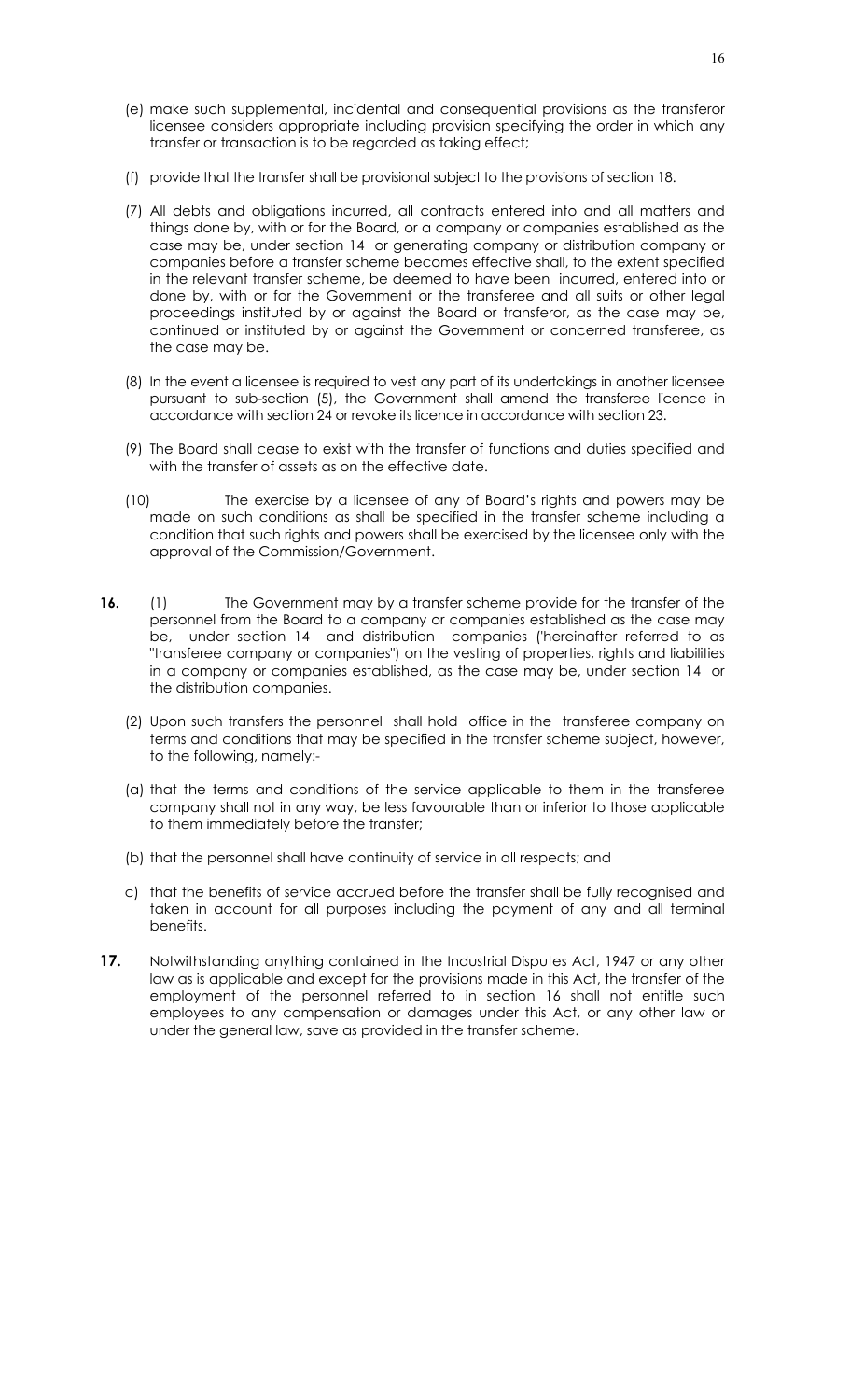- (e) make such supplemental, incidental and consequential provisions as the transferor licensee considers appropriate including provision specifying the order in which any transfer or transaction is to be regarded as taking effect;
- (f) provide that the transfer shall be provisional subject to the provisions of section 18.
- (7) All debts and obligations incurred, all contracts entered into and all matters and things done by, with or for the Board, or a company or companies established as the case may be, under section 14 or generating company or distribution company or companies before a transfer scheme becomes effective shall, to the extent specified in the relevant transfer scheme, be deemed to have been incurred, entered into or done by, with or for the Government or the transferee and all suits or other legal proceedings instituted by or against the Board or transferor, as the case may be, continued or instituted by or against the Government or concerned transferee, as the case may be.
- (8) In the event a licensee is required to vest any part of its undertakings in another licensee pursuant to sub-section (5), the Government shall amend the transferee licence in accordance with section 24 or revoke its licence in accordance with section 23.
- (9) The Board shall cease to exist with the transfer of functions and duties specified and with the transfer of assets as on the effective date.
- (10) The exercise by a licensee of any of Board's rights and powers may be made on such conditions as shall be specified in the transfer scheme including a condition that such rights and powers shall be exercised by the licensee only with the approval of the Commission/Government.
- **16.** (1) The Government may by a transfer scheme provide for the transfer of the personnel from the Board to a company or companies established as the case may be, under section 14 and distribution companies ('hereinafter referred to as "transferee company or companies") on the vesting of properties, rights and liabilities in a company or companies established, as the case may be, under section 14 or the distribution companies.
	- (2) Upon such transfers the personnel shall hold office in the transferee company on terms and conditions that may be specified in the transfer scheme subject, however, to the following, namely:-
	- (a) that the terms and conditions of the service applicable to them in the transferee company shall not in any way, be less favourable than or inferior to those applicable to them immediately before the transfer;
	- (b) that the personnel shall have continuity of service in all respects; and
	- c) that the benefits of service accrued before the transfer shall be fully recognised and taken in account for all purposes including the payment of any and all terminal benefits.
- **17.** Notwithstanding anything contained in the Industrial Disputes Act, 1947 or any other law as is applicable and except for the provisions made in this Act, the transfer of the employment of the personnel referred to in section 16 shall not entitle such employees to any compensation or damages under this Act, or any other law or under the general law, save as provided in the transfer scheme.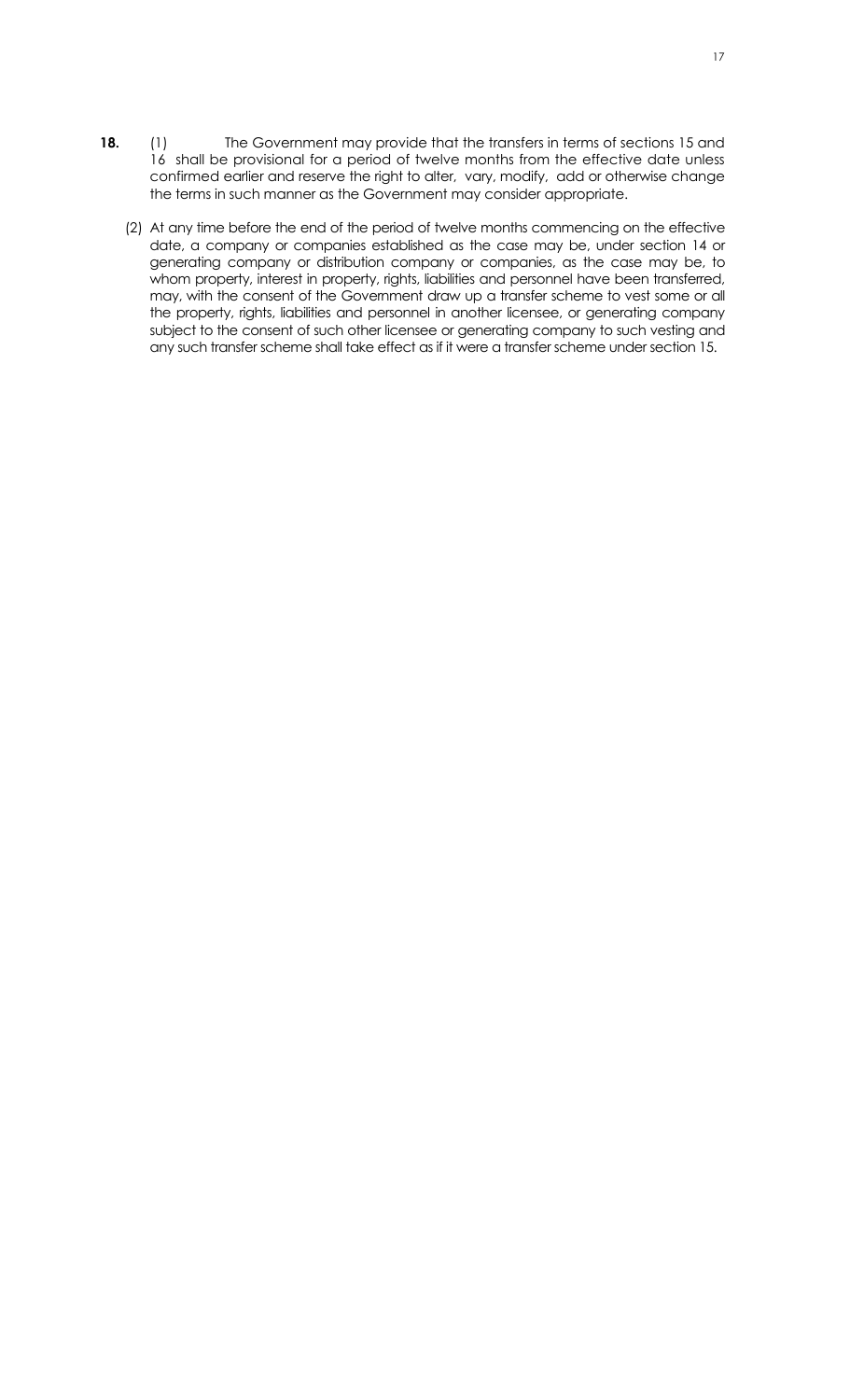- **18.** (1) The Government may provide that the transfers in terms of sections 15 and 16 shall be provisional for a period of twelve months from the effective date unless confirmed earlier and reserve the right to alter, vary, modify, add or otherwise change the terms in such manner as the Government may consider appropriate.
	- (2) At any time before the end of the period of twelve months commencing on the effective date, a company or companies established as the case may be, under section 14 or generating company or distribution company or companies, as the case may be, to whom property, interest in property, rights, liabilities and personnel have been transferred, may, with the consent of the Government draw up a transfer scheme to vest some or all the property, rights, liabilities and personnel in another licensee, or generating company subject to the consent of such other licensee or generating company to such vesting and any such transfer scheme shall take effect as if it were a transfer scheme under section 15.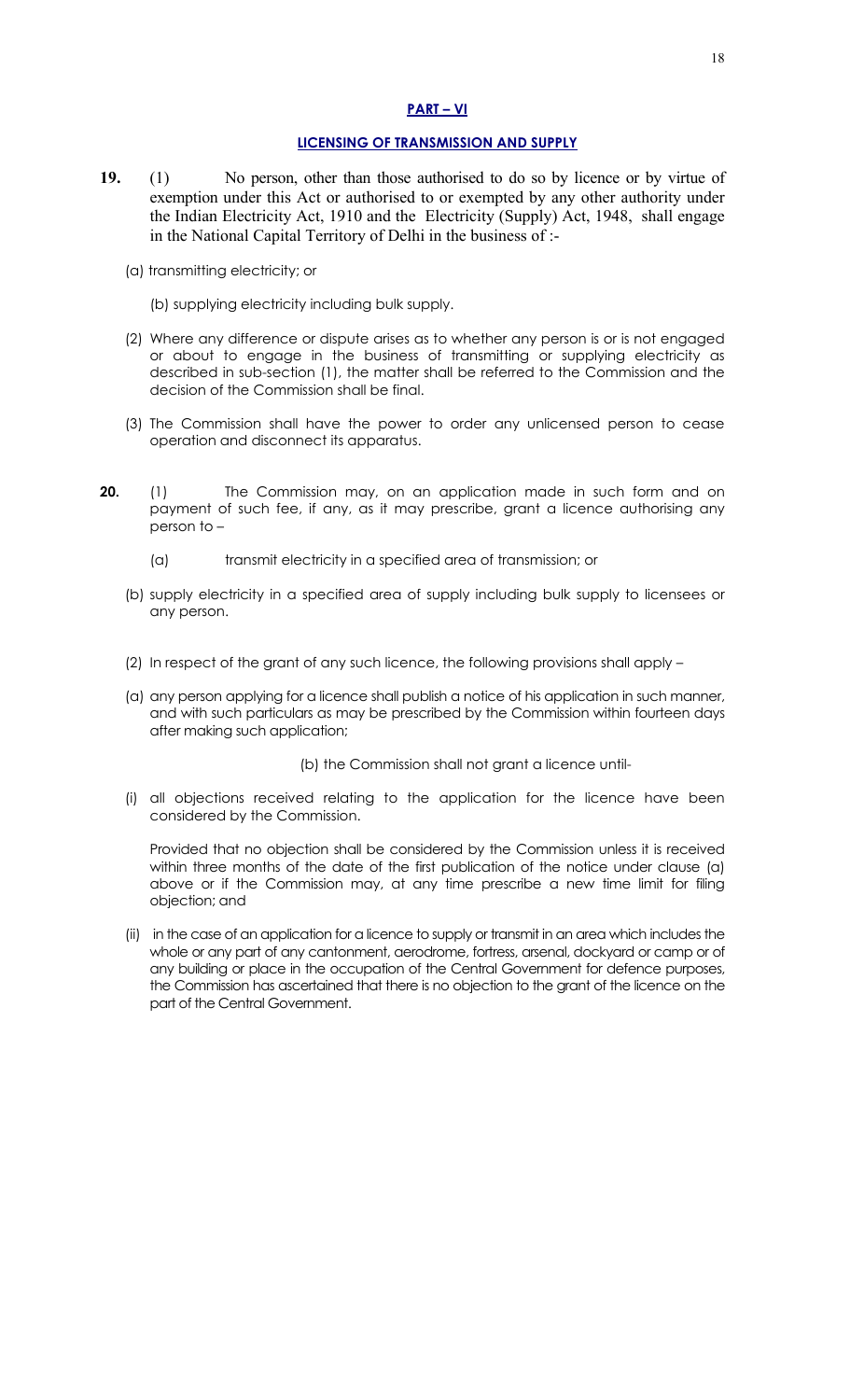## **PART – VI**

## **LICENSING OF TRANSMISSION AND SUPPLY**

- **19.** (1) No person, other than those authorised to do so by licence or by virtue of exemption under this Act or authorised to or exempted by any other authority under the Indian Electricity Act, 1910 and the Electricity (Supply) Act, 1948, shall engage in the National Capital Territory of Delhi in the business of :-
	- (a) transmitting electricity; or
		- (b) supplying electricity including bulk supply.
	- (2) Where any difference or dispute arises as to whether any person is or is not engaged or about to engage in the business of transmitting or supplying electricity as described in sub-section (1), the matter shall be referred to the Commission and the decision of the Commission shall be final.
	- (3) The Commission shall have the power to order any unlicensed person to cease operation and disconnect its apparatus.
- **20.** (1) The Commission may, on an application made in such form and on payment of such fee, if any, as it may prescribe, grant a licence authorising any person to –
	- (a) transmit electricity in a specified area of transmission; or
	- (b) supply electricity in a specified area of supply including bulk supply to licensees or any person.
	- (2) In respect of the grant of any such licence, the following provisions shall apply –
	- (a) any person applying for a licence shall publish a notice of his application in such manner, and with such particulars as may be prescribed by the Commission within fourteen days after making such application;

(b) the Commission shall not grant a licence until-

(i) all objections received relating to the application for the licence have been considered by the Commission.

Provided that no objection shall be considered by the Commission unless it is received within three months of the date of the first publication of the notice under clause (a) above or if the Commission may, at any time prescribe a new time limit for filing objection; and

(ii) in the case of an application for a licence to supply or transmit in an area which includes the whole or any part of any cantonment, aerodrome, fortress, arsenal, dockyard or camp or of any building or place in the occupation of the Central Government for defence purposes, the Commission has ascertained that there is no objection to the grant of the licence on the part of the Central Government.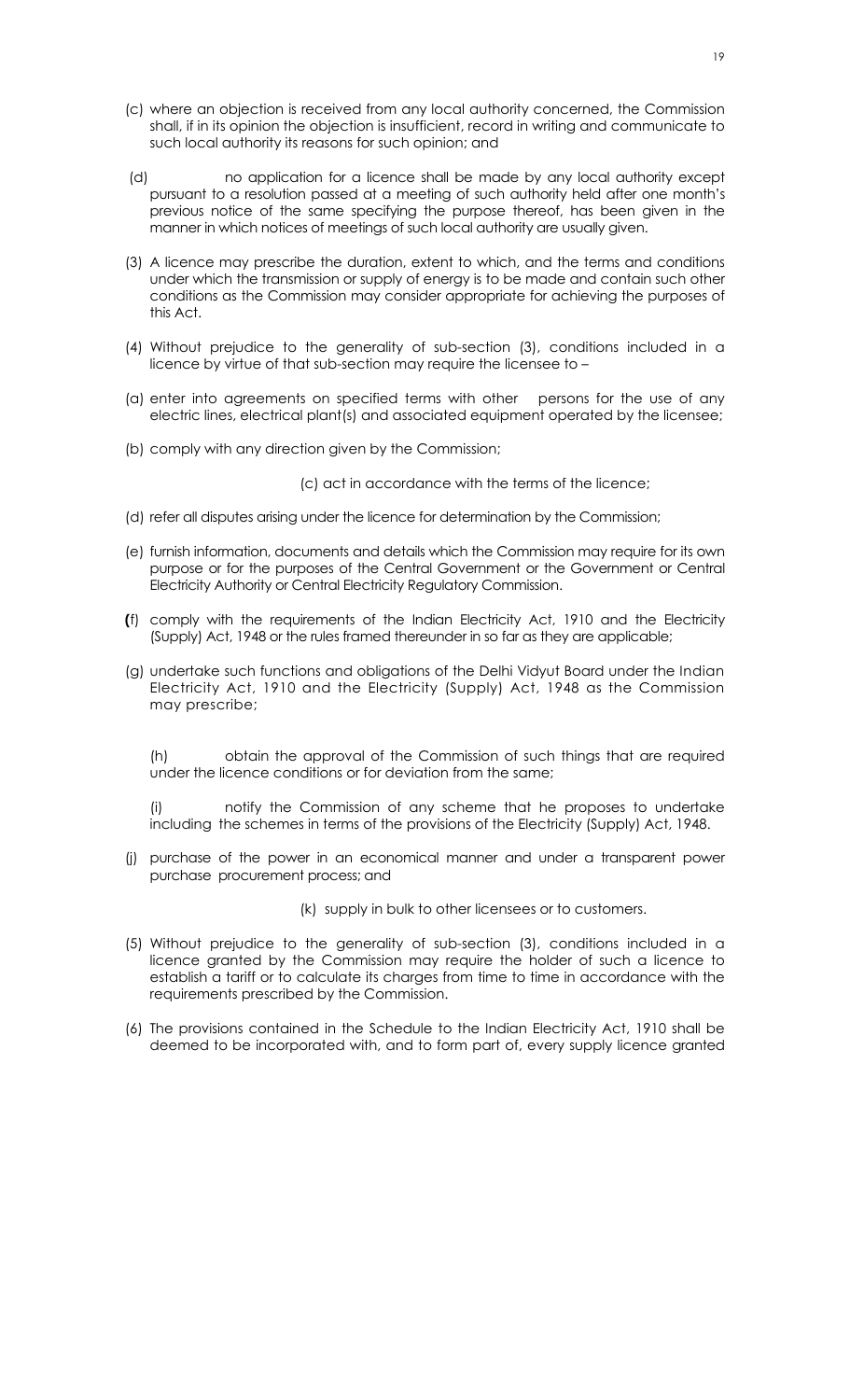- (c) where an objection is received from any local authority concerned, the Commission shall, if in its opinion the objection is insufficient, record in writing and communicate to such local authority its reasons for such opinion; and
- (d) no application for a licence shall be made by any local authority except pursuant to a resolution passed at a meeting of such authority held after one month's previous notice of the same specifying the purpose thereof, has been given in the manner in which notices of meetings of such local authority are usually given.
- (3) A licence may prescribe the duration, extent to which, and the terms and conditions under which the transmission or supply of energy is to be made and contain such other conditions as the Commission may consider appropriate for achieving the purposes of this Act.
- (4) Without prejudice to the generality of sub-section (3), conditions included in a licence by virtue of that sub-section may require the licensee to –
- (a) enter into agreements on specified terms with other persons for the use of any electric lines, electrical plant(s) and associated equipment operated by the licensee;
- (b) comply with any direction given by the Commission;

(c) act in accordance with the terms of the licence;

- (d) refer all disputes arising under the licence for determination by the Commission;
- (e) furnish information, documents and details which the Commission may require for its own purpose or for the purposes of the Central Government or the Government or Central Electricity Authority or Central Electricity Regulatory Commission.
- **(**f) comply with the requirements of the Indian Electricity Act, 1910 and the Electricity (Supply) Act, 1948 or the rules framed thereunder in so far as they are applicable;
- (g) undertake such functions and obligations of the Delhi Vidyut Board under the Indian Electricity Act, 1910 and the Electricity (Supply) Act, 1948 as the Commission may prescribe;

(h) obtain the approval of the Commission of such things that are required under the licence conditions or for deviation from the same;

(i) notify the Commission of any scheme that he proposes to undertake includingthe schemes in terms of the provisions of the Electricity (Supply) Act, 1948.

- (j) purchase of the power in an economical manner and under a transparent power purchase procurement process; and
	- (k) supply in bulk to other licensees or to customers.
- (5) Without prejudice to the generality of sub-section (3), conditions included in a licence granted by the Commission may require the holder of such a licence to establish a tariff or to calculate its charges from time to time in accordance with the requirements prescribed by the Commission.
- (6) The provisions contained in the Schedule to the Indian Electricity Act, 1910 shall be deemed to be incorporated with, and to form part of, every supply licence granted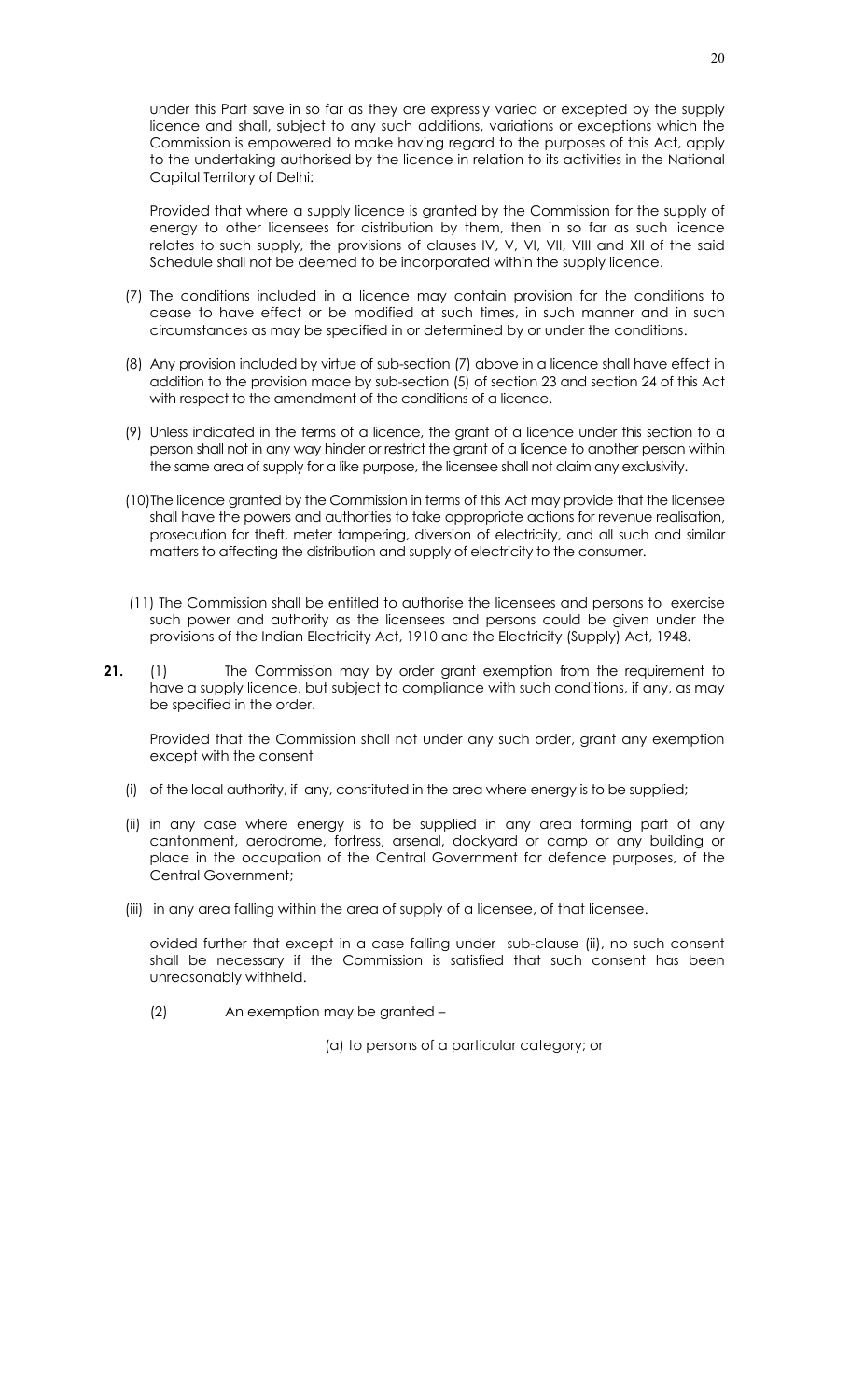under this Part save in so far as they are expressly varied or excepted by the supply licence and shall, subject to any such additions, variations or exceptions which the Commission is empowered to make having regard to the purposes of this Act, apply to the undertaking authorised by the licence in relation to its activities in the National Capital Territory of Delhi:

Provided that where a supply licence is granted by the Commission for the supply of energy to other licensees for distribution by them, then in so far as such licence relates to such supply, the provisions of clauses IV, V, VI, VII, VIII and XII of the said Schedule shall not be deemed to be incorporated within the supply licence.

- (7) The conditions included in a licence may contain provision for the conditions to cease to have effect or be modified at such times, in such manner and in such circumstances as may be specified in or determined by or under the conditions.
- (8) Any provision included by virtue of sub-section (7) above in a licence shall have effect in addition to the provision made by sub-section (5) of section 23 and section 24 of this Act with respect to the amendment of the conditions of a licence.
- (9) Unless indicated in the terms of a licence, the grant of a licence under this section to a person shall not in any way hinder or restrict the grant of a licence to another person within the same area of supply for a like purpose, the licensee shall not claim any exclusivity.
- (10)The licence granted by the Commission in terms of this Act may provide that the licensee shall have the powers and authorities to take appropriate actions for revenue realisation, prosecution for theft, meter tampering, diversion of electricity, and all such and similar matters to affecting the distribution and supply of electricity to the consumer.
- (11) The Commission shall be entitled to authorise the licensees and persons to exercise such power and authority as the licensees and persons could be given under the provisions of the Indian Electricity Act, 1910 and the Electricity (Supply) Act, 1948.
- **21.** (1) The Commission may by order grant exemption from the requirement to have a supply licence, but subject to compliance with such conditions, if any, as may be specified in the order.

Provided that the Commission shall not under any such order, grant any exemption except with the consent

- (i) of the local authority, if any, constituted in the area where energy is to be supplied;
- (ii) in any case where energy is to be supplied in any area forming part of any cantonment, aerodrome, fortress, arsenal, dockyard or camp or any building or place in the occupation of the Central Government for defence purposes, of the Central Government;
- (iii) in any area falling within the area of supply of a licensee, of that licensee.

ovided further that except in a case falling under sub-clause (ii), no such consent shall be necessary if the Commission is satisfied that such consent has been unreasonably withheld.

(2) An exemption may be granted –

(a) to persons of a particular category; or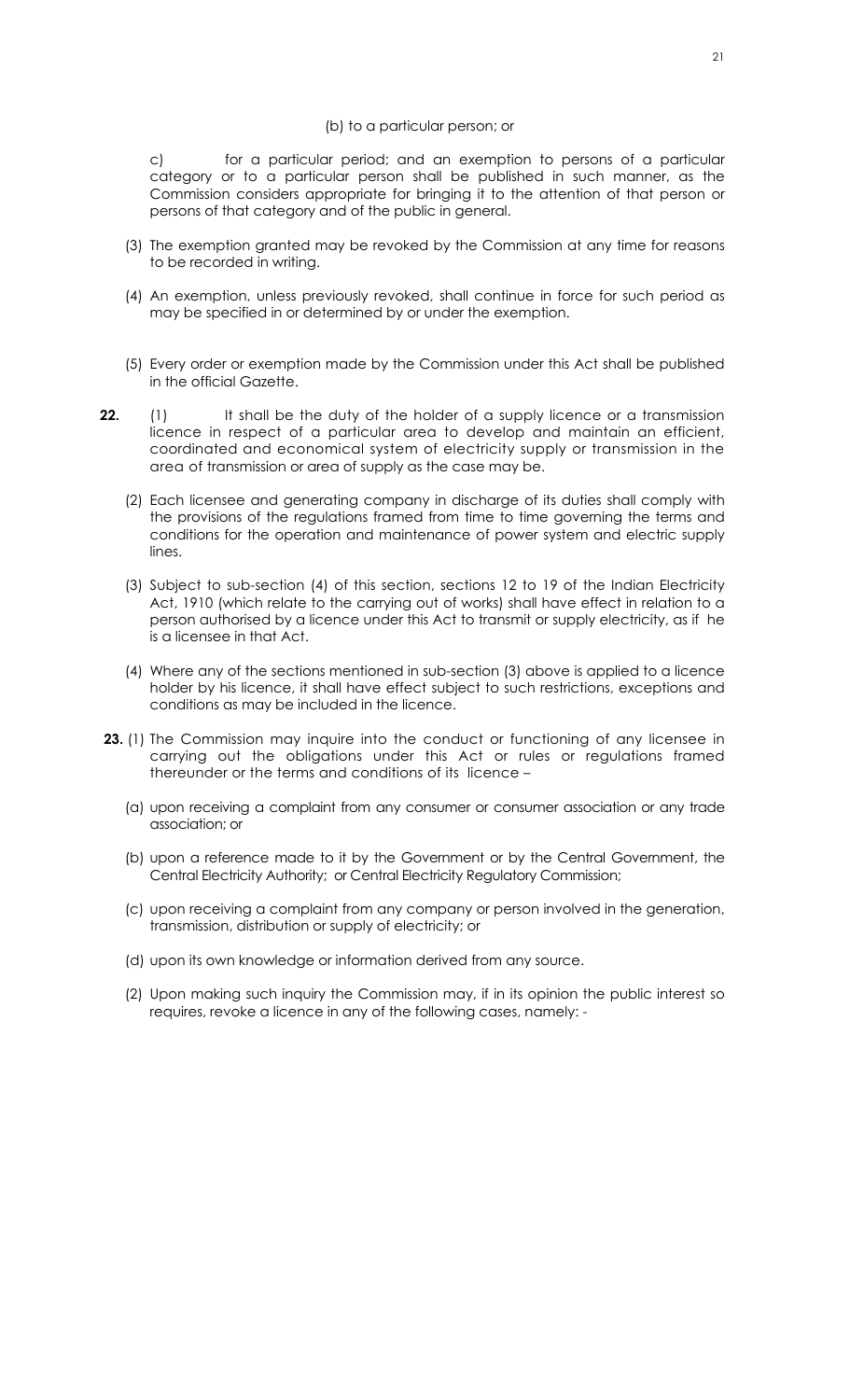#### (b) to a particular person; or

c) for a particular period; and an exemption to persons of a particular category or to a particular person shall be published in such manner, as the Commission considers appropriate for bringing it to the attention of that person or persons of that category and of the public in general.

- (3) The exemption granted may be revoked by the Commission at any time for reasons to be recorded in writing.
- (4) An exemption, unless previously revoked, shall continue in force for such period as may be specified in or determined by or under the exemption.
- (5) Every order or exemption made by the Commission under this Act shall be published in the official Gazette.
- **22.** (1) It shall be the duty of the holder of a supply licence or a transmission licence in respect of a particular area to develop and maintain an efficient, coordinated and economical system of electricity supply or transmission in the area of transmission or area of supply as the case may be.
	- (2) Each licensee and generating company in discharge of its duties shall comply with the provisions of the regulations framed from time to time governing the terms and conditions for the operation and maintenance of power system and electric supply lines.
	- (3) Subject to sub-section (4) of this section, sections 12 to 19 of the Indian Electricity Act, 1910 (which relate to the carrying out of works) shall have effect in relation to a person authorised by a licence under this Act to transmit or supply electricity, as if he is a licensee in that Act.
	- (4) Where any of the sections mentioned in sub-section (3) above is applied to a licence holder by his licence, it shall have effect subject to such restrictions, exceptions and conditions as may be included in the licence.
- **23.** (1) The Commission may inquire into the conduct or functioning of any licensee in carrying out the obligations under this Act or rules or regulations framed thereunder or the terms and conditions of its licence –
	- (a) upon receiving a complaint from any consumer or consumer association or any trade association; or
	- (b) upon a reference made to it by the Government or by the Central Government, the Central Electricity Authority; or Central Electricity Regulatory Commission;
	- (c) upon receiving a complaint from any company or person involved in the generation, transmission, distribution or supply of electricity; or
	- (d) upon its own knowledge or information derived from any source.
	- (2) Upon making such inquiry the Commission may, if in its opinion the public interest so requires, revoke a licence in any of the following cases, namely: -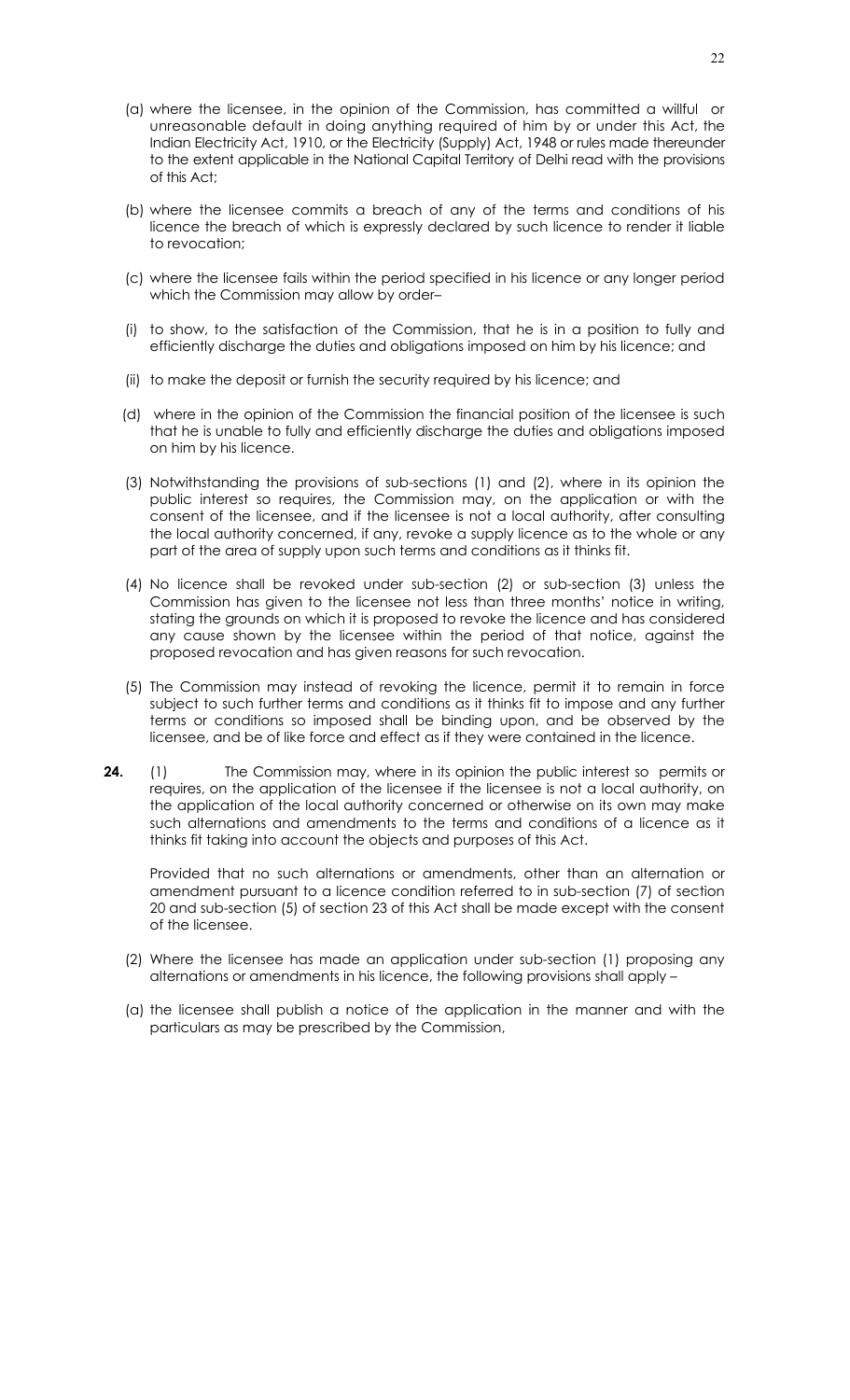- (a) where the licensee, in the opinion of the Commission, has committed a willful or unreasonable default in doing anything required of him by or under this Act, the Indian Electricity Act, 1910, or the Electricity (Supply) Act, 1948 or rules made thereunder to the extent applicable in the National Capital Territory of Delhi read with the provisions of this Act;
- (b) where the licensee commits a breach of any of the terms and conditions of his licence the breach of which is expressly declared by such licence to render it liable to revocation;
- (c) where the licensee fails within the period specified in his licence or any longer period which the Commission may allow by order–
- (i) to show, to the satisfaction of the Commission, that he is in a position to fully and efficiently discharge the duties and obligations imposed on him by his licence; and
- (ii) to make the deposit or furnish the security required by his licence; and
- (d) where in the opinion of the Commission the financial position of the licensee is such that he is unable to fully and efficiently discharge the duties and obligations imposed on him by his licence.
- (3) Notwithstanding the provisions of sub-sections (1) and (2), where in its opinion the public interest so requires, the Commission may, on the application or with the consent of the licensee, and if the licensee is not a local authority, after consulting the local authority concerned, if any, revoke a supply licence as to the whole or any part of the area of supply upon such terms and conditions as it thinks fit.
- (4) No licence shall be revoked under sub-section (2) or sub-section (3) unless the Commission has given to the licensee not less than three months' notice in writing, stating the grounds on which it is proposed to revoke the licence and has considered any cause shown by the licensee within the period of that notice, against the proposed revocation and has given reasons for such revocation.
- (5) The Commission may instead of revoking the licence, permit it to remain in force subject to such further terms and conditions as it thinks fit to impose and any further terms or conditions so imposed shall be binding upon, and be observed by the licensee, and be of like force and effect as if they were contained in the licence.
- **24.** (1) The Commission may, where in its opinion the public interest so permits or requires, on the application of the licensee if the licensee is not a local authority, on the application of the local authority concerned or otherwise on its own may make such alternations and amendments to the terms and conditions of a licence as it thinks fit taking into account the objects and purposes of this Act.

Provided that no such alternations or amendments, other than an alternation or amendment pursuant to a licence condition referred to in sub-section (7) of section 20 and sub-section (5) of section 23 of this Act shall be made except with the consent of the licensee.

- (2) Where the licensee has made an application under sub-section (1) proposing any alternations or amendments in his licence, the following provisions shall apply –
- (a) the licensee shall publish a notice of the application in the manner and with the particulars as may be prescribed by the Commission,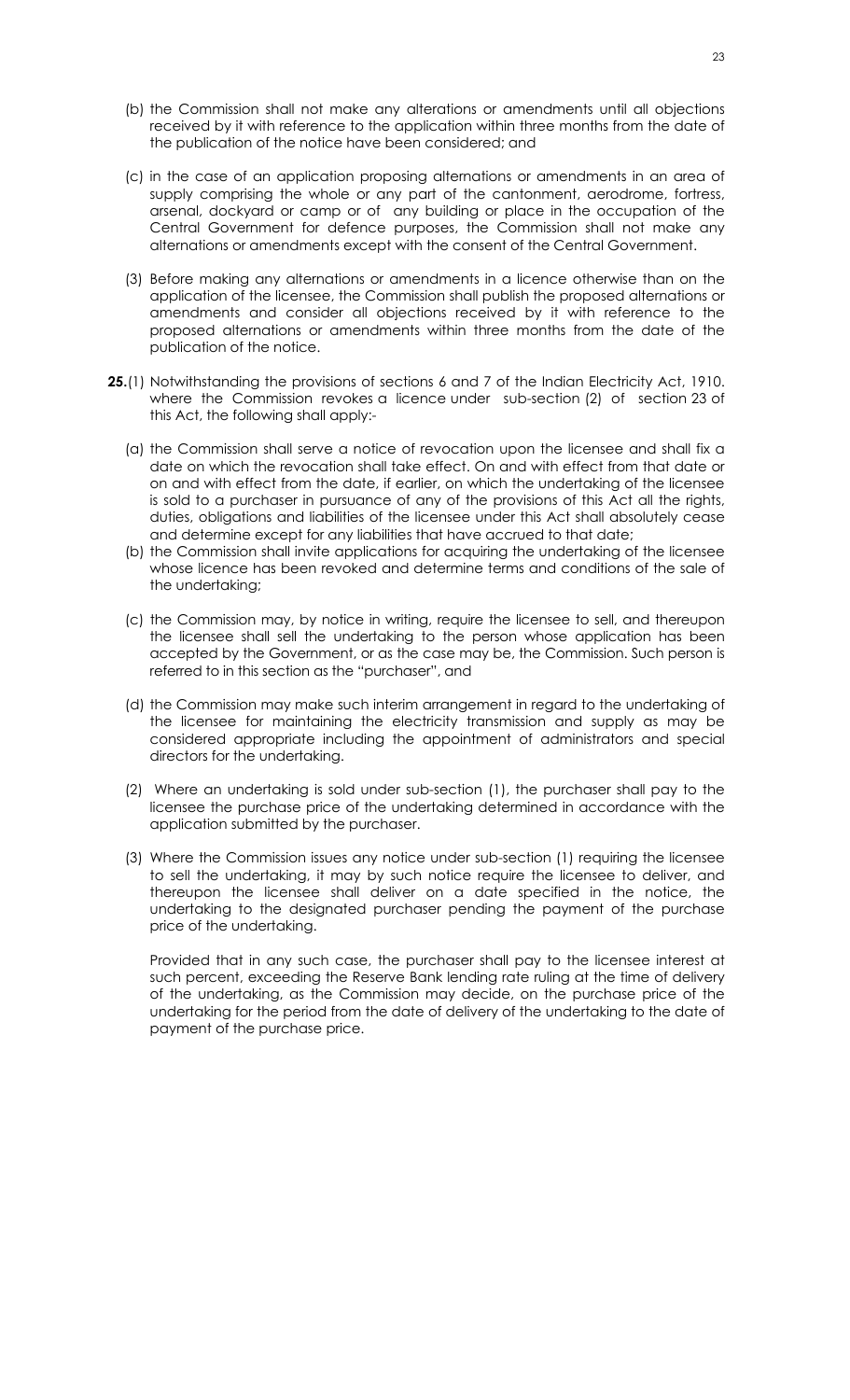- (b) the Commission shall not make any alterations or amendments until all objections received by it with reference to the application within three months from the date of the publication of the notice have been considered; and
- (c) in the case of an application proposing alternations or amendments in an area of supply comprising the whole or any part of the cantonment, aerodrome, fortress, arsenal, dockyard or camp or of any building or place in the occupation of the Central Government for defence purposes, the Commission shall not make any alternations or amendments except with the consent of the Central Government.
- (3) Before making any alternations or amendments in a licence otherwise than on the application of the licensee, the Commission shall publish the proposed alternations or amendments and consider all objections received by it with reference to the proposed alternations or amendments within three months from the date of the publication of the notice.
- **25.**(1) Notwithstanding the provisions of sections 6 and 7 of the Indian Electricity Act, 1910. where the Commission revokes a licence under sub-section (2) of section 23 of this Act, the following shall apply:-
	- (a) the Commission shall serve a notice of revocation upon the licensee and shall fix a date on which the revocation shall take effect. On and with effect from that date or on and with effect from the date, if earlier, on which the undertaking of the licensee is sold to a purchaser in pursuance of any of the provisions of this Act all the rights, duties, obligations and liabilities of the licensee under this Act shall absolutely cease and determine except for any liabilities that have accrued to that date;
	- (b) the Commission shall invite applications for acquiring the undertaking of the licensee whose licence has been revoked and determine terms and conditions of the sale of the undertaking;
	- (c) the Commission may, by notice in writing, require the licensee to sell, and thereupon the licensee shall sell the undertaking to the person whose application has been accepted by the Government, or as the case may be, the Commission. Such person is referred to in this section as the "purchaser", and
	- (d) the Commission may make such interim arrangement in regard to the undertaking of the licensee for maintaining the electricity transmission and supply as may be considered appropriate including the appointment of administrators and special directors for the undertaking.
	- (2) Where an undertaking is sold under sub-section (1), the purchaser shall pay to the licensee the purchase price of the undertaking determined in accordance with the application submitted by the purchaser.
	- (3) Where the Commission issues any notice under sub-section (1) requiring the licensee to sell the undertaking, it may by such notice require the licensee to deliver, and thereupon the licensee shall deliver on a date specified in the notice, the undertaking to the designated purchaser pending the payment of the purchase price of the undertaking.

Provided that in any such case, the purchaser shall pay to the licensee interest at such percent, exceeding the Reserve Bank lending rate ruling at the time of delivery of the undertaking, as the Commission may decide, on the purchase price of the undertaking for the period from the date of delivery of the undertaking to the date of payment of the purchase price.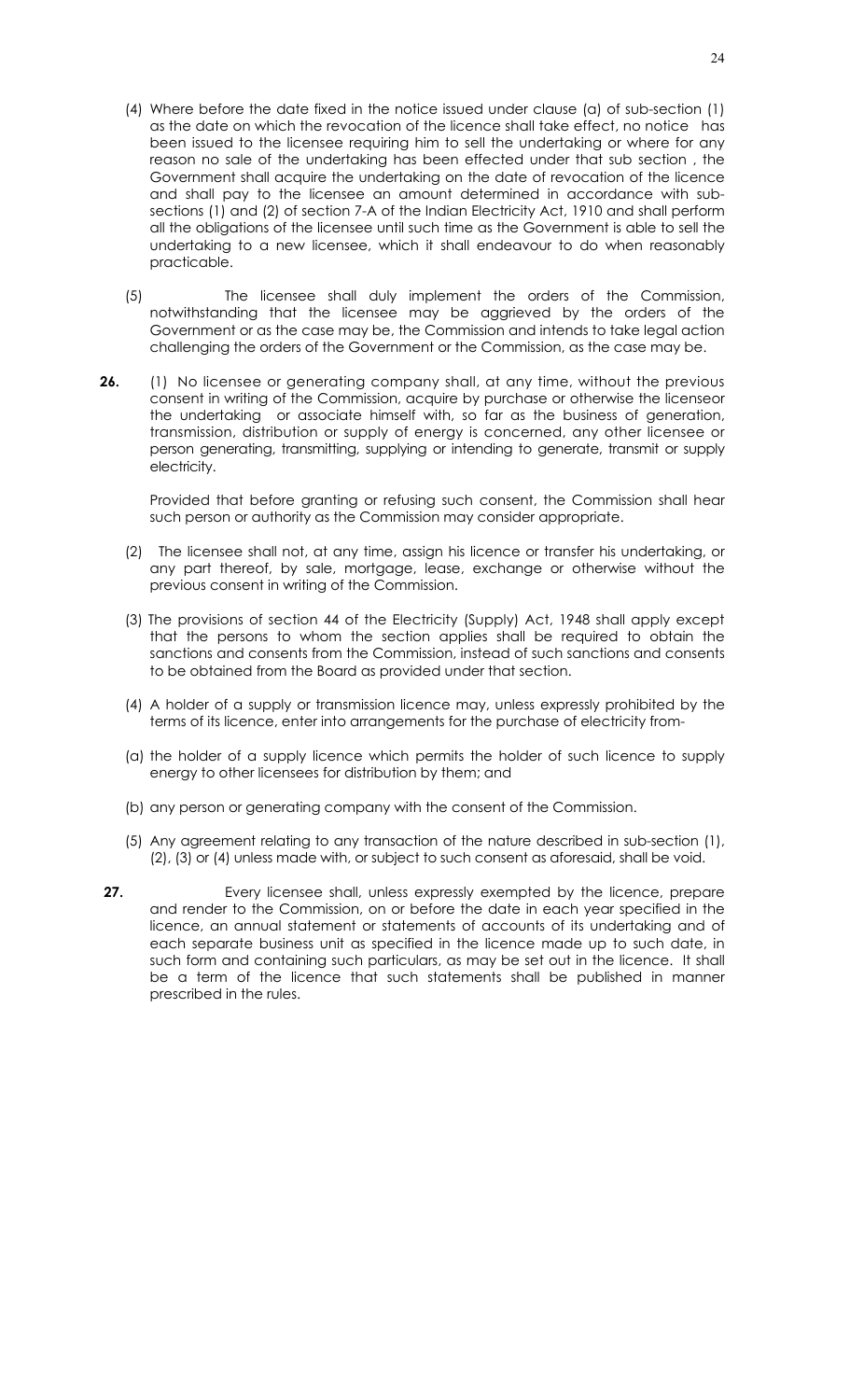- (4) Where before the date fixed in the notice issued under clause (a) of sub-section (1) as the date on which the revocation of the licence shall take effect, no notice has been issued to the licensee requiring him to sell the undertaking or where for any reason no sale of the undertaking has been effected under that sub section , the Government shall acquire the undertaking on the date of revocation of the licence and shall pay to the licensee an amount determined in accordance with subsections (1) and (2) of section 7-A of the Indian Electricity Act, 1910 and shall perform all the obligations of the licensee until such time as the Government is able to sell the undertaking to a new licensee, which it shall endeavour to do when reasonably practicable.
- (5) The licensee shall duly implement the orders of the Commission, notwithstanding that the licensee may be aggrieved by the orders of the Government or as the case may be, the Commission and intends to take legal action challenging the orders of the Government or the Commission, as the case may be.
- **26.** (1) No licensee or generating company shall, at any time, without the previous consent in writing of the Commission, acquire by purchase or otherwise the licenseor the undertaking or associate himself with, so far as the business of generation, transmission, distribution or supply of energy is concerned, any other licensee or person generating, transmitting, supplying or intending to generate, transmit or supply electricity.

Provided that before granting or refusing such consent, the Commission shall hear such person or authority as the Commission may consider appropriate.

- (2) The licensee shall not, at any time, assign his licence or transfer his undertaking, or any part thereof, by sale, mortgage, lease, exchange or otherwise without the previous consent in writing of the Commission.
- (3) The provisions of section 44 of the Electricity (Supply) Act, 1948 shall apply except that the persons to whom the section applies shall be required to obtain the sanctions and consents from the Commission, instead of such sanctions and consents to be obtained from the Board as provided under that section.
- (4) A holder of a supply or transmission licence may, unless expressly prohibited by the terms of its licence, enter into arrangements for the purchase of electricity from-
- (a) the holder of a supply licence which permits the holder of such licence to supply energy to other licensees for distribution by them; and
- (b) any person or generating company with the consent of the Commission.
- (5) Any agreement relating to any transaction of the nature described in sub-section (1), (2), (3) or (4) unless made with, or subject to such consent as aforesaid, shall be void.
- **27. Every licensee shall, unless expressly exempted by the licence, prepare** and render to the Commission, on or before the date in each year specified in the licence, an annual statement or statements of accounts of its undertaking and of each separate business unit as specified in the licence made up to such date, in such form and containing such particulars, as may be set out in the licence. It shall be a term of the licence that such statements shall be published in manner prescribed in the rules.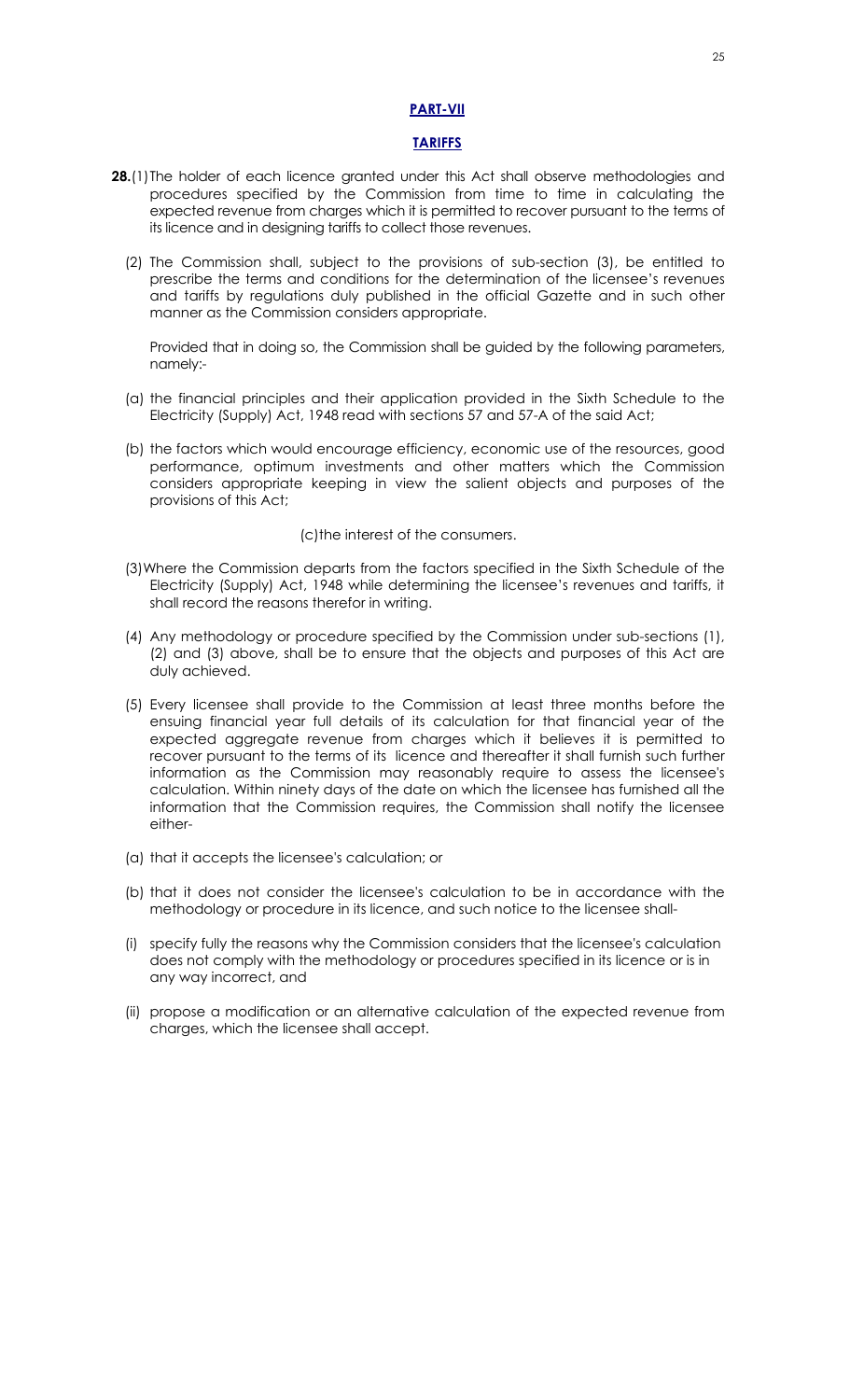#### **PART-VII**

#### **TARIFFS**

- **28.**(1) The holder of each licence granted under this Act shall observe methodologies and procedures specified by the Commission from time to time in calculating the expected revenue from charges which it is permitted to recover pursuant to the terms of its licence and in designing tariffs to collect those revenues.
	- (2) The Commission shall, subject to the provisions of sub-section (3), be entitled to prescribe the terms and conditions for the determination of the licensee's revenues and tariffs by regulations duly published in the official Gazette and in such other manner as the Commission considers appropriate.

Provided that in doing so, the Commission shall be guided by the following parameters, namely:-

- (a) the financial principles and their application provided in the Sixth Schedule to the Electricity (Supply) Act, 1948 read with sections 57 and 57-A of the said Act;
- (b) the factors which would encourage efficiency, economic use of the resources, good performance, optimum investments and other matters which the Commission considers appropriate keeping in view the salient objects and purposes of the provisions of this Act;

#### (c)the interest of the consumers.

- (3)Where the Commission departs from the factors specified in the Sixth Schedule of the Electricity (Supply) Act, 1948 while determining the licensee's revenues and tariffs, it shall record the reasons therefor in writing.
- (4) Any methodology or procedure specified by the Commission under sub-sections (1), (2) and (3) above, shall be to ensure that the objects and purposes of this Act are duly achieved.
- (5) Every licensee shall provide to the Commission at least three months before the ensuing financial year full details of its calculation for that financial year of the expected aggregate revenue from charges which it believes it is permitted to recover pursuant to the terms of its licence and thereafter it shall furnish such further information as the Commission may reasonably require to assess the licensee's calculation. Within ninety days of the date on which the licensee has furnished all the information that the Commission requires, the Commission shall notify the licensee either-
- (a) that it accepts the licensee's calculation; or
- (b) that it does not consider the licensee's calculation to be in accordance with the methodology or procedure in its licence, and such notice to the licensee shall-
- (i) specify fully the reasons why the Commission considers that the licensee's calculation does not comply with the methodology or procedures specified in its licence or is in any way incorrect, and
- (ii) propose a modification or an alternative calculation of the expected revenue from charges, which the licensee shall accept.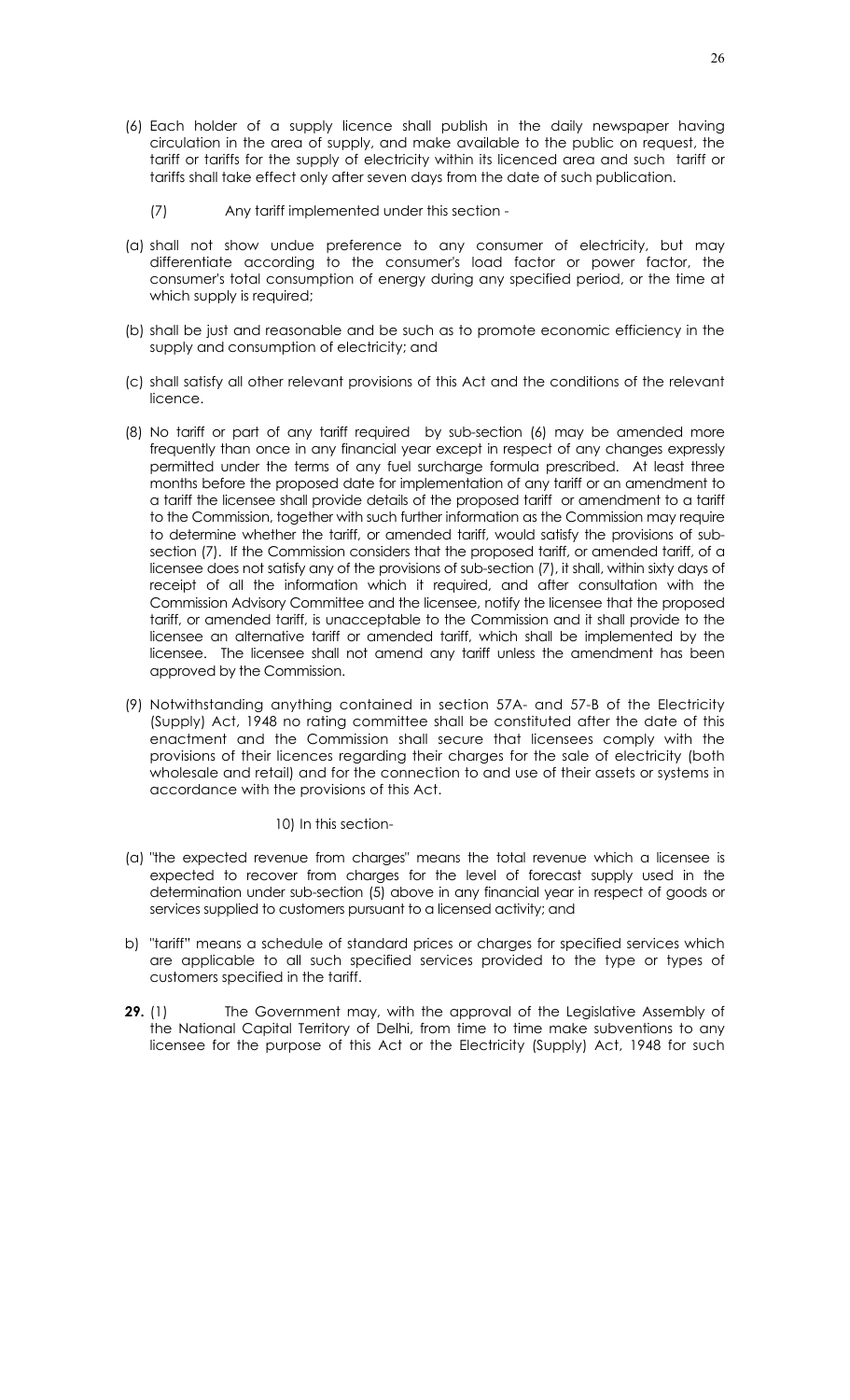- (6) Each holder of a supply licence shall publish in the daily newspaper having circulation in the area of supply, and make available to the public on request, the tariff or tariffs for the supply of electricity within its licenced area and such tariff or tariffs shall take effect only after seven days from the date of such publication.
	- (7) Any tariff implemented under this section -
- (a) shall not show undue preference to any consumer of electricity, but may differentiate according to the consumer's load factor or power factor, the consumer's total consumption of energy during any specified period, or the time at which supply is required;
- (b) shall be just and reasonable and be such as to promote economic efficiency in the supply and consumption of electricity; and
- (c) shall satisfy all other relevant provisions of this Act and the conditions of the relevant licence.
- (8) No tariff or part of any tariff required by sub-section (6) may be amended more frequently than once in any financial year except in respect of any changes expressly permitted under the terms of any fuel surcharge formula prescribed. At least three months before the proposed date for implementation of any tariff or an amendment to a tariff the licensee shall provide details of the proposed tariff or amendment to a tariff to the Commission, together with such further information as the Commission may require to determine whether the tariff, or amended tariff, would satisfy the provisions of subsection (7). If the Commission considers that the proposed tariff, or amended tariff, of a licensee does not satisfy any of the provisions of sub-section (7), it shall, within sixty days of receipt of all the information which it required, and after consultation with the Commission Advisory Committee and the licensee, notify the licensee that the proposed tariff, or amended tariff, is unacceptable to the Commission and it shall provide to the licensee an alternative tariff or amended tariff, which shall be implemented by the licensee. The licensee shall not amend any tariff unless the amendment has been approved by the Commission.
- (9) Notwithstanding anything contained in section 57A- and 57-B of the Electricity (Supply) Act, 1948 no rating committee shall be constituted after the date of this enactment and the Commission shall secure that licensees comply with the provisions of their licences regarding their charges for the sale of electricity (both wholesale and retail) and for the connection to and use of their assets or systems in accordance with the provisions of this Act.

10) In this section-

- (a) "the expected revenue from charges" means the total revenue which a licensee is expected to recover from charges for the level of forecast supply used in the determination under sub-section (5) above in any financial year in respect of goods or services supplied to customers pursuant to a licensed activity; and
- b) "tariff" means a schedule of standard prices or charges for specified services which are applicable to all such specified services provided to the type or types of customers specified in the tariff.
- **29.** (1) The Government may, with the approval of the Legislative Assembly of the National Capital Territory of Delhi, from time to time make subventions to any licensee for the purpose of this Act or the Electricity (Supply) Act, 1948 for such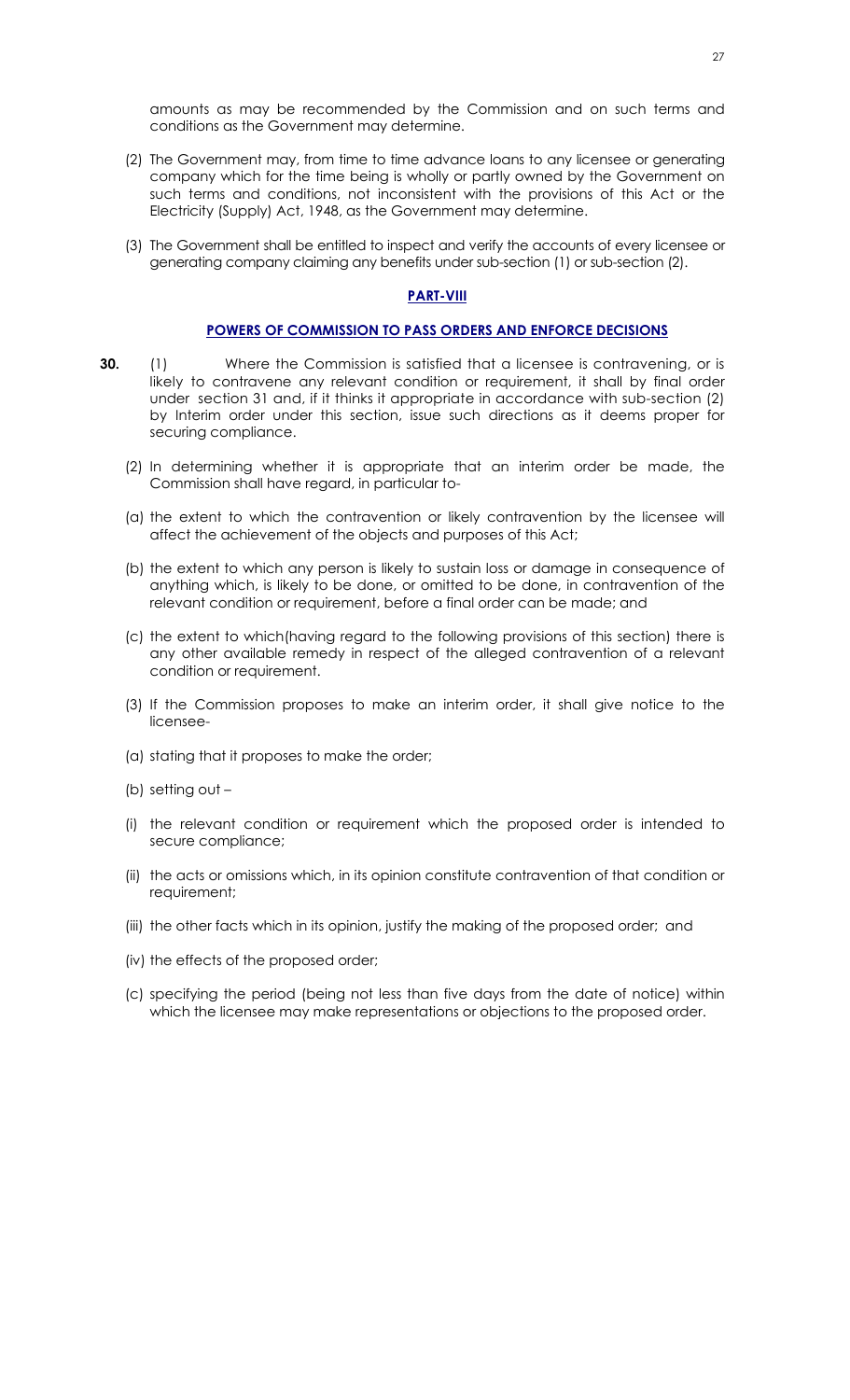amounts as may be recommended by the Commission and on such terms and conditions as the Government may determine.

- (2) The Government may, from time to time advance loans to any licensee or generating company which for the time being is wholly or partly owned by the Government on such terms and conditions, not inconsistent with the provisions of this Act or the Electricity (Supply) Act, 1948, as the Government may determine.
- (3) The Government shall be entitled to inspect and verify the accounts of every licensee or generating company claiming any benefits under sub-section (1) or sub-section (2).

## **PART-VIII**

#### **POWERS OF COMMISSION TO PASS ORDERS AND ENFORCE DECISIONS**

- **30.** (1) Where the Commission is satisfied that a licensee is contravening, or is likely to contravene any relevant condition or requirement, it shall by final order under section 31 and, if it thinks it appropriate in accordance with sub-section (2) by Interim order under this section, issue such directions as it deems proper for securing compliance.
	- (2) In determining whether it is appropriate that an interim order be made, the Commission shall have regard, in particular to-
	- (a) the extent to which the contravention or likely contravention by the licensee will affect the achievement of the objects and purposes of this Act;
	- (b) the extent to which any person is likely to sustain loss or damage in consequence of anything which, is likely to be done, or omitted to be done, in contravention of the relevant condition or requirement, before a final order can be made; and
	- (c) the extent to which(having regard to the following provisions of this section) there is any other available remedy in respect of the alleged contravention of a relevant condition or requirement.
	- (3) If the Commission proposes to make an interim order, it shall give notice to the licensee-
	- (a) stating that it proposes to make the order;
	- (b) setting out –
	- (i) the relevant condition or requirement which the proposed order is intended to secure compliance;
	- (ii) the acts or omissions which, in its opinion constitute contravention of that condition or requirement;
	- (iii) the other facts which in its opinion, justify the making of the proposed order; and
	- (iv) the effects of the proposed order;
	- (c) specifying the period (being not less than five days from the date of notice) within which the licensee may make representations or objections to the proposed order.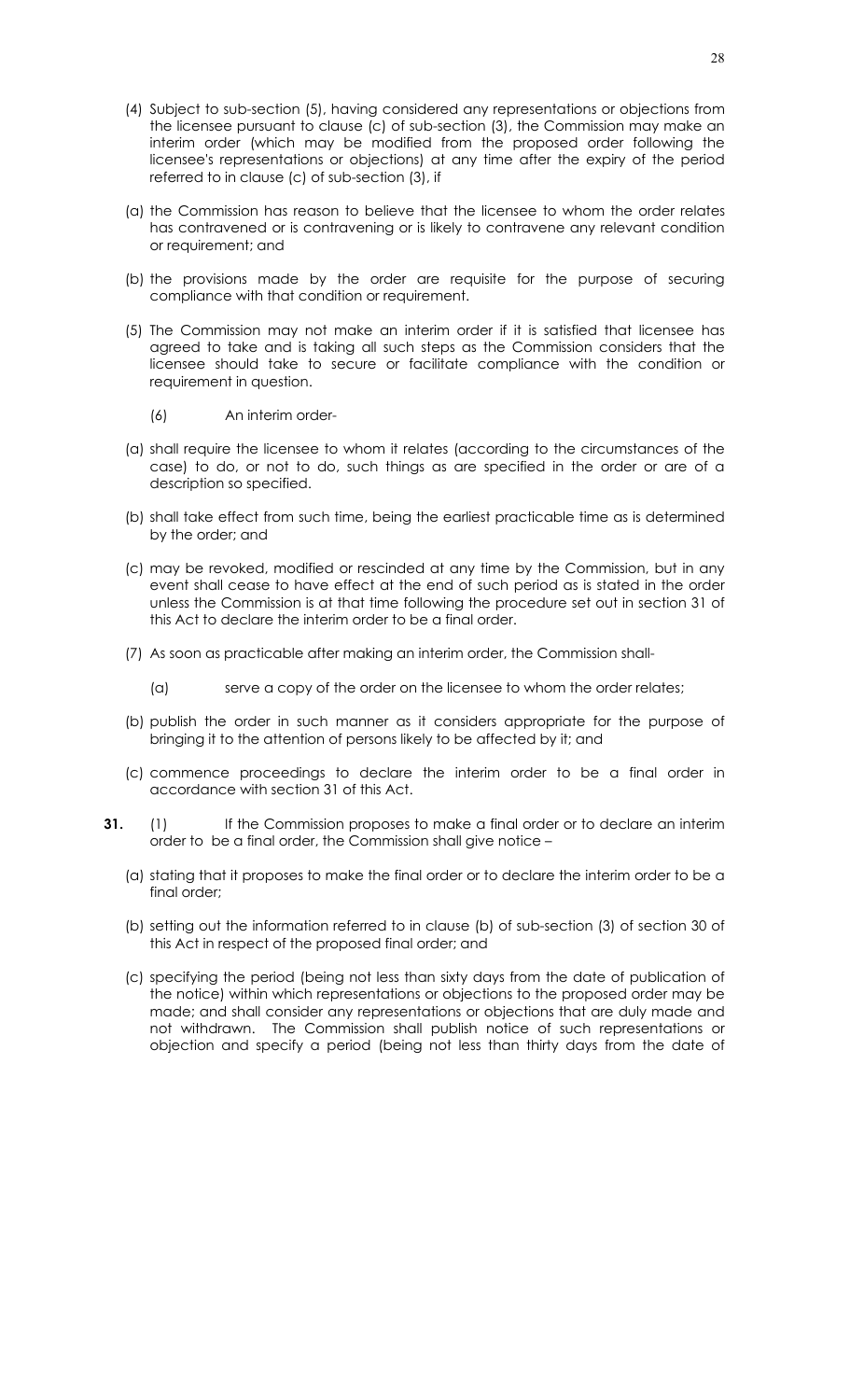- (4) Subject to sub-section (5), having considered any representations or objections from the licensee pursuant to clause (c) of sub-section (3), the Commission may make an interim order (which may be modified from the proposed order following the licensee's representations or objections) at any time after the expiry of the period referred to in clause (c) of sub-section (3), if
- (a) the Commission has reason to believe that the licensee to whom the order relates has contravened or is contravening or is likely to contravene any relevant condition or requirement; and
- (b) the provisions made by the order are requisite for the purpose of securing compliance with that condition or requirement.
- (5) The Commission may not make an interim order if it is satisfied that licensee has agreed to take and is taking all such steps as the Commission considers that the licensee should take to secure or facilitate compliance with the condition or requirement in question.
	- (6) An interim order-
- (a) shall require the licensee to whom it relates (according to the circumstances of the case) to do, or not to do, such things as are specified in the order or are of a description so specified.
- (b) shall take effect from such time, being the earliest practicable time as is determined by the order; and
- (c) may be revoked, modified or rescinded at any time by the Commission, but in any event shall cease to have effect at the end of such period as is stated in the order unless the Commission is at that time following the procedure set out in section 31 of this Act to declare the interim order to be a final order.
- (7) As soon as practicable after making an interim order, the Commission shall-
	- (a) serve a copy of the order on the licensee to whom the order relates;
- (b) publish the order in such manner as it considers appropriate for the purpose of bringing it to the attention of persons likely to be affected by it; and
- (c) commence proceedings to declare the interim order to be a final order in accordance with section 31 of this Act.
- **31.** (1) If the Commission proposes to make a final order or to declare an interim order to be a final order, the Commission shall give notice –
	- (a) stating that it proposes to make the final order or to declare the interim order to be a final order;
	- (b) setting out the information referred to in clause (b) of sub-section (3) of section 30 of this Act in respect of the proposed final order; and
	- (c) specifying the period (being not less than sixty days from the date of publication of the notice) within which representations or objections to the proposed order may be made; and shall consider any representations or objections that are duly made and not withdrawn. The Commission shall publish notice of such representations or objection and specify a period (being not less than thirty days from the date of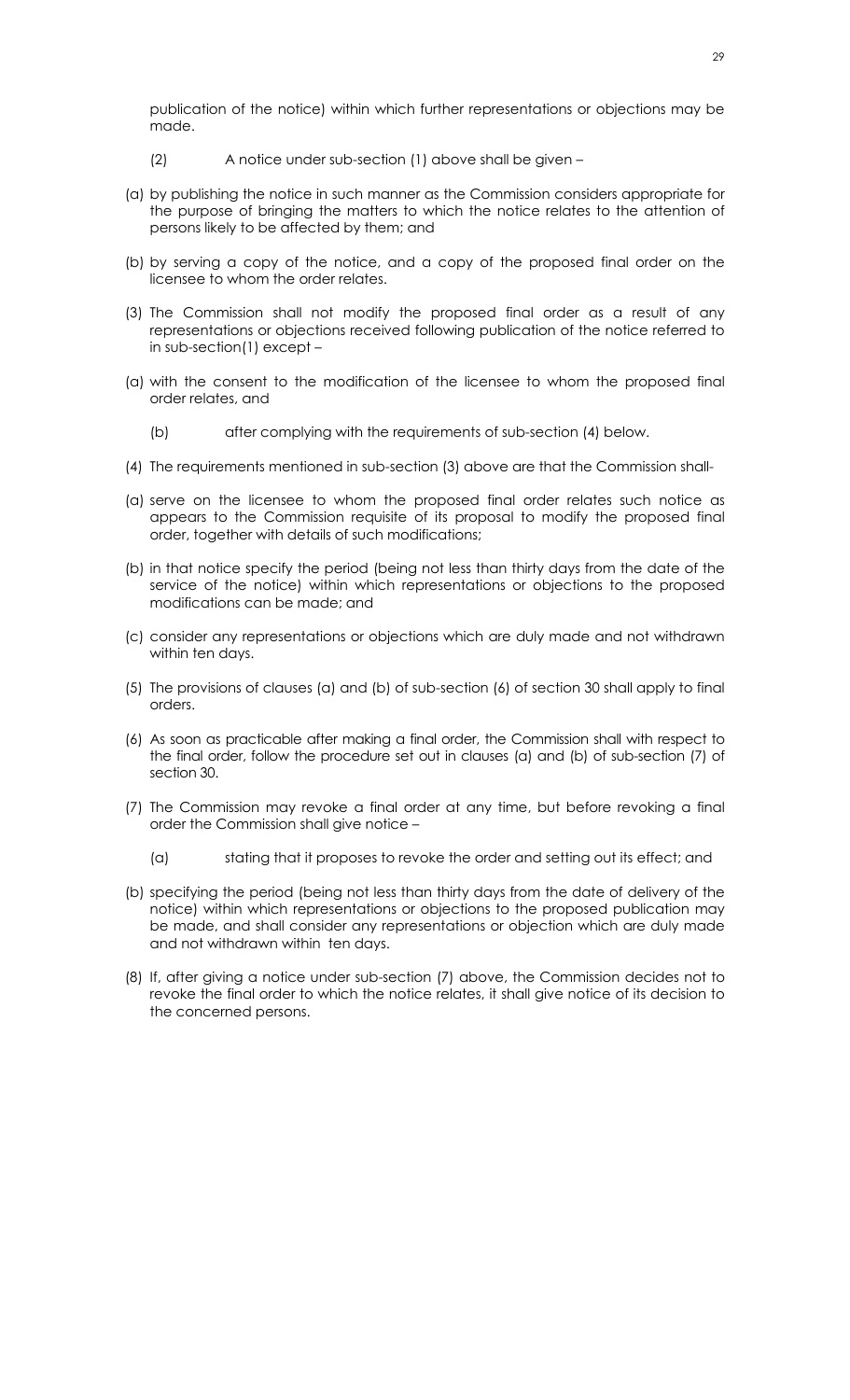publication of the notice) within which further representations or objections may be made.

- (2) A notice under sub-section (1) above shall be given –
- (a) by publishing the notice in such manner as the Commission considers appropriate for the purpose of bringing the matters to which the notice relates to the attention of persons likely to be affected by them; and
- (b) by serving a copy of the notice, and a copy of the proposed final order on the licensee to whom the order relates.
- (3) The Commission shall not modify the proposed final order as a result of any representations or objections received following publication of the notice referred to in sub-section(1) except –
- (a) with the consent to the modification of the licensee to whom the proposed final order relates, and
	- (b) after complying with the requirements of sub-section (4) below.
- (4) The requirements mentioned in sub-section (3) above are that the Commission shall-
- (a) serve on the licensee to whom the proposed final order relates such notice as appears to the Commission requisite of its proposal to modify the proposed final order, together with details of such modifications;
- (b) in that notice specify the period (being not less than thirty days from the date of the service of the notice) within which representations or objections to the proposed modifications can be made; and
- (c) consider any representations or objections which are duly made and not withdrawn within ten days.
- (5) The provisions of clauses (a) and (b) of sub-section (6) of section 30 shall apply to final orders.
- (6) As soon as practicable after making a final order, the Commission shall with respect to the final order, follow the procedure set out in clauses (a) and (b) of sub-section (7) of section 30.
- (7) The Commission may revoke a final order at any time, but before revoking a final order the Commission shall give notice –
	- (a) stating that it proposes to revoke the order and setting out its effect; and
- (b) specifying the period (being not less than thirty days from the date of delivery of the notice) within which representations or objections to the proposed publication may be made, and shall consider any representations or objection which are duly made and not withdrawn within ten days.
- (8) If, after giving a notice under sub-section (7) above, the Commission decides not to revoke the final order to which the notice relates, it shall give notice of its decision to the concerned persons.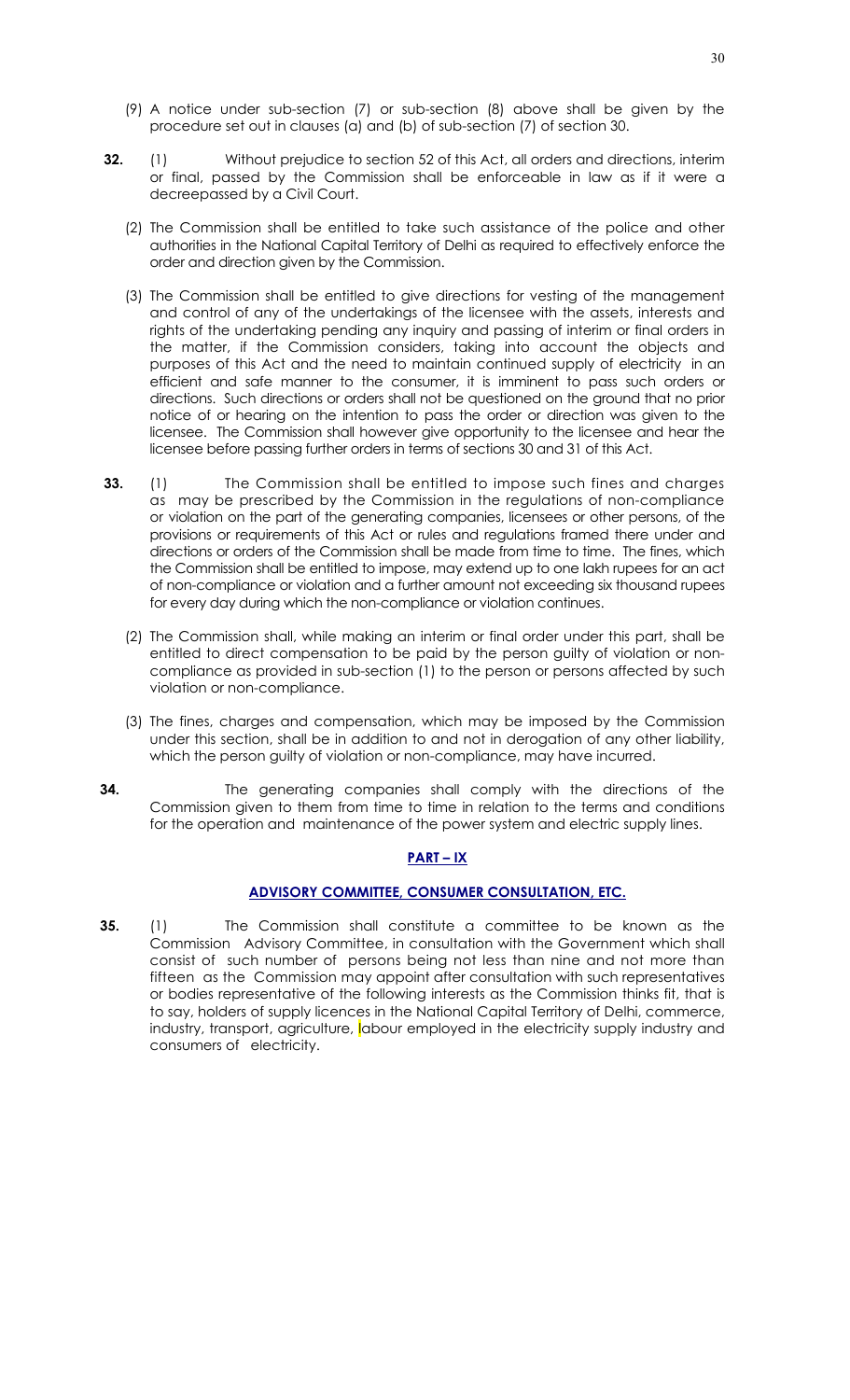- (9) A notice under sub-section (7) or sub-section (8) above shall be given by the procedure set out in clauses (a) and (b) of sub-section (7) of section 30.
- **32.** (1) Without prejudice to section 52 of this Act, all orders and directions, interim or final, passed by the Commission shall be enforceable in law as if it were a decreepassed by a Civil Court.
	- (2) The Commission shall be entitled to take such assistance of the police and other authorities in the National Capital Territory of Delhi as required to effectively enforce the order and direction given by the Commission.
	- (3) The Commission shall be entitled to give directions for vesting of the management and control of any of the undertakings of the licensee with the assets, interests and rights of the undertaking pending any inquiry and passing of interim or final orders in the matter, if the Commission considers, taking into account the objects and purposes of this Act and the need to maintain continued supply of electricity in an efficient and safe manner to the consumer, it is imminent to pass such orders or directions. Such directions or orders shall not be questioned on the ground that no prior notice of or hearing on the intention to pass the order or direction was given to the licensee. The Commission shall however give opportunity to the licensee and hear the licensee before passing further orders in terms of sections 30 and 31 of this Act.
- **33.** (1) The Commission shall be entitled to impose such fines and charges as may be prescribed by the Commission in the regulations of non-compliance or violation on the part of the generating companies, licensees or other persons, of the provisions or requirements of this Act or rules and regulations framed there under and directions or orders of the Commission shall be made from time to time. The fines, which the Commission shall be entitled to impose, may extend up to one lakh rupees for an act of non-compliance or violation and a further amount not exceeding six thousand rupees for every day during which the non-compliance or violation continues.
	- (2) The Commission shall, while making an interim or final order under this part, shall be entitled to direct compensation to be paid by the person guilty of violation or noncompliance as provided in sub-section (1) to the person or persons affected by such violation or non-compliance.
	- (3) The fines, charges and compensation, which may be imposed by the Commission under this section, shall be in addition to and not in derogation of any other liability, which the person guilty of violation or non-compliance, may have incurred.
- **34.** The generating companies shall comply with the directions of the Commission given to them from time to time in relation to the terms and conditions for the operation and maintenance of the power system and electric supply lines.

## **PART – IX**

## **ADVISORY COMMITTEE, CONSUMER CONSULTATION, ETC.**

**35.** (1) The Commission shall constitute a committee to be known as the Commission Advisory Committee, in consultation with the Government which shall consist of such number of persons being not less than nine and not more than fifteen as the Commission may appoint after consultation with such representatives or bodies representative of the following interests as the Commission thinks fit, that is to say, holders of supply licences in the National Capital Territory of Delhi, commerce, industry, transport, agriculture, labour employed in the electricity supply industry and consumers of electricity.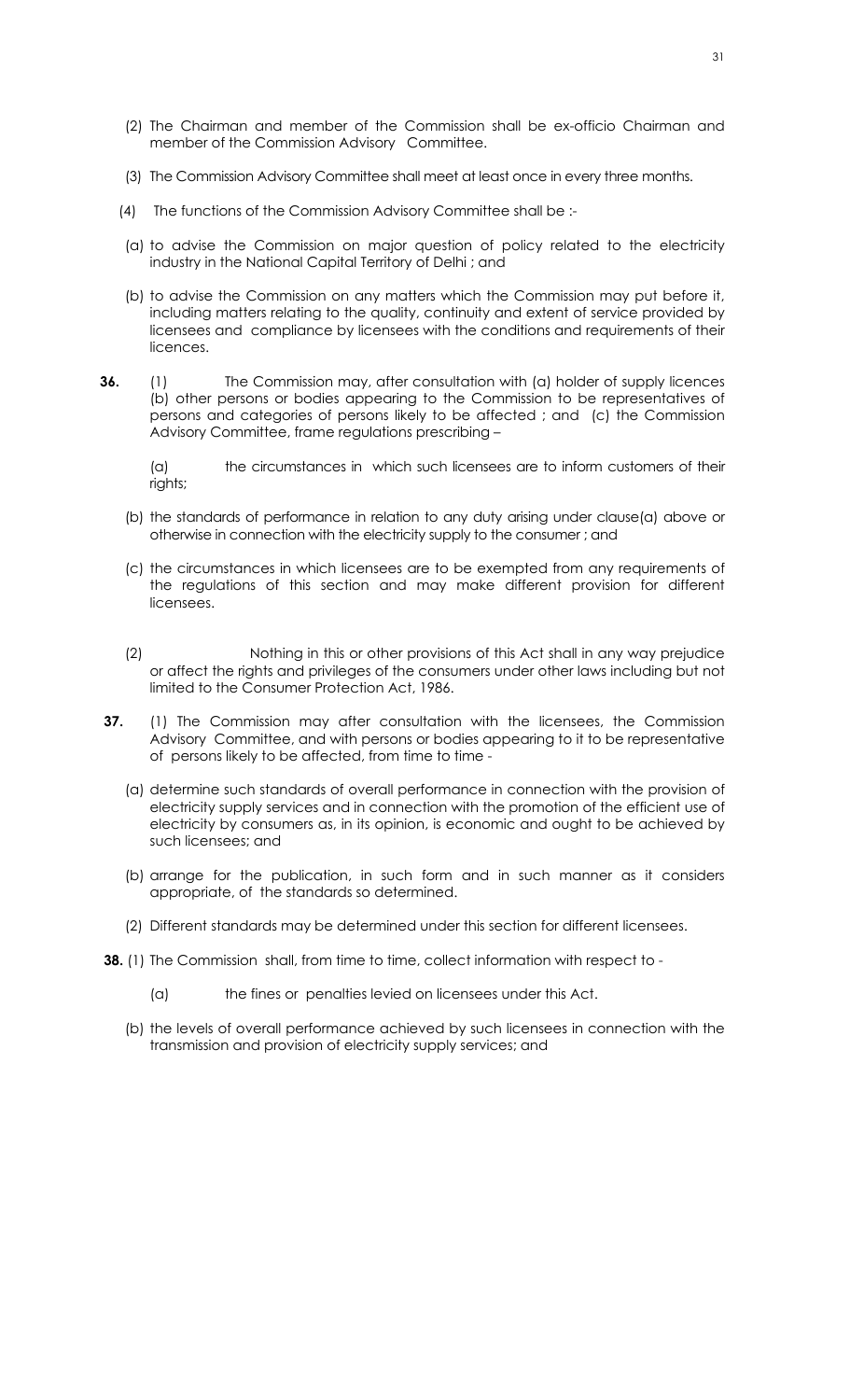- (2) The Chairman and member of the Commission shall be ex-officio Chairman and member of the Commission Advisory Committee.
- (3) The Commission Advisory Committee shall meet at least once in every three months.
- (4) The functions of the Commission Advisory Committee shall be :-
- (a) to advise the Commission on major question of policy related to the electricity industry in the National Capital Territory of Delhi ; and
- (b) to advise the Commission on any matters which the Commission may put before it, including matters relating to the quality, continuity and extent of service provided by licensees and compliance by licensees with the conditions and requirements of their licences.
- **36.** (1) The Commission may, after consultation with (a) holder of supply licences (b) other persons or bodies appearing to the Commission to be representatives of persons and categories of persons likely to be affected ; and (c) the Commission Advisory Committee, frame regulations prescribing –

(a) the circumstances in which such licensees are to inform customers of their rights;

- (b) the standards of performance in relation to any duty arising under clause(a) above or otherwise in connection with the electricity supply to the consumer ; and
- (c) the circumstances in which licensees are to be exempted from any requirements of the regulations of this section and may make different provision for different licensees.
- (2) Nothing in this or other provisions of this Act shall in any way prejudice or affect the rights and privileges of the consumers under other laws including but not limited to the Consumer Protection Act, 1986.
- **37.** (1) The Commission may after consultation with the licensees, the Commission Advisory Committee, and with persons or bodies appearing to it to be representative of persons likely to be affected, from time to time -
	- (a) determine such standards of overall performance in connection with the provision of electricity supply services and in connection with the promotion of the efficient use of electricity by consumers as, in its opinion, is economic and ought to be achieved by such licensees; and
	- (b) arrange for the publication, in such form and in such manner as it considers appropriate, of the standards so determined.
	- (2) Different standards may be determined under this section for different licensees.
- **38.** (1) The Commission shall, from time to time, collect information with respect to -
	- (a) the fines or penalties levied on licensees under this Act.
	- (b) the levels of overall performance achieved by such licensees in connection with the transmission and provision of electricity supply services; and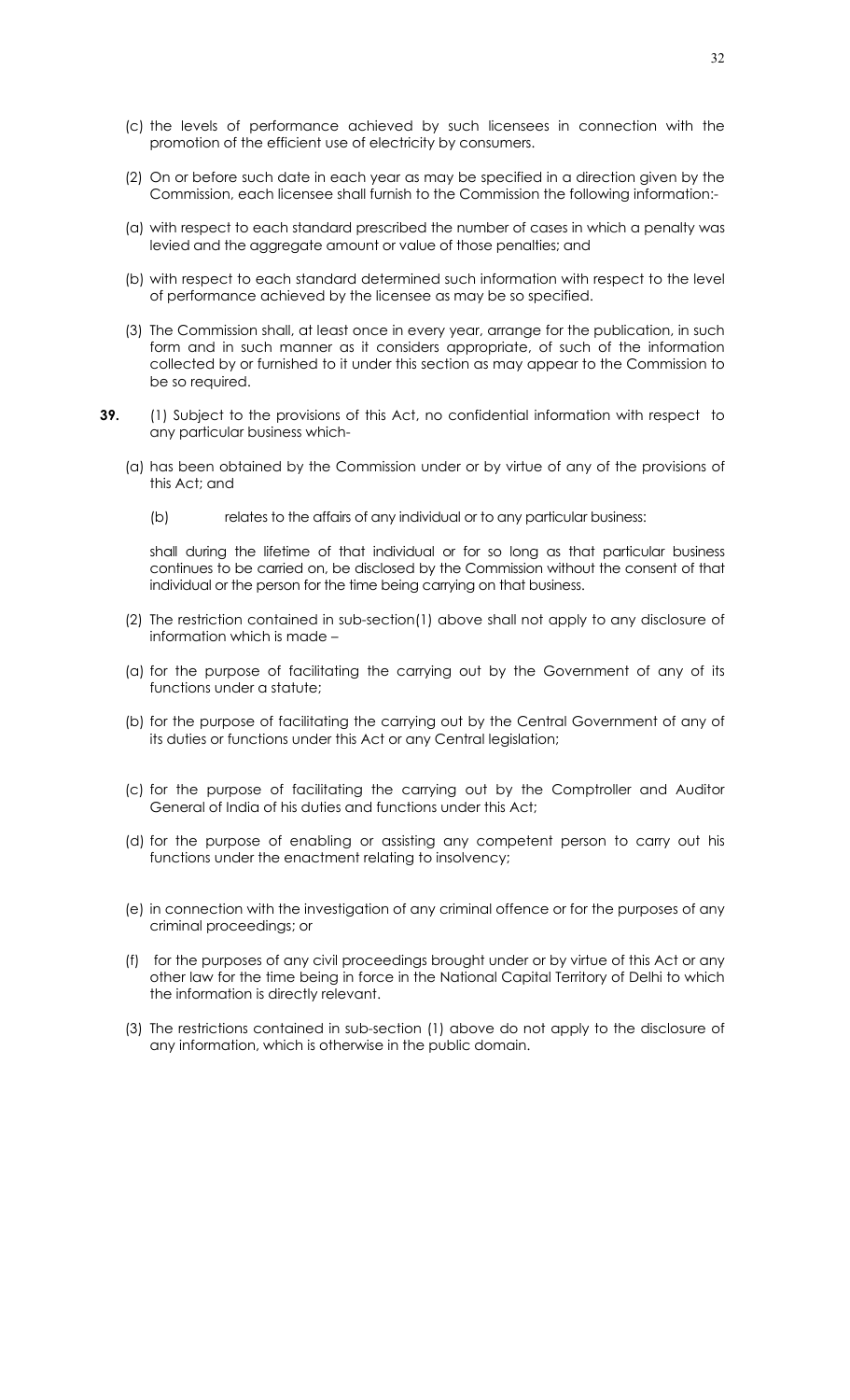- (c) the levels of performance achieved by such licensees in connection with the promotion of the efficient use of electricity by consumers.
- (2) On or before such date in each year as may be specified in a direction given by the Commission, each licensee shall furnish to the Commission the following information:-
- (a) with respect to each standard prescribed the number of cases in which a penalty was levied and the aggregate amount or value of those penalties; and
- (b) with respect to each standard determined such information with respect to the level of performance achieved by the licensee as may be so specified.
- (3) The Commission shall, at least once in every year, arrange for the publication, in such form and in such manner as it considers appropriate, of such of the information collected by or furnished to it under this section as may appear to the Commission to be so required.
- **39.** (1) Subject to the provisions of this Act, no confidential information with respect to any particular business which-
	- (a) has been obtained by the Commission under or by virtue of any of the provisions of this Act; and
		- (b) relates to the affairs of any individual or to any particular business:

shall during the lifetime of that individual or for so long as that particular business continues to be carried on, be disclosed by the Commission without the consent of that individual or the person for the time being carrying on that business.

- (2) The restriction contained in sub-section(1) above shall not apply to any disclosure of information which is made –
- (a) for the purpose of facilitating the carrying out by the Government of any of its functions under a statute;
- (b) for the purpose of facilitating the carrying out by the Central Government of any of its duties or functions under this Act or any Central legislation;
- (c) for the purpose of facilitating the carrying out by the Comptroller and Auditor General of India of his duties and functions under this Act;
- (d) for the purpose of enabling or assisting any competent person to carry out his functions under the enactment relating to insolvency;
- (e) in connection with the investigation of any criminal offence or for the purposes of any criminal proceedings; or
- (f) for the purposes of any civil proceedings brought under or by virtue of this Act or any other law for the time being in force in the National Capital Territory of Delhi to which the information is directly relevant.
- (3) The restrictions contained in sub-section (1) above do not apply to the disclosure of any information, which is otherwise in the public domain.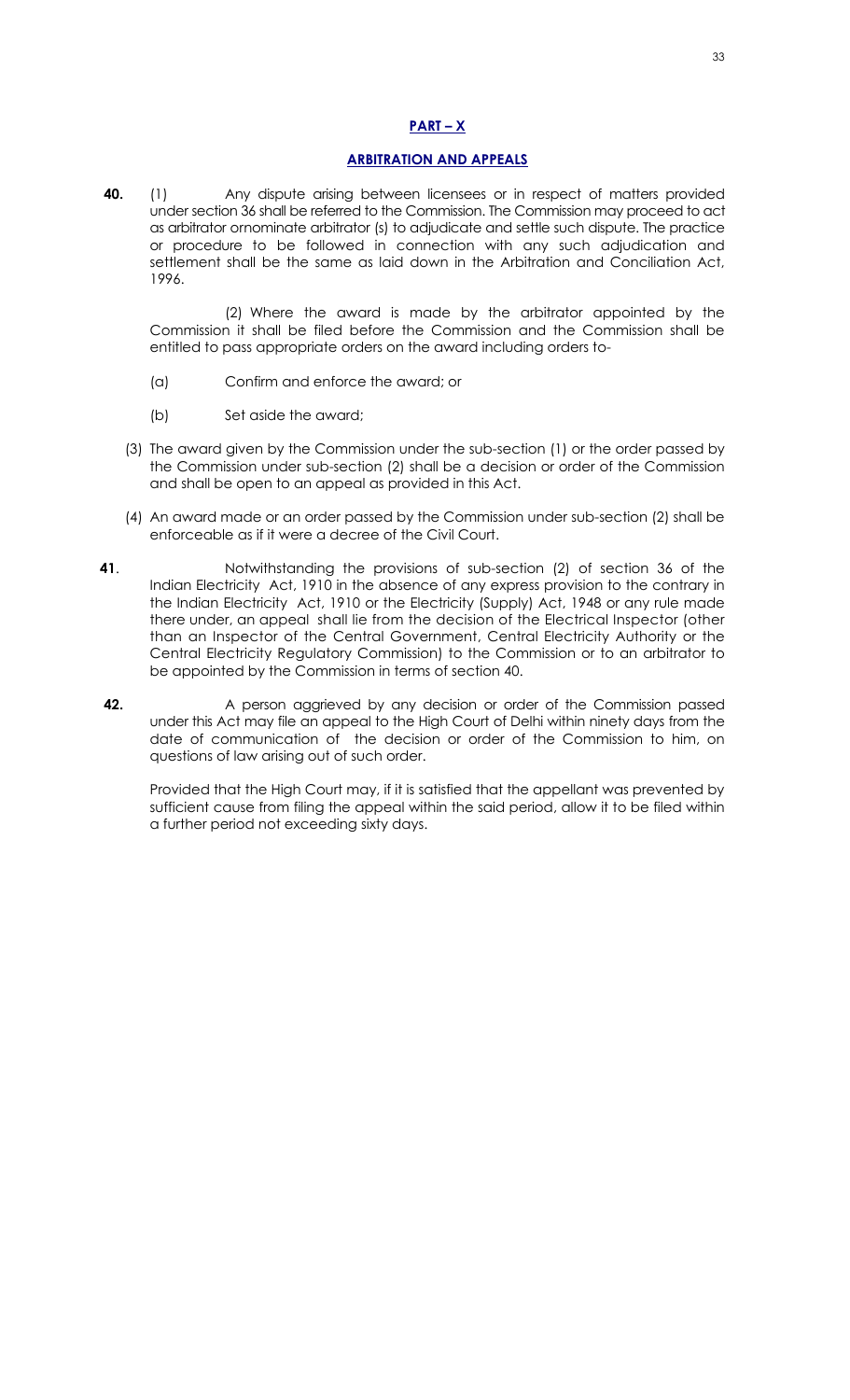## **PART – X**

#### **ARBITRATION AND APPEALS**

**40.** (1) Any dispute arising between licensees or in respect of matters provided under section 36 shall be referred to the Commission. The Commission may proceed to act as arbitrator ornominate arbitrator (s) to adjudicate and settle such dispute. The practice or procedure to be followed in connection with any such adjudication and settlement shall be the same as laid down in the Arbitration and Conciliation Act, 1996.

 (2) Where the award is made by the arbitrator appointed by the Commission it shall be filed before the Commission and the Commission shall be entitled to pass appropriate orders on the award including orders to-

- (a) Confirm and enforce the award; or
- (b) Set aside the award;
- (3) The award given by the Commission under the sub-section (1) or the order passed by the Commission under sub-section (2) shall be a decision or order of the Commission and shall be open to an appeal as provided in this Act.
- (4) An award made or an order passed by the Commission under sub-section (2) shall be enforceable as if it were a decree of the Civil Court.
- **41**.Notwithstanding the provisions of sub-section (2) of section 36 of the Indian Electricity Act, 1910 in the absence of any express provision to the contrary in the Indian Electricity Act, 1910 or the Electricity (Supply) Act, 1948 or any rule made there under, an appeal shall lie from the decision of the Electrical Inspector (other than an Inspector of the Central Government, Central Electricity Authority or the Central Electricity Regulatory Commission) to the Commission or to an arbitrator to be appointed by the Commission in terms of section 40.
- **42.** A person aggrieved by any decision or order of the Commission passed under this Act may file an appeal to the High Court of Delhi within ninety days from the date of communication of the decision or order of the Commission to him, on questions of law arising out of such order.

Provided that the High Court may, if it is satisfied that the appellant was prevented by sufficient cause from filing the appeal within the said period, allow it to be filed within a further period not exceeding sixty days.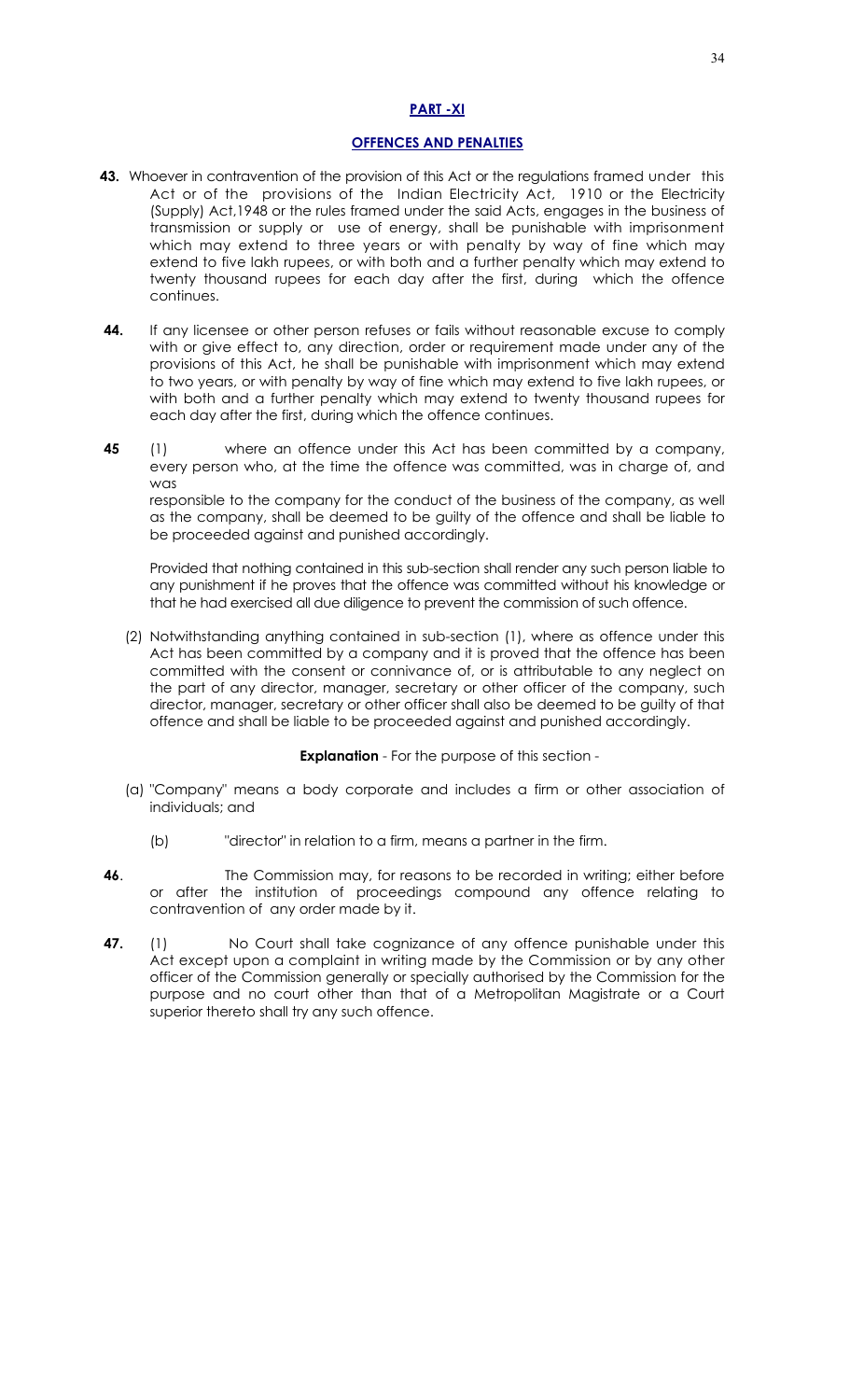## **PART -XI**

## **OFFENCES AND PENALTIES**

- **43.** Whoever in contravention of the provision of this Act or the regulations framed under this Act or of the provisions of the Indian Electricity Act, 1910 or the Electricity (Supply) Act,1948 or the rules framed under the said Acts, engages in the business of transmission or supply or use of energy, shall be punishable with imprisonment which may extend to three years or with penalty by way of fine which may extend to five lakh rupees, or with both and a further penalty which may extend to twenty thousand rupees for each day after the first, during which the offence continues.
- **44.** If any licensee or other person refuses or fails without reasonable excuse to comply with or give effect to, any direction, order or requirement made under any of the provisions of this Act, he shall be punishable with imprisonment which may extend to two years, or with penalty by way of fine which may extend to five lakh rupees, or with both and a further penalty which may extend to twenty thousand rupees for each day after the first, during which the offence continues.
- **45** (1)where an offence under this Act has been committed by a company, every person who, at the time the offence was committed, was in charge of, and was

responsible to the company for the conduct of the business of the company, as well as the company, shall be deemed to be guilty of the offence and shall be liable to be proceeded against and punished accordingly.

Provided that nothing contained in this sub-section shall render any such person liable to any punishment if he proves that the offence was committed without his knowledge or that he had exercised all due diligence to prevent the commission of such offence.

(2) Notwithstanding anything contained in sub-section (1), where as offence under this Act has been committed by a company and it is proved that the offence has been committed with the consent or connivance of, or is attributable to any neglect on the part of any director, manager, secretary or other officer of the company, such director, manager, secretary or other officer shall also be deemed to be guilty of that offence and shall be liable to be proceeded against and punished accordingly.

## **Explanation** - For the purpose of this section -

- (a) "Company" means a body corporate and includes a firm or other association of individuals; and
	- (b) "director" in relation to a firm, means a partner in the firm.
- **46.** The Commission may, for reasons to be recorded in writing; either before or after the institution of proceedings compound any offence relating to contravention of any order made by it.
- **47.** (1) No Court shall take cognizance of any offence punishable under this Act except upon a complaint in writing made by the Commission or by any other officer of the Commission generally or specially authorised by the Commission for the purpose and no court other than that of a Metropolitan Magistrate or a Court superior thereto shall try any such offence.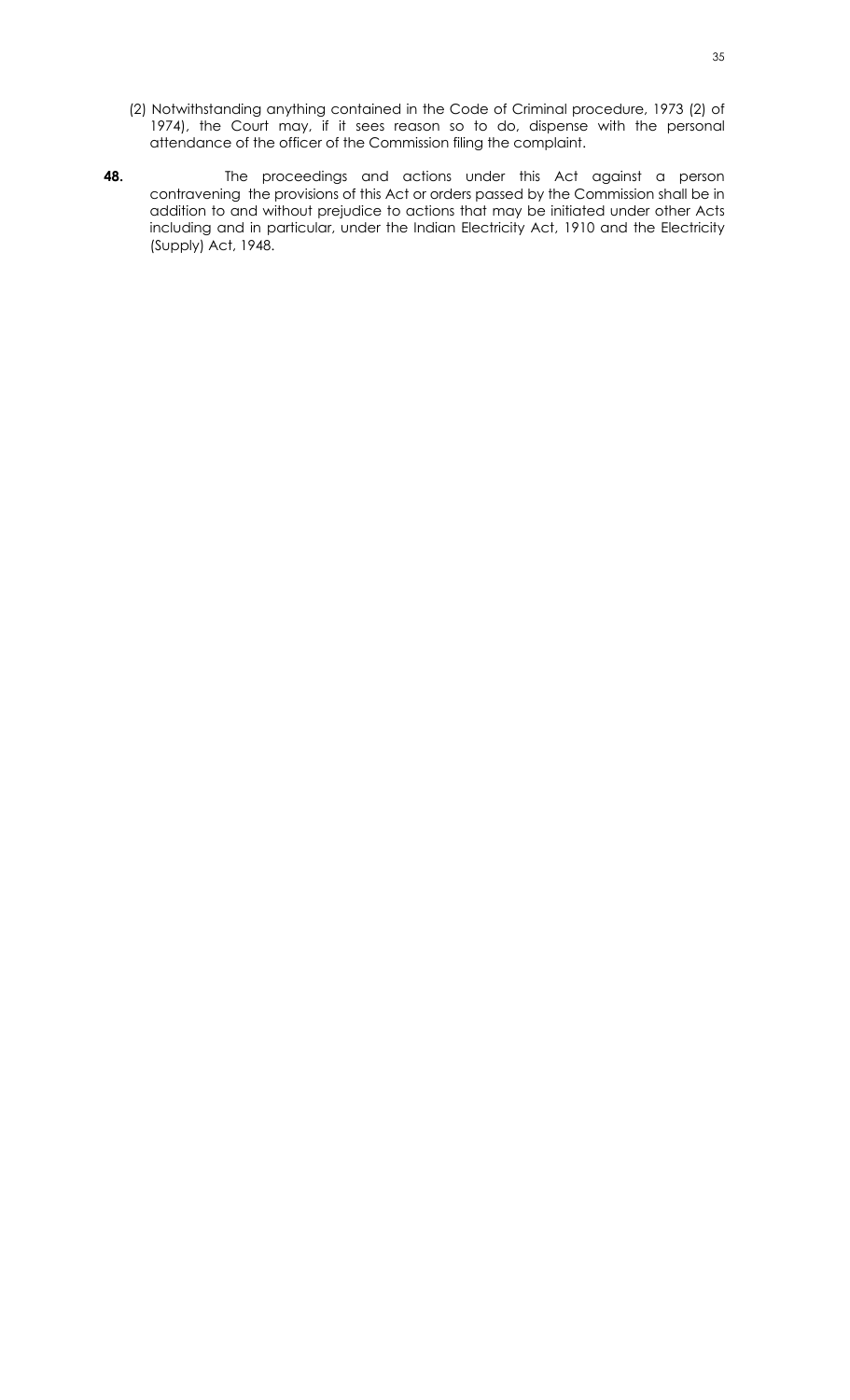- (2) Notwithstanding anything contained in the Code of Criminal procedure, 1973 (2) of 1974), the Court may, if it sees reason so to do, dispense with the personal attendance of the officer of the Commission filing the complaint.
- **48.** The proceedings and actions under this Act against a person contravening the provisions of this Act or orders passed by the Commission shall be in addition to and without prejudice to actions that may be initiated under other Acts including and in particular, under the Indian Electricity Act, 1910 and the Electricity (Supply) Act, 1948.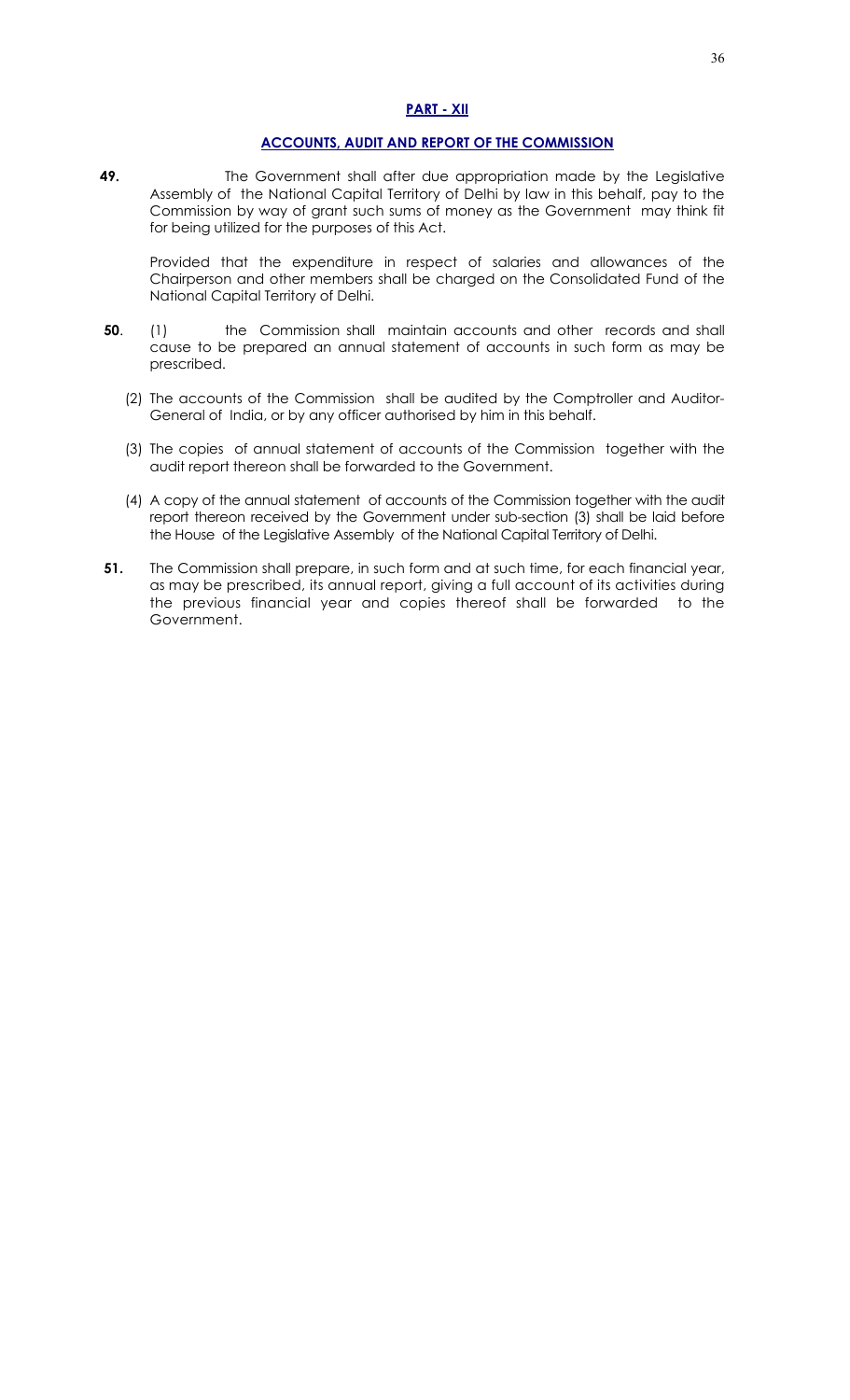## **PART - XII**

## **ACCOUNTS, AUDIT AND REPORT OF THE COMMISSION**

**49.** The Government shall after due appropriation made by the Legislative Assembly of the National Capital Territory of Delhi by law in this behalf, pay to the Commission by way of grant such sums of money as the Government may think fit for being utilized for the purposes of this Act.

Provided that the expenditure in respect of salaries and allowances of the Chairperson and other members shall be charged on the Consolidated Fund of the National Capital Territory of Delhi.

- **50**. (1)the Commission shall maintain accounts and other records and shall cause to be prepared an annual statement of accounts in such form as may be prescribed.
	- (2) The accounts of the Commission shall be audited by the Comptroller and Auditor-General of India, or by any officer authorised by him in this behalf.
	- (3) The copies of annual statement of accounts of the Commission together with the audit report thereon shall be forwarded to the Government.
	- (4) A copy of the annual statement of accounts of the Commission together with the audit report thereon received by the Government under sub-section (3) shall be laid before the House of the Legislative Assembly of the National Capital Territory of Delhi.
- **51.** The Commission shall prepare, in such form and at such time, for each financial year, as may be prescribed, its annual report, giving a full account of its activities during the previous financial year and copies thereof shall be forwarded to the Government.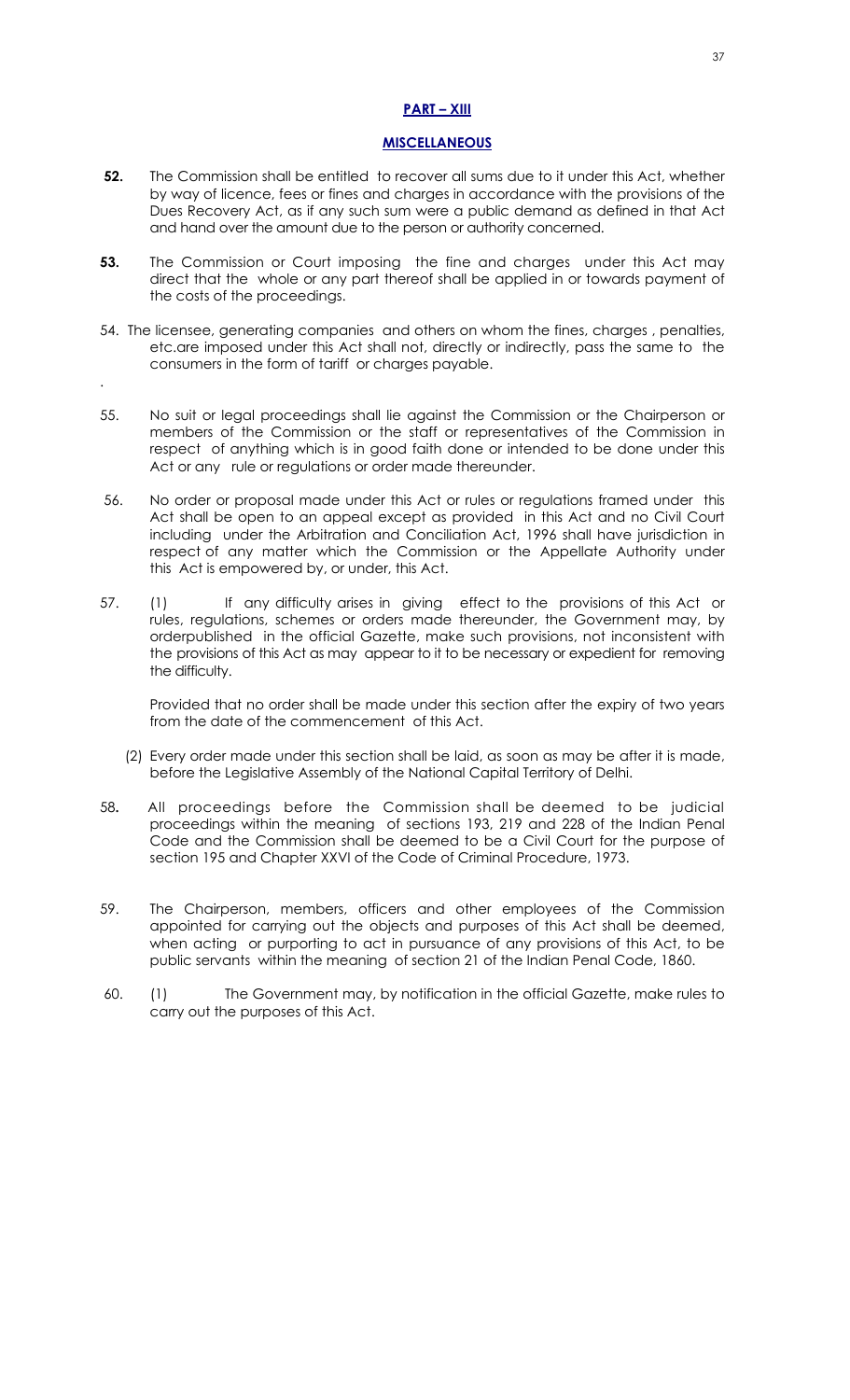## **PART – XIII**

#### **MISCELLANEOUS**

- **52.** The Commission shall be entitled to recover all sums due to it under this Act, whether by way of licence, fees or fines and charges in accordance with the provisions of the Dues Recovery Act, as if any such sum were a public demand as defined in that Act and hand over the amount due to the person or authority concerned.
- **53.** The Commission or Court imposing the fine and charges under this Act may direct that the whole or any part thereof shall be applied in or towards payment of the costs of the proceedings.
- 54. The licensee, generating companies and others on whom the fines, charges , penalties, etc.are imposed under this Act shall not, directly or indirectly, pass the same to the consumers in the form of tariff or charges payable.

.

- 55. No suit or legal proceedings shall lie against the Commission or the Chairperson or members of the Commission or the staff or representatives of the Commission in respect of anything which is in good faith done or intended to be done under this Act or any rule or regulations or order made thereunder.
- 56. No order or proposal made under this Act or rules or regulations framed under this Act shall be open to an appeal except as provided in this Act and no Civil Court including under the Arbitration and Conciliation Act, 1996 shall have jurisdiction in respect of any matter which the Commission or the Appellate Authority under this Act is empowered by, or under, this Act.
- 57. (1) If any difficulty arises in giving effect to the provisions of this Act or rules, regulations, schemes or orders made thereunder, the Government may, by orderpublished in the official Gazette, make such provisions, not inconsistent with the provisions of this Act as may appear to it to be necessary or expedient for removing the difficulty.

Provided that no order shall be made under this section after the expiry of two years from the date of the commencement of this Act.

- (2) Every order made under this section shall be laid, as soon as may be after it is made, before the Legislative Assembly of the National Capital Territory of Delhi.
- 58**.** All proceedings before the Commission shall be deemed to be judicial proceedings within the meaning of sections 193, 219 and 228 of the Indian Penal Code and the Commission shall be deemed to be a Civil Court for the purpose of section 195 and Chapter XXVI of the Code of Criminal Procedure, 1973.
- 59. The Chairperson, members, officers and other employees of the Commission appointed for carrying out the objects and purposes of this Act shall be deemed, when acting or purporting to act in pursuance of any provisions of this Act, to be public servants within the meaning of section 21 of the Indian Penal Code, 1860.
- 60. (1) The Government may, by notification in the official Gazette, make rules to carry out the purposes of this Act.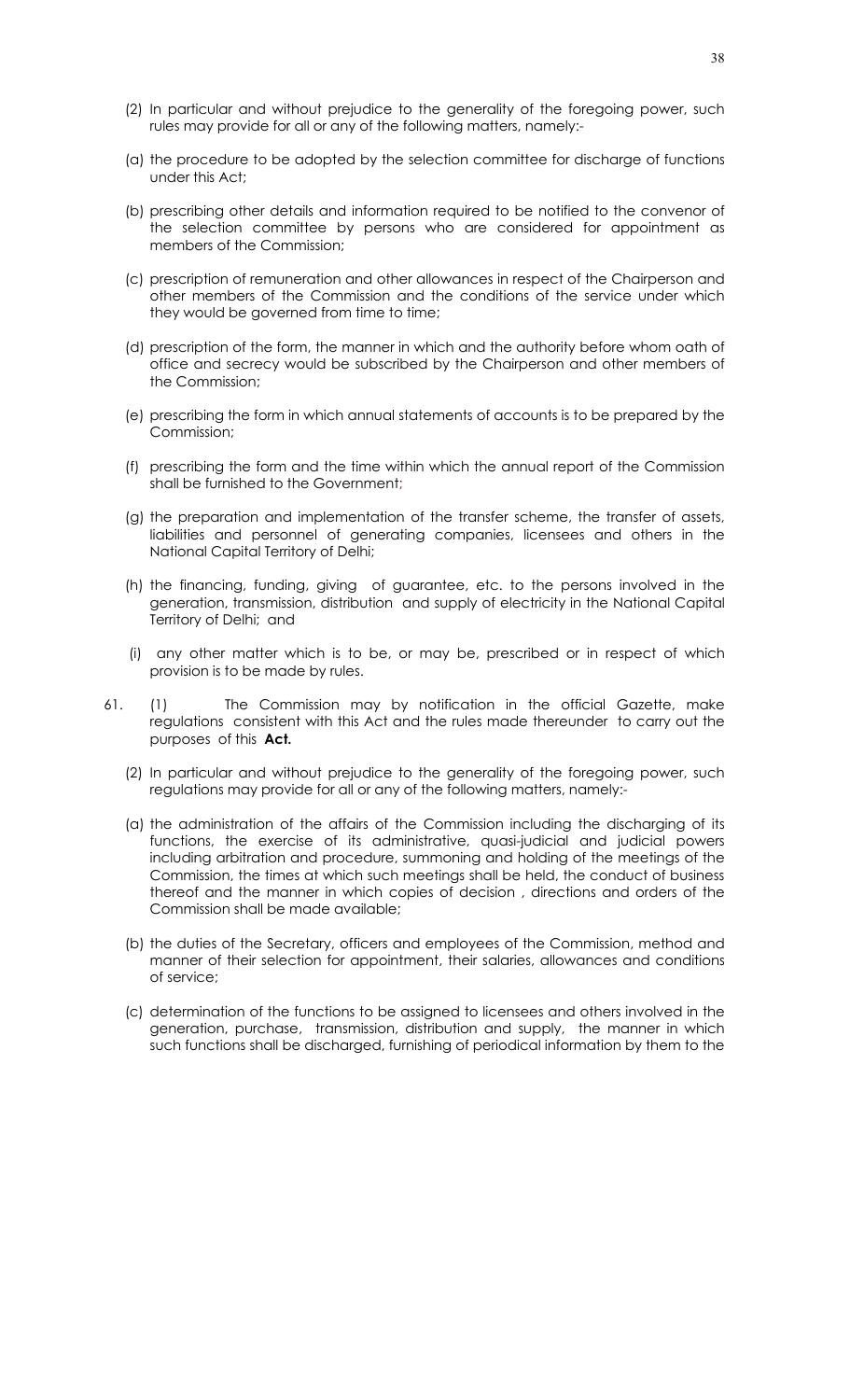- (2) In particular and without prejudice to the generality of the foregoing power, such rules may provide for all or any of the following matters, namely:-
- (a) the procedure to be adopted by the selection committee for discharge of functions under this Act;
- (b) prescribing other details and information required to be notified to the convenor of the selection committee by persons who are considered for appointment as members of the Commission;
- (c) prescription of remuneration and other allowances in respect of the Chairperson and other members of the Commission and the conditions of the service under which they would be governed from time to time;
- (d) prescription of the form, the manner in which and the authority before whom oath of office and secrecy would be subscribed by the Chairperson and other members of the Commission;
- (e) prescribing the form in which annual statements of accounts is to be prepared by the Commission;
- (f) prescribing the form and the time within which the annual report of the Commission shall be furnished to the Government;
- (g) the preparation and implementation of the transfer scheme, the transfer of assets, liabilities and personnel of generating companies, licensees and others in the National Capital Territory of Delhi;
- (h) the financing, funding, giving of guarantee, etc. to the persons involved in the generation, transmission, distribution and supply of electricity in the National Capital Territory of Delhi; and
- (i) any other matter which is to be, or may be, prescribed or in respect of which provision is to be made by rules.
- 61. (1) The Commission may by notification in the official Gazette, make regulations consistent with this Act and the rules made thereunder to carry out the purposes of this **Act.** 
	- (2) In particular and without prejudice to the generality of the foregoing power, such regulations may provide for all or any of the following matters, namely:-
	- (a) the administration of the affairs of the Commission including the discharging of its functions, the exercise of its administrative, quasi-judicial and judicial powers including arbitration and procedure, summoning and holding of the meetings of the Commission, the times at which such meetings shall be held, the conduct of business thereof and the manner in which copies of decision , directions and orders of the Commission shall be made available;
	- (b) the duties of the Secretary, officers and employees of the Commission, method and manner of their selection for appointment, their salaries, allowances and conditions of service;
	- (c) determination of the functions to be assigned to licensees and others involved in the generation, purchase, transmission, distribution and supply, the manner in which such functions shall be discharged, furnishing of periodical information by them to the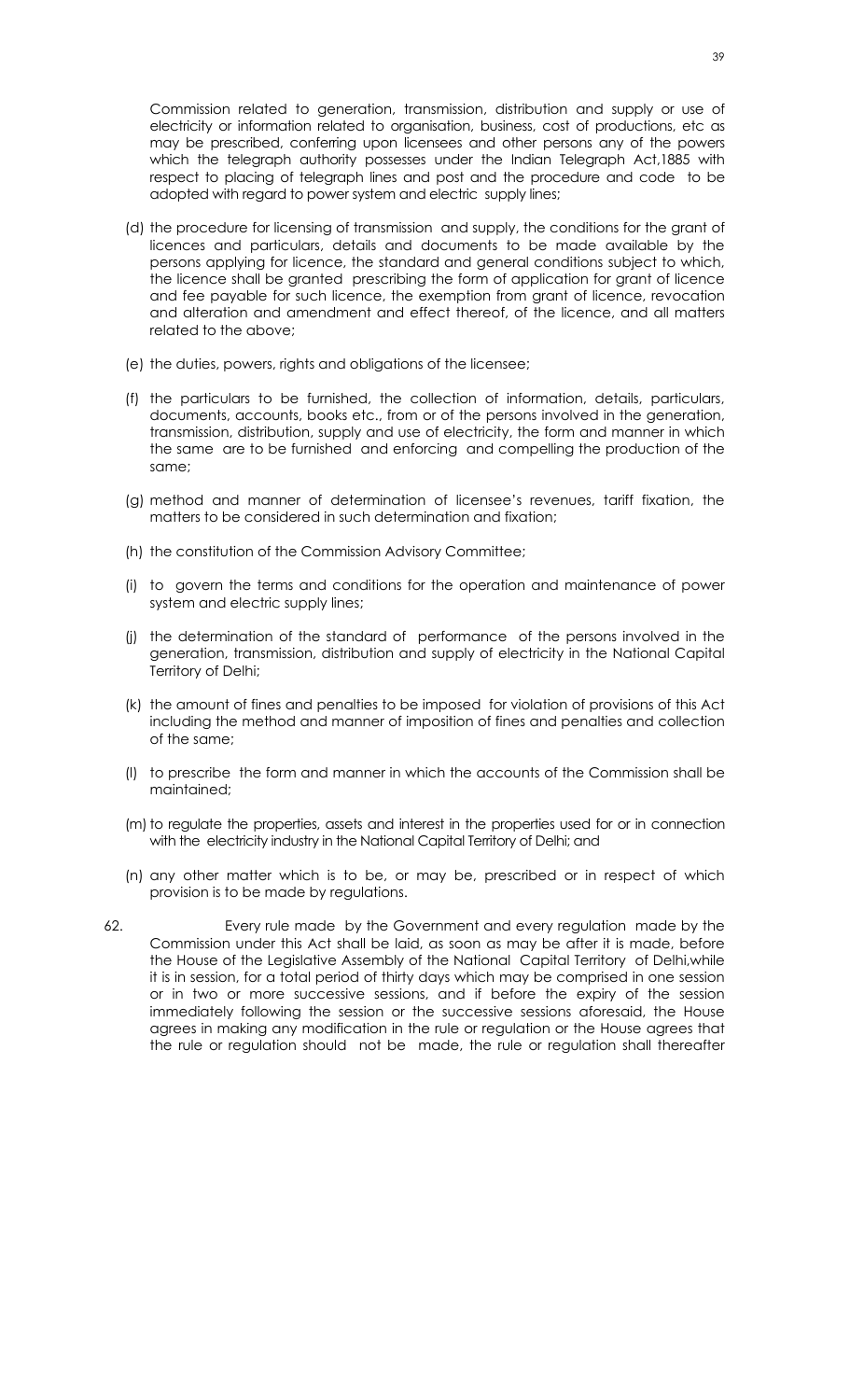Commission related to generation, transmission, distribution and supply or use of electricity or information related to organisation, business, cost of productions, etc as may be prescribed, conferring upon licensees and other persons any of the powers which the telegraph authority possesses under the Indian Telegraph Act,1885 with respect to placing of telegraph lines and post and the procedure and code to be adopted with regard to power system and electric supply lines;

- (d) the procedure for licensing of transmission and supply, the conditions for the grant of licences and particulars, details and documents to be made available by the persons applying for licence, the standard and general conditions subject to which, the licence shall be granted prescribing the form of application for grant of licence and fee payable for such licence, the exemption from grant of licence, revocation and alteration and amendment and effect thereof, of the licence, and all matters related to the above;
- (e) the duties, powers, rights and obligations of the licensee;
- (f) the particulars to be furnished, the collection of information, details, particulars, documents, accounts, books etc., from or of the persons involved in the generation, transmission, distribution, supply and use of electricity, the form and manner in which the same are to be furnished and enforcing and compelling the production of the same;
- (g) method and manner of determination of licensee's revenues, tariff fixation, the matters to be considered in such determination and fixation;
- (h) the constitution of the Commission Advisory Committee;
- (i) to govern the terms and conditions for the operation and maintenance of power system and electric supply lines;
- (j) the determination of the standard of performance of the persons involved in the generation, transmission, distribution and supply of electricity in the National Capital Territory of Delhi;
- (k) the amount of fines and penalties to be imposed for violation of provisions of this Act including the method and manner of imposition of fines and penalties and collection of the same;
- (l) to prescribe the form and manner in which the accounts of the Commission shall be maintained;
- (m) to regulate the properties, assets and interest in the properties used for or in connection with the electricity industry in the National Capital Territory of Delhi; and
- (n) any other matter which is to be, or may be, prescribed or in respect of which provision is to be made by regulations.
- 62. Every rule made by the Government and every regulation made by the Commission under this Act shall be laid, as soon as may be after it is made, before the House of the Legislative Assembly of the National Capital Territory of Delhi,while it is in session, for a total period of thirty days which may be comprised in one session or in two or more successive sessions, and if before the expiry of the session immediately following the session or the successive sessions aforesaid, the House agrees in making any modification in the rule or regulation or the House agrees that the rule or regulation should not be made, the rule or regulation shall thereafter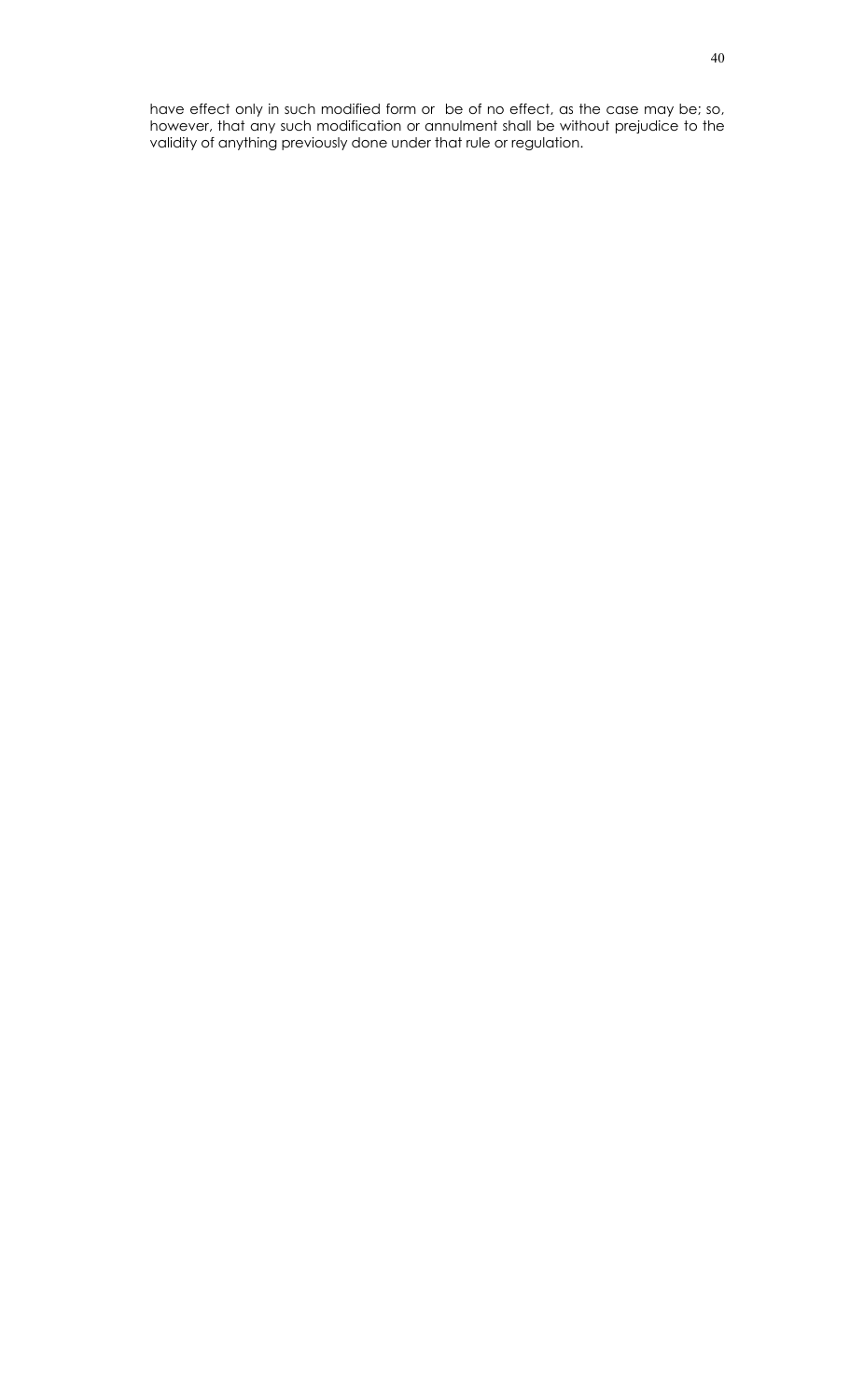have effect only in such modified form or be of no effect, as the case may be; so, however, that any such modification or annulment shall be without prejudice to the validity of anything previously done under that rule or regulation.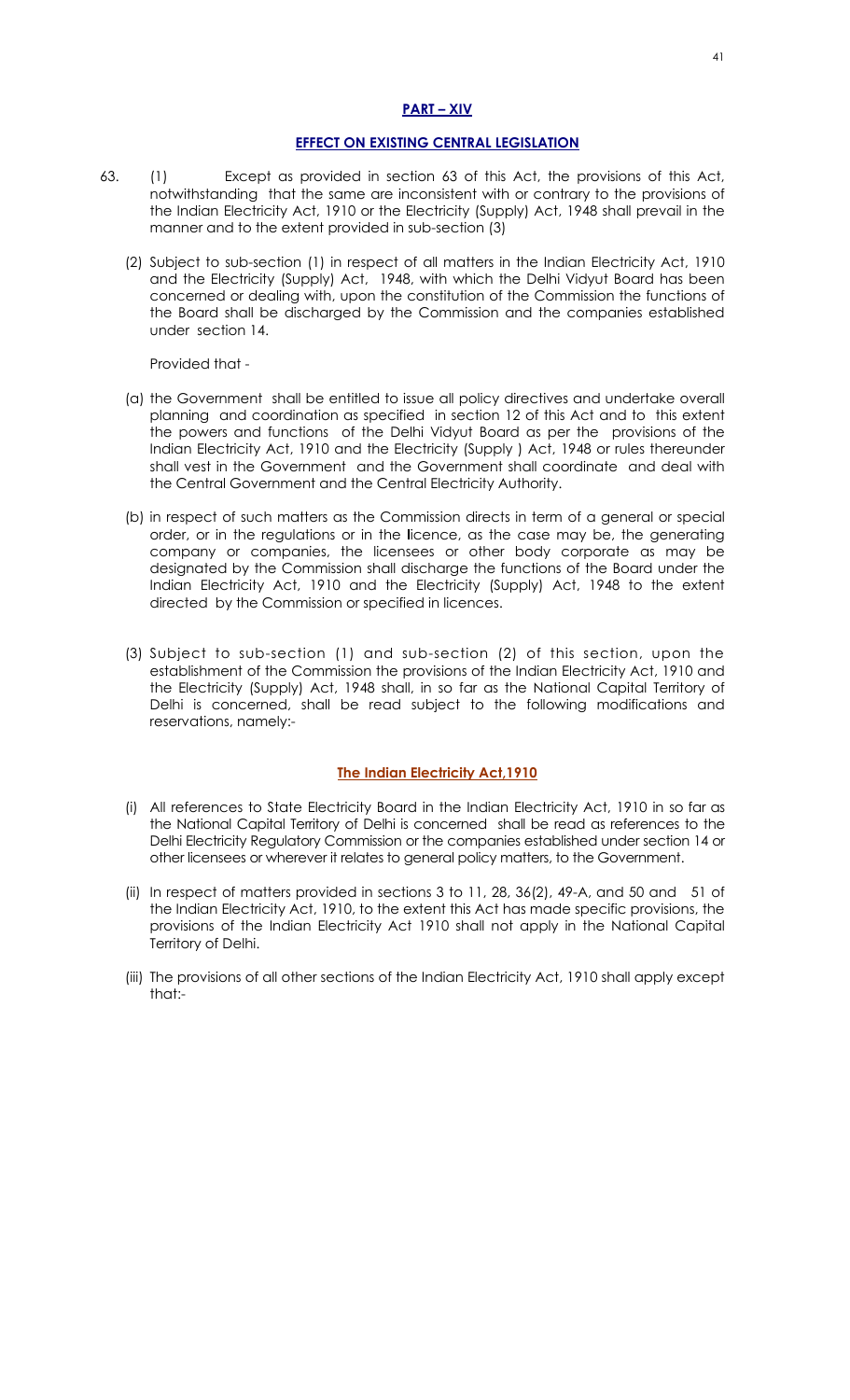## **PART – XIV**

#### **EFFECT ON EXISTING CENTRAL LEGISLATION**

- 63. (1) Except as provided in section 63 of this Act, the provisions of this Act, notwithstanding that the same are inconsistent with or contrary to the provisions of the Indian Electricity Act, 1910 or the Electricity (Supply) Act, 1948 shall prevail in the manner and to the extent provided in sub-section (3)
	- (2) Subject to sub-section (1) in respect of all matters in the Indian Electricity Act, 1910 and the Electricity (Supply) Act, 1948, with which the Delhi Vidyut Board has been concerned or dealing with, upon the constitution of the Commission the functions of the Board shall be discharged by the Commission and the companies established under section 14.

Provided that -

- (a) the Government shall be entitled to issue all policy directives and undertake overall planning and coordination as specified in section 12 of this Act and to this extent the powers and functions of the Delhi Vidyut Board as per the provisions of the Indian Electricity Act, 1910 and the Electricity (Supply ) Act, 1948 or rules thereunder shall vest in the Government and the Government shall coordinate and deal with the Central Government and the Central Electricity Authority.
- (b) in respect of such matters as the Commission directs in term of a general or special order, or in the regulations or in the **l**icence, as the case may be, the generating company or companies, the licensees or other body corporate as may be designated by the Commission shall discharge the functions of the Board under the Indian Electricity Act, 1910 and the Electricity (Supply) Act, 1948 to the extent directed by the Commission or specified in licences.
- (3) Subject to sub-section (1) and sub-section (2) of this section, upon the establishment of the Commission the provisions of the Indian Electricity Act, 1910 and the Electricity (Supply) Act, 1948 shall, in so far as the National Capital Territory of Delhi is concerned, shall be read subject to the following modifications and reservations, namely:-

## **The Indian Electricity Act,1910**

- (i) All references to State Electricity Board in the Indian Electricity Act, 1910 in so far as the National Capital Territory of Delhi is concerned shall be read as references to the Delhi Electricity Regulatory Commission or the companies established under section 14 or other licensees or wherever it relates to general policy matters, to the Government.
- (ii) In respect of matters provided in sections 3 to 11, 28, 36(2), 49-A, and 50 and 51 of the Indian Electricity Act, 1910, to the extent this Act has made specific provisions, the provisions of the Indian Electricity Act 1910 shall not apply in the National Capital Territory of Delhi.
- (iii) The provisions of all other sections of the Indian Electricity Act, 1910 shall apply except that:-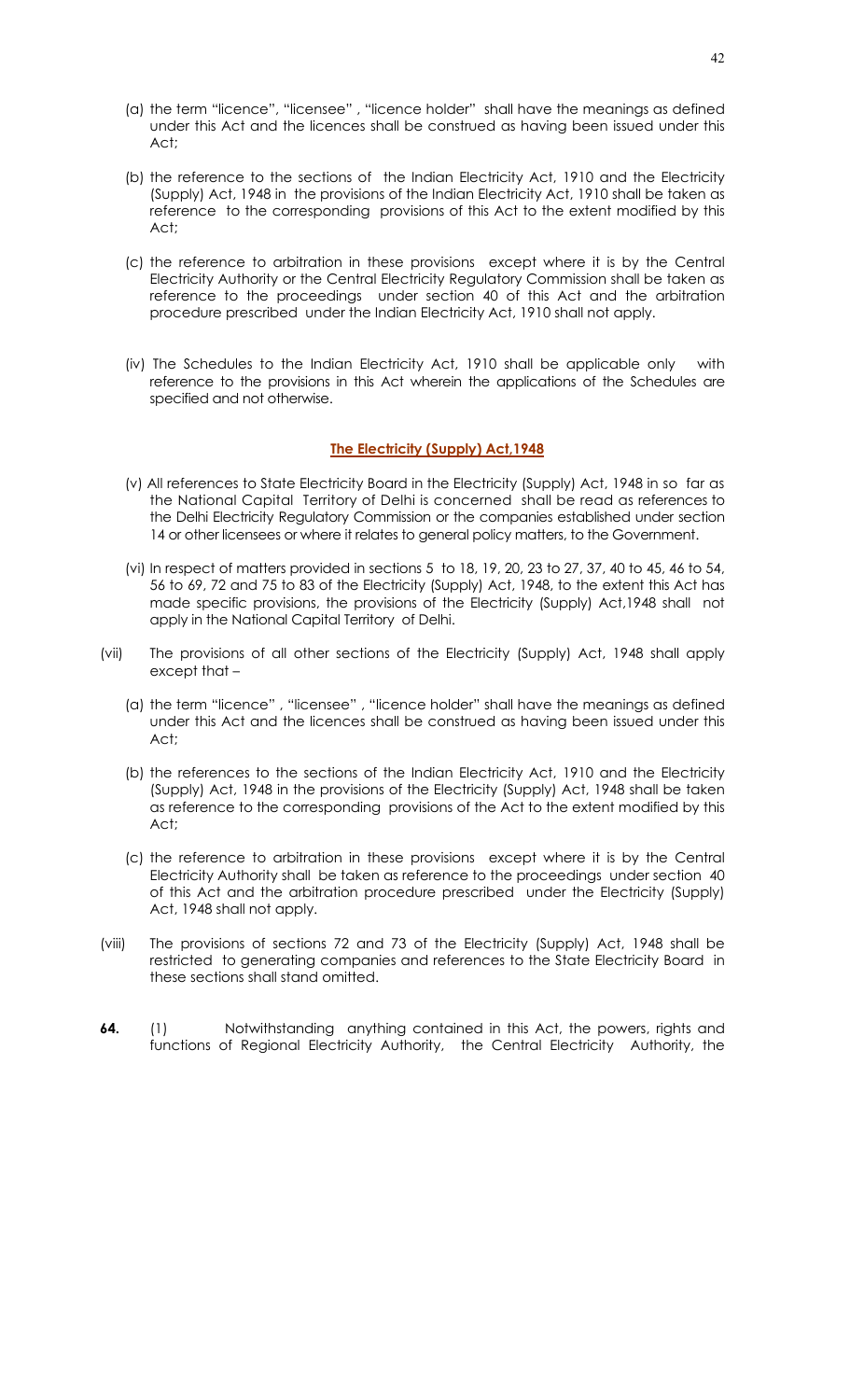- (a) the term "licence", "licensee" , "licence holder" shall have the meanings as defined under this Act and the licences shall be construed as having been issued under this Act;
- (b) the reference to the sections of the Indian Electricity Act, 1910 and the Electricity (Supply) Act, 1948 in the provisions of the Indian Electricity Act, 1910 shall be taken as reference to the corresponding provisions of this Act to the extent modified by this Act;
- (c) the reference to arbitration in these provisions except where it is by the Central Electricity Authority or the Central Electricity Regulatory Commission shall be taken as reference to the proceedings under section 40 of this Act and the arbitration procedure prescribed under the Indian Electricity Act, 1910 shall not apply.
- (iv) The Schedules to the Indian Electricity Act, 1910 shall be applicable only with reference to the provisions in this Act wherein the applications of the Schedules are specified and not otherwise.

## **The Electricity (Supply) Act,1948**

- (v) All references to State Electricity Board in the Electricity (Supply) Act, 1948 in sofar as the National Capital Territory of Delhi is concerned shall be read as references to the Delhi Electricity Regulatory Commission or the companies established under section 14 or other licensees or where it relates to general policy matters, to the Government.
- (vi) In respect of matters provided in sections 5 to 18, 19, 20, 23 to 27, 37, 40 to 45, 46 to 54, 56 to 69, 72 and 75 to 83 of the Electricity (Supply) Act, 1948, to the extent this Act has made specific provisions, the provisions of the Electricity (Supply) Act,1948 shall not apply in the National Capital Territory of Delhi.
- (vii) The provisions of all other sections of the Electricity (Supply) Act, 1948 shall apply except that –
	- (a) the term "licence" , "licensee" , "licence holder" shall have the meanings as defined under this Act and the licences shall be construed as having been issued under this Act;
	- (b) the references to the sections of the Indian Electricity Act, 1910 and the Electricity (Supply) Act, 1948 in the provisions of the Electricity (Supply) Act, 1948 shall be taken as reference to the corresponding provisions of the Act to the extent modified by this Act;
	- (c) the reference to arbitration in these provisions except where it is by the Central Electricity Authority shall be taken as reference to the proceedings under section 40 of this Act and the arbitration procedure prescribed under the Electricity (Supply) Act, 1948 shall not apply.
- (viii) The provisions of sections 72 and 73 of the Electricity (Supply) Act, 1948 shall be restricted to generating companies and references to the State Electricity Board in these sections shall stand omitted.
- **64.** (1) Notwithstanding anything contained in this Act, the powers, rights and functions of Regional Electricity Authority, the Central Electricity Authority, the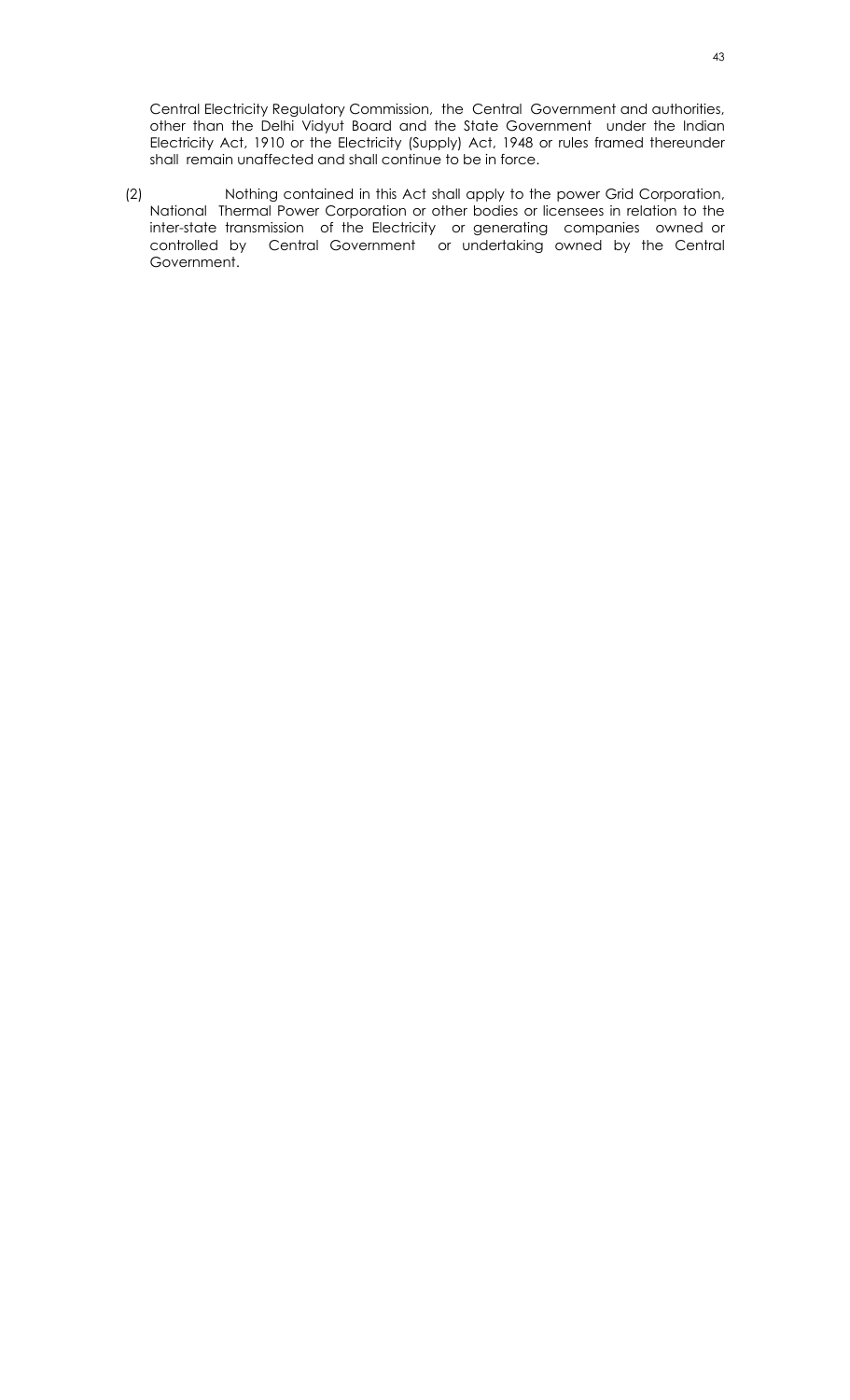Central Electricity Regulatory Commission, the Central Government and authorities, other than the Delhi Vidyut Board and the State Government under the Indian Electricity Act, 1910 or the Electricity (Supply) Act, 1948 or rules framed thereunder shall remain unaffected and shall continue to be in force.

(2) Nothing contained in this Act shall apply to the power Grid Corporation, National Thermal Power Corporation or other bodies or licensees in relation to the inter-state transmission of the Electricity or generating companies owned or controlled by Central Government or undertaking owned by the Central Government.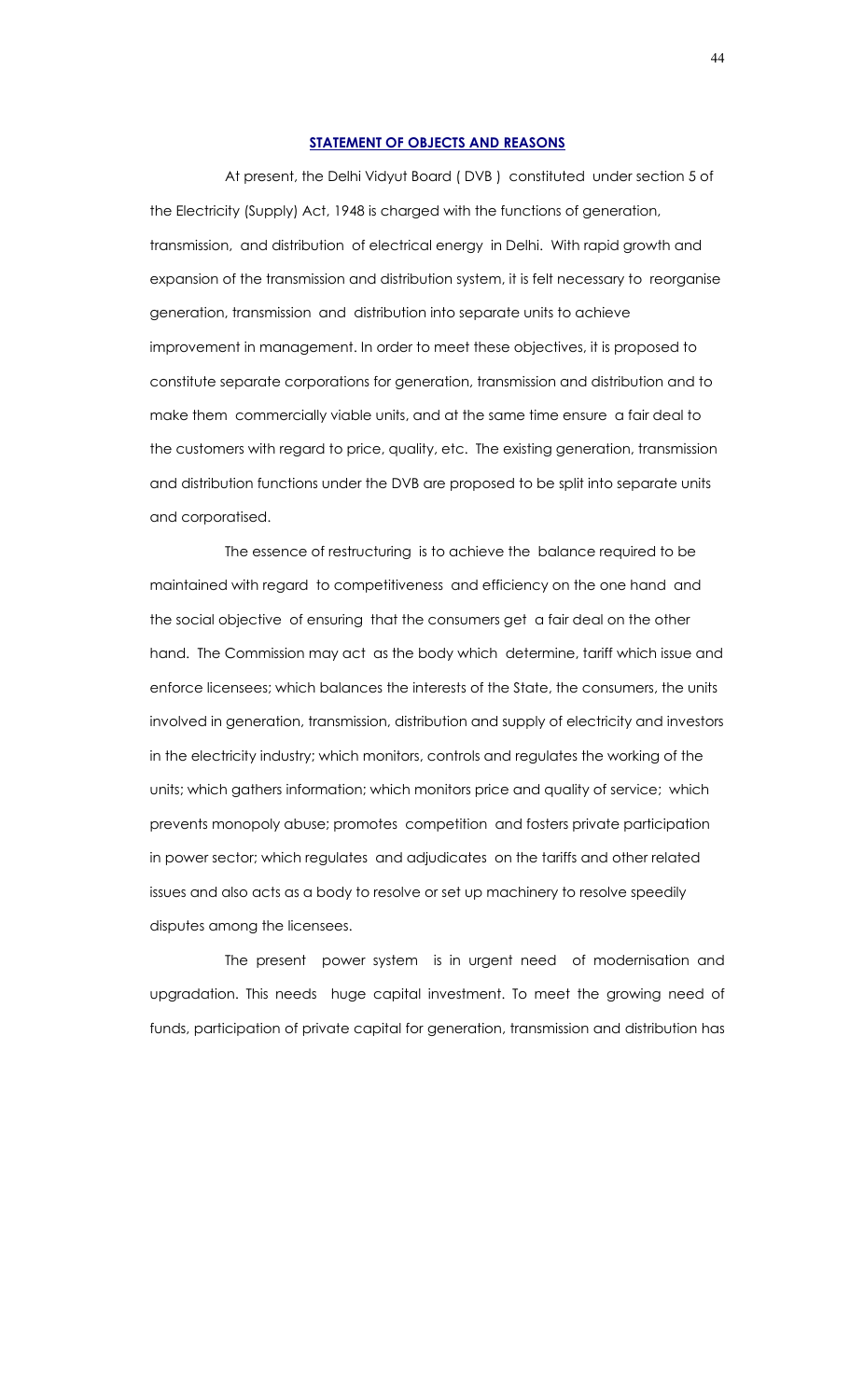#### **STATEMENT OF OBJECTS AND REASONS**

 At present, the Delhi Vidyut Board ( DVB ) constituted under section 5 of the Electricity (Supply) Act, 1948 is charged with the functions of generation, transmission, and distribution of electrical energy in Delhi. With rapid growth and expansion of the transmission and distribution system, it is felt necessary to reorganise generation, transmission and distribution into separate units to achieve improvement in management. In order to meet these objectives, it is proposed to constitute separate corporations for generation, transmission and distribution and to make them commercially viable units, and at the same time ensure a fair deal to the customers with regard to price, quality, etc. The existing generation, transmission and distribution functions under the DVB are proposed to be split into separate units and corporatised.

 The essence of restructuring is to achieve the balance required to be maintained with regard to competitiveness and efficiency on the one hand and the social objective of ensuring that the consumers get a fair deal on the other hand. The Commission may act as the body which determine, tariff which issue and enforce licensees; which balances the interests of the State, the consumers, the units involved in generation, transmission, distribution and supply of electricity and investors in the electricity industry; which monitors, controls and regulates the working of the units; which gathers information; which monitors price and quality of service; which prevents monopoly abuse; promotes competition and fosters private participation in power sector; which regulates and adjudicates on the tariffs and other related issues and also acts as a body to resolve or set up machinery to resolve speedily disputes among the licensees.

 The present power system is in urgent need of modernisation and upgradation. This needs huge capital investment. To meet the growing need of funds, participation of private capital for generation, transmission and distribution has